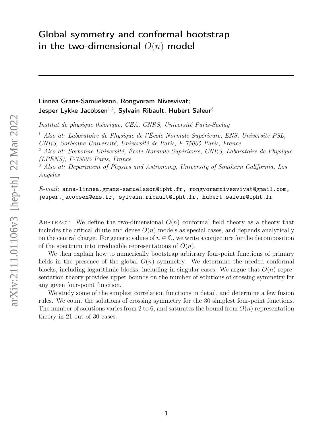# Global symmetry and conformal bootstrap in the two-dimensional  $O(n)$  model

## Linnea Grans-Samuelsson, Rongvoram Nivesvivat; Jesper Lykke Jacobsen $^{1,2}$ , Sylvain Ribault, Hubert Saleur $^3$

Institut de physique théorique, CEA, CNRS, Université Paris-Saclay

<sup>1</sup> Also at: Laboratoire de Physique de l'École Normale Supérieure, ENS, Université PSL, CNRS, Sorbonne Université, Université de Paris, F-75005 Paris, France

 $2$  Also at: Sorbonne Université, École Normale Supérieure, CNRS, Laboratoire de Physique (LPENS), F-75005 Paris, France

<sup>3</sup> Also at: Department of Physics and Astronomy, University of Southern California, Los Angeles

 $E\text{-}mail:$  anna-linnea.grans-samuelsson@ipht.fr, rongvoramnivesvivat@gmail.com, jesper.jacobsen@ens.fr, sylvain.ribault@ipht.fr, hubert.saleur@ipht.fr

ABSTRACT: We define the two-dimensional  $O(n)$  conformal field theory as a theory that includes the critical dilute and dense  $O(n)$  models as special cases, and depends analytically on the central charge. For generic values of  $n \in \mathbb{C}$ , we write a conjecture for the decomposition of the spectrum into irreducible representations of  $O(n)$ .

We then explain how to numerically bootstrap arbitrary four-point functions of primary fields in the presence of the global  $O(n)$  symmetry. We determine the needed conformal blocks, including logarithmic blocks, including in singular cases. We argue that  $O(n)$  representation theory provides upper bounds on the number of solutions of crossing symmetry for any given four-point function.

We study some of the simplest correlation functions in detail, and determine a few fusion rules. We count the solutions of crossing symmetry for the 30 simplest four-point functions. The number of solutions varies from 2 to 6, and saturates the bound from  $O(n)$  representation theory in 21 out of 30 cases.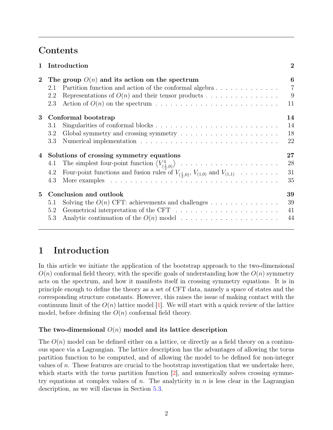# <span id="page-1-1"></span>Contents

|                | Introduction                                                                                                                                                                                   | $\overline{2}$                 |
|----------------|------------------------------------------------------------------------------------------------------------------------------------------------------------------------------------------------|--------------------------------|
| $\overline{2}$ | The group $O(n)$ and its action on the spectrum<br>Partition function and action of the conformal algebra<br>2.1<br>Representations of $O(n)$ and their tensor products<br>2.2<br>2.3          | 6<br>$\overline{7}$<br>9<br>11 |
| 3              | Conformal bootstrap<br>3.1<br>3.2<br>3.3                                                                                                                                                       | 14<br>14<br>18<br>22           |
| $\bf{4}$       | Solutions of crossing symmetry equations<br>4.1<br>Four-point functions and fusion rules of $V_{(\frac{1}{2},0)}, V_{(1,0)}$ and $V_{(1,1)} \dots \dots \dots$<br>4.2<br>4.3                   | 27<br>28<br>31<br>35           |
| 5              | Conclusion and outlook<br>Solving the $O(n)$ CFT: achievements and challenges<br>5.1<br>Geometrical interpretation of the CFT $\ldots \ldots \ldots \ldots \ldots \ldots \ldots$<br>5.2<br>5.3 | 39<br>39<br>41<br>44           |

# <span id="page-1-0"></span>1 Introduction

In this article we initiate the application of the bootstrap approach to the two-dimensional  $O(n)$  conformal field theory, with the specific goals of understanding how the  $O(n)$  symmetry acts on the spectrum, and how it manifests itself in crossing symmetry equations. It is in principle enough to define the theory as a set of CFT data, namely a space of states and the corresponding structure constants. However, this raises the issue of making contact with the continuum limit of the  $O(n)$  lattice model [\[1\]](#page-45-0). We will start with a quick review of the lattice model, before defining the  $O(n)$  conformal field theory.

### The two-dimensional  $O(n)$  model and its lattice description

The  $O(n)$  model can be defined either on a lattice, or directly as a field theory on a continuous space via a Lagrangian. The lattice description has the advantages of allowing the torus partition function to be computed, and of allowing the model to be defined for non-integer values of n. These features are crucial to the bootstrap investigation that we undertake here, which starts with the torus partition function [\[2\]](#page-45-1), and numerically solves crossing symmetry equations at complex values of n. The analyticity in n is less clear in the Lagrangian description, as we will discuss in Section [5.3.](#page-43-0)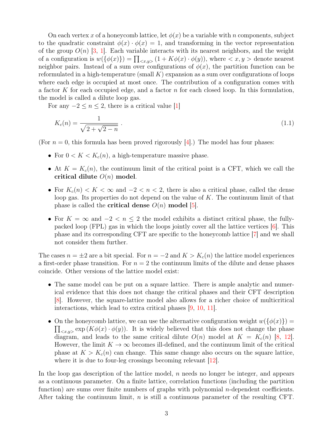<span id="page-2-1"></span>On each vertex x of a honeycomb lattice, let  $\phi(x)$  be a variable with n components, subject to the quadratic constraint  $\phi(x) \cdot \phi(x) = 1$ , and transforming in the vector representation of the group  $O(n)$  [\[3,](#page-45-2) [1\]](#page-45-0). Each variable interacts with its nearest neighbors, and the weight of a configuration is  $w(\{\phi(x)\}) = \prod_{\langle x,y \rangle} (1 + K\phi(x) \cdot \phi(y))$ , where  $\langle x, y \rangle$  denote nearest neighbor pairs. Instead of a sum over configurations of  $\phi(x)$ , the partition function can be reformulated in a high-temperature (small  $K$ ) expansion as a sum over configurations of loops where each edge is occupied at most once. The contribution of a configuration comes with a factor K for each occupied edge, and a factor  $n$  for each closed loop. In this formulation, the model is called a dilute loop gas.

For any  $-2 \leq n \leq 2$ , there is a critical value [\[1\]](#page-45-0)

<span id="page-2-0"></span>
$$
K_c(n) = \frac{1}{\sqrt{2 + \sqrt{2 - n}}} \tag{1.1}
$$

(For  $n = 0$ , this formula has been proved rigorously [\[4\]](#page-45-3).) The model has four phases:

- For  $0 < K < K_c(n)$ , a high-temperature massive phase.
- At  $K = K_c(n)$ , the continuum limit of the critical point is a CFT, which we call the critical dilute  $O(n)$  model.
- For  $K_c(n) < K < \infty$  and  $-2 < n < 2$ , there is also a critical phase, called the dense loop gas. Its properties do not depend on the value of  $K$ . The continuum limit of that phase is called the **critical dense**  $O(n)$  model [\[5\]](#page-45-4).
- For  $K = \infty$  and  $-2 < n \leq 2$  the model exhibits a distinct critical phase, the fullypacked loop (FPL) gas in which the loops jointly cover all the lattice vertices [\[6\]](#page-45-5). This phase and its corresponding CFT are specific to the honeycomb lattice [\[7\]](#page-45-6) and we shall not consider them further.

The cases  $n = \pm 2$  are a bit special. For  $n = -2$  and  $K > K<sub>c</sub>(n)$  the lattice model experiences a first-order phase transition. For  $n = 2$  the continuum limits of the dilute and dense phases coincide. Other versions of the lattice model exist:

- The same model can be put on a square lattice. There is ample analytic and numerical evidence that this does not change the critical phases and their CFT description [\[8\]](#page-45-7). However, the square-lattice model also allows for a richer choice of multicritical interactions, which lead to extra critical phases [\[9,](#page-45-8) [10,](#page-45-9) [11\]](#page-46-0).
- On the honeycomb lattice, we can use the alternative configuration weight  $w(\{\phi(x)\})$  =  $\prod_{\langle x,y\rangle}\exp\left(K\phi(x)\cdot\phi(y)\right)$ . It is widely believed that this does not change the phase diagram, and leads to the same critical dilute  $O(n)$  model at  $K = K<sub>c</sub>(n)$  [\[8,](#page-45-7) [12\]](#page-46-1). However, the limit  $K \to \infty$  becomes ill-defined, and the continuum limit of the critical phase at  $K > K<sub>c</sub>(n)$  can change. This same change also occurs on the square lattice, where it is due to four-leg crossings becoming relevant [\[12\]](#page-46-1).

In the loop gas description of the lattice model,  $n$  needs no longer be integer, and appears as a continuous parameter. On a finite lattice, correlation functions (including the partition function) are sums over finite numbers of graphs with polynomial *n*-dependent coefficients. After taking the continuum limit,  $n$  is still a continuous parameter of the resulting CFT.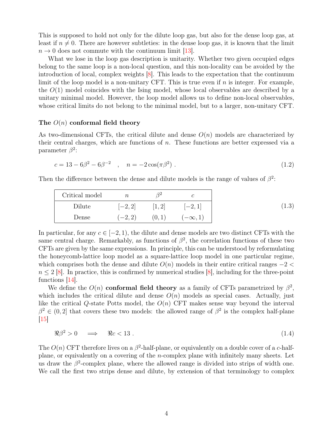<span id="page-3-1"></span>This is supposed to hold not only for the dilute loop gas, but also for the dense loop gas, at least if  $n \neq 0$ . There are however subtleties: in the dense loop gas, it is known that the limit  $n \to 0$  does not commute with the continuum limit [\[13\]](#page-46-2).

What we lose in the loop gas description is unitarity. Whether two given occupied edges belong to the same loop is a non-local question, and this non-locality can be avoided by the introduction of local, complex weights [\[8\]](#page-45-7). This leads to the expectation that the continuum limit of the loop model is a non-unitary CFT. This is true even if  $n$  is integer. For example, the  $O(1)$  model coincides with the Ising model, whose local observables are described by a unitary minimal model. However, the loop model allows us to define non-local observables, whose critical limits do not belong to the minimal model, but to a larger, non-unitary CFT.

#### The  $O(n)$  conformal field theory

As two-dimensional CFTs, the critical dilute and dense  $O(n)$  models are characterized by their central charges, which are functions of n. These functions are better expressed via a parameter  $\beta^2$ :

$$
c = 13 - 6\beta^2 - 6\beta^{-2} \quad , \quad n = -2\cos(\pi\beta^2) \tag{1.2}
$$

Then the difference between the dense and dilute models is the range of values of  $\beta^2$ .

| Critical model | $\it{n}$  |       |                |      |
|----------------|-----------|-------|----------------|------|
| Dilute         | $[-2, 2]$ | [1,2] | $[-2, 1]$      | 1.3) |
| Dense          | $(-2, 2)$ | (0,1) | $(-\infty, 1)$ |      |

In particular, for any  $c \in [-2, 1)$ , the dilute and dense models are two distinct CFTs with the same central charge. Remarkably, as functions of  $\beta^2$ , the correlation functions of these two CFTs are given by the same expressions. In principle, this can be understood by reformulating the honeycomb-lattice loop model as a square-lattice loop model in one particular regime, which comprises both the dense and dilute  $O(n)$  models in their entire critical ranges  $-2 <$  $n \leq 2$  [\[8\]](#page-45-7). In practice, this is confirmed by numerical studies [8], including for the three-point functions  $|14|$ .

We define the  $O(n)$  conformal field theory as a family of CFTs parametrized by  $\beta^2$ , which includes the critical dilute and dense  $O(n)$  models as special cases. Actually, just like the critical Q-state Potts model, the  $O(n)$  CFT makes sense way beyond the interval  $\beta^2 \in (0, 2]$  that covers these two models: the allowed range of  $\beta^2$  is the complex half-plane  $\boxed{15}$ 

<span id="page-3-0"></span>
$$
\Re \beta^2 > 0 \quad \Longrightarrow \quad \Re c < 13 \tag{1.4}
$$

The  $O(n)$  CFT therefore lives on a  $\beta^2$ -half-plane, or equivalently on a double cover of a c-halfplane, or equivalently on a covering of the n-complex plane with infinitely many sheets. Let us draw the  $\beta^2$ -complex plane, where the allowed range is divided into strips of width one. We call the first two strips dense and dilute, by extension of that terminology to complex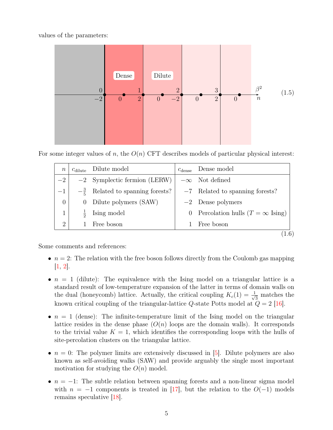<span id="page-4-1"></span>values of the parameters:

<span id="page-4-0"></span>

For some integer values of n, the  $O(n)$  CFT describes models of particular physical interest:

| $\, n$         |          | $c_{\text{dilute}}$ Dilute model            | $c_{\text{dense}}$ | Dense model                                    |
|----------------|----------|---------------------------------------------|--------------------|------------------------------------------------|
| $-2$           |          | $-2$ Symplectic fermion (LERW)              |                    | $-\infty$ Not defined                          |
| $-1$           |          | $-\frac{3}{5}$ Related to spanning forests? |                    | $-7$ Related to spanning forests?              |
| $\overline{0}$ | $\theta$ | Dilute polymers (SAW)                       |                    | $-2$ Dense polymers                            |
| 1              |          | Ising model                                 | $\theta$           | Percolation hulls $(T = \infty \text{ Ising})$ |
| $\overline{2}$ |          | Free boson                                  |                    | Free boson                                     |
|                |          |                                             |                    |                                                |

Some comments and references:

- $n = 2$ : The relation with the free boson follows directly from the Coulomb gas mapping [\[1,](#page-45-0) [2\]](#page-45-1).
- $n = 1$  (dilute): The equivalence with the Ising model on a triangular lattice is a standard result of low-temperature expansion of the latter in terms of domain walls on the dual (honeycomb) lattice. Actually, the critical coupling  $K_c(1) = \frac{1}{\sqrt{2}}$ 3 matches the known critical coupling of the triangular-lattice  $Q$ -state Potts model at  $Q = 2$  [\[16\]](#page-46-5).
- $n = 1$  (dense): The infinite-temperature limit of the Ising model on the triangular lattice resides in the dense phase  $(O(n)$  loops are the domain walls). It corresponds to the trivial value  $K = 1$ , which identifies the corresponding loops with the hulls of site-percolation clusters on the triangular lattice.
- $n = 0$ : The polymer limits are extensively discussed in [\[5\]](#page-45-4). Dilute polymers are also known as self-avoiding walks (SAW) and provide arguably the single most important motivation for studying the  $O(n)$  model.
- $n = -1$ : The subtle relation between spanning forests and a non-linear sigma model with  $n = -1$  components is treated in [\[17\]](#page-46-6), but the relation to the  $O(-1)$  models remains speculative [\[18\]](#page-46-7).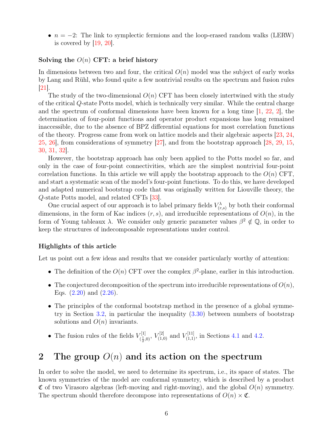<span id="page-5-1"></span>•  $n = -2$ : The link to symplectic fermions and the loop-erased random walks (LERW) is covered by  $[19, 20]$  $[19, 20]$  $[19, 20]$ .

#### Solving the  $O(n)$  CFT: a brief history

In dimensions between two and four, the critical  $O(n)$  model was the subject of early works by Lang and Rühl, who found quite a few nontrivial results on the spectrum and fusion rules [\[21\]](#page-46-10).

The study of the two-dimensional  $O(n)$  CFT has been closely intertwined with the study of the critical Q-state Potts model, which is technically very similar. While the central charge and the spectrum of conformal dimensions have been known for a long time  $[1, 22, 2]$  $[1, 22, 2]$  $[1, 22, 2]$  $[1, 22, 2]$  $[1, 22, 2]$ , the determination of four-point functions and operator product expansions has long remained inaccessible, due to the absence of BPZ differential equations for most correlation functions of the theory. Progress came from work on lattice models and their algebraic aspects [\[23,](#page-46-12) [24,](#page-46-13) [25,](#page-46-14) [26\]](#page-47-0), from considerations of symmetry [\[27\]](#page-47-1), and from the bootstrap approach [\[28,](#page-47-2) [29,](#page-47-3) [15,](#page-46-4) [30,](#page-47-4) [31,](#page-47-5) [32\]](#page-47-6).

However, the bootstrap approach has only been applied to the Potts model so far, and only in the case of four-point connectivities, which are the simplest nontrivial four-point correlation functions. In this article we will apply the bootstrap approach to the  $O(n)$  CFT, and start a systematic scan of the model's four-point functions. To do this, we have developed and adapted numerical bootstrap code that was originally written for Liouville theory, the Q-state Potts model, and related CFTs [\[33\]](#page-47-7).

One crucial aspect of our approach is to label primary fields  $V_{(r,s)}^{\lambda}$  by both their conformal dimensions, in the form of Kac indices  $(r, s)$ , and irreducible representations of  $O(n)$ , in the form of Young tableaux  $\lambda$ . We consider only generic parameter values  $\beta^2 \notin \mathbb{Q}$ , in order to keep the structures of indecomposable representations under control.

#### Highlights of this article

Let us point out a few ideas and results that we consider particularly worthy of attention:

- The definition of the  $O(n)$  CFT over the complex  $\beta^2$ -plane, earlier in this introduction.
- The conjectured decomposition of the spectrum into irreducible representations of  $O(n)$ , Eqs.  $(2.20)$  and  $(2.26)$ .
- The principles of the conformal bootstrap method in the presence of a global symmetry in Section [3.2,](#page-17-0) in particular the inequality [\(3.30\)](#page-20-0) between numbers of bootstrap solutions and  $O(n)$  invariants.
- The fusion rules of the fields  $V_{t_1}^{[1]}$  $V^{[1]}_{(\frac{1}{2},0)}, V^{[2]}_{(1,0)}$  and  $V^{[11]}_{(1,1)}$ , in Sections [4.1](#page-27-0) and [4.2.](#page-30-0)

# <span id="page-5-0"></span>2 The group  $O(n)$  and its action on the spectrum

In order to solve the model, we need to determine its spectrum, i.e., its space of states. The known symmetries of the model are conformal symmetry, which is described by a product  $\mathfrak C$  of two Virasoro algebras (left-moving and right-moving), and the global  $O(n)$  symmetry. The spectrum should therefore decompose into representations of  $O(n) \times \mathfrak{C}$ .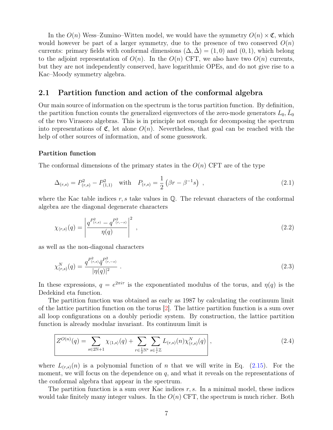<span id="page-6-3"></span>In the  $O(n)$  Wess–Zumino–Witten model, we would have the symmetry  $O(n) \times \mathfrak{C}$ , which would however be part of a larger symmetry, due to the presence of two conserved  $O(n)$ currents: primary fields with conformal dimensions  $(\Delta, \Delta) = (1, 0)$  and  $(0, 1)$ , which belong to the adjoint representation of  $O(n)$ . In the  $O(n)$  CFT, we also have two  $O(n)$  currents, but they are not independently conserved, have logarithmic OPEs, and do not give rise to a Kac–Moody symmetry algebra.

#### <span id="page-6-0"></span>2.1 Partition function and action of the conformal algebra

Our main source of information on the spectrum is the torus partition function. By definition, the partition function counts the generalized eigenvectors of the zero-mode generators  $L_0$ ,  $\overline{L}_0$ of the two Virasoro algebras. This is in principle not enough for decomposing the spectrum into representations of  $\mathfrak{C}$ , let alone  $O(n)$ . Nevertheless, that goal can be reached with the help of other sources of information, and of some guesswork.

#### Partition function

The conformal dimensions of the primary states in the  $O(n)$  CFT are of the type

<span id="page-6-2"></span>
$$
\Delta_{(r,s)} = P_{(r,s)}^2 - P_{(1,1)}^2 \quad \text{with} \quad P_{(r,s)} = \frac{1}{2} \left( \beta r - \beta^{-1} s \right) \tag{2.1}
$$

where the Kac table indices r, s take values in  $\mathbb{Q}$ . The relevant characters of the conformal algebra are the diagonal degenerate characters

$$
\chi_{\langle r,s\rangle}(q) = \left| \frac{q^{P_{(r,s)}^2} - q^{P_{(r,-s)}^2}}{\eta(q)} \right|^2 , \qquad (2.2)
$$

as well as the non-diagonal characters

$$
\chi_{(r,s)}^N(q) = \frac{q^{P_{(r,s)}^2} \bar{q}^{P_{(r,-s)}^2}}{|\eta(q)|^2} \ . \tag{2.3}
$$

In these expressions,  $q = e^{2\pi i \tau}$  is the exponentiated modulus of the torus, and  $\eta(q)$  is the Dedekind eta function.

The partition function was obtained as early as 1987 by calculating the continuum limit of the lattice partition function on the torus [\[2\]](#page-45-1). The lattice partition function is a sum over all loop configurations on a doubly periodic system. By construction, the lattice partition function is already modular invariant. Its continuum limit is

<span id="page-6-1"></span>
$$
Z^{O(n)}(q) = \sum_{s \in 2\mathbb{N}+1} \chi_{\langle 1,s \rangle}(q) + \sum_{r \in \frac{1}{2}\mathbb{N}^*} \sum_{s \in \frac{1}{r}\mathbb{Z}} L_{(r,s)}(n) \chi_{(r,s)}^N(q) \Big|,
$$
\n(2.4)

where  $L_{(r,s)}(n)$  is a polynomial function of n that we will write in Eq. [\(2.15\)](#page-10-1). For the moment, we will focus on the dependence on  $q$ , and what it reveals on the representations of the conformal algebra that appear in the spectrum.

The partition function is a sum over Kac indices  $r, s$ . In a minimal model, these indices would take finitely many integer values. In the  $O(n)$  CFT, the spectrum is much richer. Both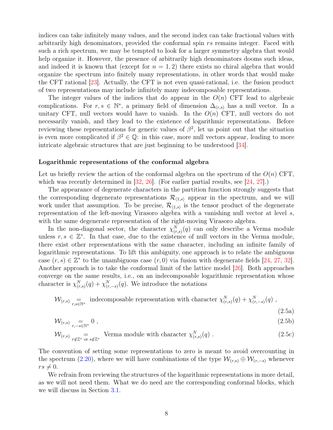<span id="page-7-0"></span>indices can take infinitely many values, and the second index can take fractional values with arbitrarily high denominators, provided the conformal spin rs remains integer. Faced with such a rich spectrum, we may be tempted to look for a larger symmetry algebra that would help organize it. However, the presence of arbitrarily high denominators dooms such ideas, and indeed it is known that (except for  $n = 1, 2$ ) there exists no chiral algebra that would organize the spectrum into finitely many representations, in other words that would make the CFT rational [\[23\]](#page-46-12). Actually, the CFT is not even quasi-rational, i.e. the fusion product of two representations may include infinitely many indecomposable representations.

The integer values of the indices that do appear in the  $O(n)$  CFT lead to algebraic complications. For  $r, s \in \mathbb{N}^*$ , a primary field of dimension  $\Delta_{(r,s)}$  has a null vector. In a unitary CFT, null vectors would have to vanish. In the  $O(n)$  CFT, null vectors do not necessarily vanish, and they lead to the existence of logarithmic representations. Before reviewing these representations for generic values of  $\beta^2$ , let us point out that the situation is even more complicated if  $\beta^2 \in \mathbb{Q}$ : in this case, more null vectors appear, leading to more intricate algebraic structures that are just beginning to be understood [\[34\]](#page-47-8).

#### Logarithmic representations of the conformal algebra

Let us briefly review the action of the conformal algebra on the spectrum of the  $O(n)$  CFT, which was recently determined in  $|32, 26|$ . (For earlier partial results, see  $|24, 27|$ .)

The appearance of degenerate characters in the partition function strongly suggests that the corresponding degenerate representations  $\mathcal{R}_{(1,s)}$  appear in the spectrum, and we will work under that assumption. To be precise,  $\mathcal{R}_{(1,s)}$  is the tensor product of the degenerate representation of the left-moving Virasoro algebra with a vanishing null vector at level s, with the same degenerate representation of the right-moving Virasoro algebra.

In the non-diagonal sector, the character  $\chi^N_{(r,s)}(q)$  can only describe a Verma module unless  $r, s \in \mathbb{Z}^*$ . In that case, due to the existence of null vectors in the Verma module, there exist other representations with the same character, including an infinite family of logarithmic representations. To lift this ambiguity, one approach is to relate the ambiguous case  $(r, s) \in \mathbb{Z}^*$  to the unambiguous case  $(r, 0)$  via fusion with degenerate fields [\[24,](#page-46-13) [27,](#page-47-1) [32\]](#page-47-6). Another approach is to take the conformal limit of the lattice model [\[26\]](#page-47-0). Both approaches converge on the same results, i.e., on an indecomposable logarithmic representation whose character is  $\chi_{(r,s)}^N(q) + \chi_{(r,-s)}^N(q)$ . We introduce the notations

$$
\mathcal{W}_{(r,s)} = \underset{r,s \in \mathbb{N}^*}{\text{ indecomposable representation with character }} \chi^N_{(r,s)}(q) + \chi^N_{(r,-s)}(q) ,
$$

$$
(2.5a)
$$

$$
\mathcal{W}_{(r,s)} = 0 \tag{2.5b}
$$

$$
\mathcal{W}_{(r,s)} \underset{r \notin \mathbb{Z}^*}{=} \text{ Verma module with character } \chi^N_{(r,s)}(q) \ . \tag{2.5c}
$$

The convention of setting some representations to zero is meant to avoid overcounting in the spectrum [\(2.20\)](#page-11-0), where we will have combinations of the type  $\mathcal{W}_{(r,s)} \oplus \mathcal{W}_{(r,-s)}$  whenever  $rs \neq 0.$ 

We refrain from reviewing the structures of the logarithmic representations in more detail, as we will not need them. What we do need are the corresponding conformal blocks, which we will discuss in Section [3.1.](#page-13-1)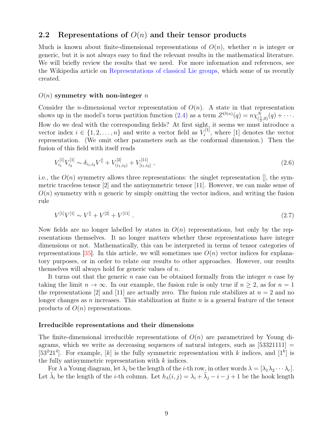#### <span id="page-8-2"></span><span id="page-8-0"></span>2.2 Representations of  $O(n)$  and their tensor products

Much is known about finite-dimensional representations of  $O(n)$ , whether *n* is integer or generic, but it is not always easy to find the relevant results in the mathematical literature. We will briefly review the results that we need. For more information and references, see the Wikipedia article on [Representations of classical Lie groups,](https://en.wikipedia.org/wiki/Representations_of_classical_Lie_groups) which some of us recently created.

#### $O(n)$  symmetry with non-integer n

Consider the *n*-dimensional vector representation of  $O(n)$ . A state in that representation shows up in the model's torus partition function [\(2.4\)](#page-6-1) as a term  $Z^{O(n)}(q) = n \chi_{(\frac{1}{2},0)}^N(q) + \cdots$ . How do we deal with the corresponding fields? At first sight, it seems we must introduce a vector index  $i \in \{1, 2, ..., n\}$  and write a vector field as  $V_i^{[1]}$  $\mathcal{I}_i^{[1]}$ , where [1] denotes the vector representation. (We omit other parameters such as the conformal dimension.) Then the fusion of this field with itself reads

<span id="page-8-1"></span>
$$
V_{i_1}^{[1]} V_{i_2}^{[1]} \sim \delta_{i_1, i_2} V^{[1]} + V_{(i_1, i_2)}^{[2]} + V_{[i_1, i_2]}^{[11]} \tag{2.6}
$$

i.e., the  $O(n)$  symmetry allows three representations: the singlet representation  $\parallel$ , the symmetric traceless tensor [2] and the antisymmetric tensor [11]. However, we can make sense of  $O(n)$  symmetry with n generic by simply omitting the vector indices, and writing the fusion rule

$$
V^{[1]}V^{[1]} \sim V^{[1]} + V^{[2]} + V^{[11]} \tag{2.7}
$$

Now fields are no longer labelled by states in  $O(n)$  representations, but only by the representations themselves. It no longer matters whether these representations have integer dimensions or not. Mathematically, this can be interpreted in terms of tensor categories of representations [\[35\]](#page-47-9). In this article, we will sometimes use  $O(n)$  vector indices for explanatory purposes, or in order to relate our results to other approaches. However, our results themselves will always hold for generic values of  $n$ .

It turns out that the generic  $n$  case can be obtained formally from the integer  $n$  case by taking the limit  $n \to \infty$ . In our example, the fusion rule is only true if  $n \geq 2$ , as for  $n = 1$ the representations [2] and [11] are actually zero. The fusion rule stabilizes at  $n = 2$  and no longer changes as  $n$  increases. This stabilization at finite  $n$  is a general feature of the tensor products of  $O(n)$  representations.

#### Irreducible representations and their dimensions

The finite-dimensional irreducible representations of  $O(n)$  are parametrized by Young diagrams, which we write as decreasing sequences of natural integers, such as  $[53321111] =$ [53<sup>2</sup>21<sup>4</sup>]. For example, [k] is the fully symmetric representation with k indices, and [1<sup>k</sup>] is the fully antisymmetric representation with  $k$  indices.

For  $\lambda$  a Young diagram, let  $\lambda_i$  be the length of the *i*-th row, in other words  $\lambda = [\lambda_1 \lambda_2 \cdots \lambda_r].$ Let  $\tilde{\lambda}_i$  be the length of the *i*-th column. Let  $h_{\lambda}(i, j) = \lambda_i + \tilde{\lambda}_j - i - j + 1$  be the hook length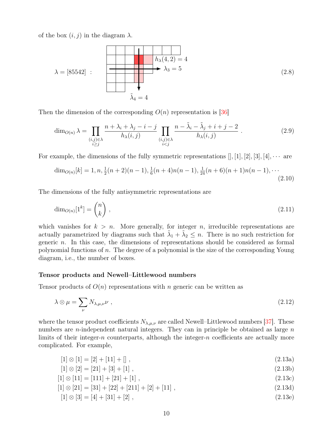<span id="page-9-3"></span>of the box  $(i, j)$  in the diagram  $\lambda$ .

$$
\lambda = [85542] : \qquad \begin{array}{c} h_{\lambda}(4,2) = 4 \\ \lambda_3 = 5 \end{array} \tag{2.8}
$$
\n
$$
\tilde{\lambda}_4 = 4
$$

Then the dimension of the corresponding  $O(n)$  representation is [\[36\]](#page-47-10)

<span id="page-9-0"></span>
$$
\dim_{O(n)} \lambda = \prod_{\substack{(i,j)\in\lambda \\ i\geq j}} \frac{n+\lambda_i+\lambda_j-i-j}{h_{\lambda}(i,j)} \prod_{\substack{(i,j)\in\lambda \\ i\n(2.9)
$$

For example, the dimensions of the fully symmetric representations  $[1, 1, 2, 3, 4, \cdots$  are

$$
\dim_{O(n)}[k] = 1, n, \frac{1}{2}(n+2)(n-1), \frac{1}{6}(n+4)n(n-1), \frac{1}{24}(n+6)(n+1)n(n-1), \cdots
$$
\n(2.10)

The dimensions of the fully antisymmetric representations are

$$
\dim_{O(n)}[1^k] = \binom{n}{k},\tag{2.11}
$$

which vanishes for  $k > n$ . More generally, for integer n, irreducible representations are actually parametrized by diagrams such that  $\tilde{\lambda}_1 + \tilde{\lambda}_2 \leq n$ . There is no such restriction for generic  $n$ . In this case, the dimensions of representations should be considered as formal polynomial functions of  $n$ . The degree of a polynomial is the size of the corresponding Young diagram, i.e., the number of boxes.

#### Tensor products and Newell–Littlewood numbers

Tensor products of  $O(n)$  representations with n generic can be written as

$$
\lambda \otimes \mu = \sum_{\nu} N_{\lambda,\mu,\nu} \nu , \qquad (2.12)
$$

where the tensor product coefficients  $N_{\lambda,\mu,\nu}$  are called Newell–Littlewood numbers [\[37\]](#page-47-11). These numbers are *n*-independent natural integers. They can in principle be obtained as large  $n$ limits of their integer-n counterparts, although the integer-n coefficients are actually more complicated. For example,

<span id="page-9-2"></span>
$$
[1] \otimes [1] = [2] + [11] + [] \tag{2.13a}
$$

$$
[1] \otimes [2] = [21] + [3] + [1], \qquad (2.13b)
$$

$$
[1] \otimes [11] = [111] + [21] + [1], \qquad (2.13c)
$$

$$
[1] \otimes [21] = [31] + [22] + [211] + [2] + [11], \qquad (2.13d)
$$

<span id="page-9-1"></span>
$$
[1] \otimes [3] = [4] + [31] + [2], \qquad (2.13e)
$$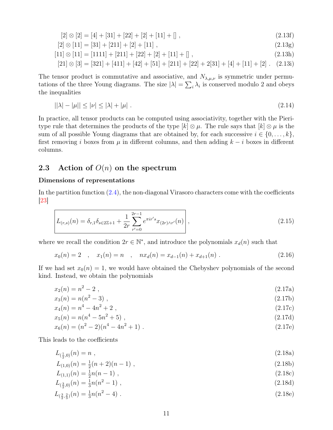<span id="page-10-4"></span><span id="page-10-3"></span><span id="page-10-2"></span>
$$
[2] \otimes [2] = [4] + [31] + [22] + [2] + [11] + [] \tag{2.13f}
$$

$$
[2] \otimes [11] = [31] + [211] + [2] + [11], \qquad (2.13g)
$$

$$
[11] \otimes [11] = [1111] + [211] + [22] + [2] + [11] + [] \tag{2.13h}
$$

$$
[21] \otimes [3] = [321] + [411] + [42] + [51] + [211] + [22] + 2[31] + [4] + [11] + [2]. \quad (2.13i)
$$

The tensor product is commutative and associative, and  $N_{\lambda,\mu,\nu}$  is symmetric under permutations of the three Young diagrams. The size  $|\lambda| = \sum_i \lambda_i$  is conserved modulo 2 and obeys the inequalities

$$
||\lambda| - |\mu|| \le |\nu| \le |\lambda| + |\mu| \tag{2.14}
$$

In practice, all tensor products can be computed using associativity, together with the Pieritype rule that determines the products of the type  $[k] \otimes \mu$ . The rule says that  $[k] \otimes \mu$  is the sum of all possible Young diagrams that are obtained by, for each successive  $i \in \{0, \ldots, k\}$ , first removing i boxes from  $\mu$  in different columns, and then adding  $k - i$  boxes in different columns.

## <span id="page-10-0"></span>2.3 Action of  $O(n)$  on the spectrum

#### Dimensions of representations

In the partition function  $(2.4)$ , the non-diagonal Virasoro characters come with the coefficients  $|23|$ 

<span id="page-10-1"></span>
$$
L_{(r,s)}(n) = \delta_{r,1}\delta_{s \in 2\mathbb{Z}+1} + \frac{1}{2r} \sum_{r'=0}^{2r-1} e^{\pi i r' s} x_{(2r)\wedge r'}(n) \,, \tag{2.15}
$$

where we recall the condition  $2r \in \mathbb{N}^*$ , and introduce the polynomials  $x_d(n)$  such that

$$
x_0(n) = 2 \quad , \quad x_1(n) = n \quad , \quad nx_d(n) = x_{d-1}(n) + x_{d+1}(n) \; . \tag{2.16}
$$

If we had set  $x_0(n) = 1$ , we would have obtained the Chebyshev polynomials of the second kind. Instead, we obtain the polynomials

$$
x_2(n) = n^2 - 2 \tag{2.17a}
$$

$$
x_3(n) = n(n^2 - 3) \tag{2.17b}
$$

$$
x_4(n) = n^4 - 4n^2 + 2 \tag{2.17c}
$$

$$
x_5(n) = n(n^4 - 5n^2 + 5) \tag{2.17d}
$$

$$
x_6(n) = (n^2 - 2)(n^4 - 4n^2 + 1) \tag{2.17e}
$$

This leads to the coefficients

$$
L_{(\frac{1}{2},0)}(n) = n \tag{2.18a}
$$

$$
L_{(1,0)}(n) = \frac{1}{2}(n+2)(n-1) \tag{2.18b}
$$

$$
L_{(1,1)}(n) = \frac{1}{2}n(n-1) \tag{2.18c}
$$

$$
L_{(\frac{3}{2},0)}(n) = \frac{1}{3}n(n^2 - 1) \tag{2.18d}
$$

$$
L_{(\frac{3}{2},\frac{2}{3})}(n) = \frac{1}{3}n(n^2 - 4) \tag{2.18e}
$$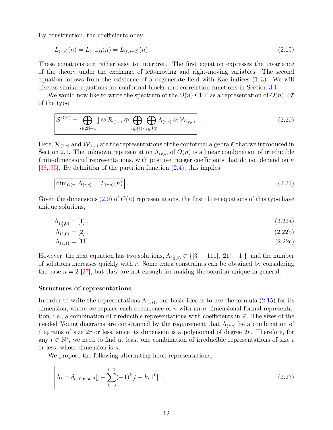<span id="page-11-4"></span>By construction, the coefficients obey

$$
L_{(r,s)}(n) = L_{(r,-s)}(n) = L_{(r,s+2)}(n) . \tag{2.19}
$$

These equations are rather easy to interpret. The first equation expresses the invariance of the theory under the exchange of left-moving and right-moving variables. The second equation follows from the existence of a degenerate field with Kac indices  $(1, 3)$ . We will discuss similar equations for conformal blocks and correlation functions in Section [3.1.](#page-13-1)

We would now like to write the spectrum of the  $O(n)$  CFT as a representation of  $O(n) \times \mathfrak{C}$ of the type

<span id="page-11-0"></span>
$$
\mathcal{S}^{O(n)} = \bigoplus_{s \in 2\mathbb{N}+1} \left[ \left| \otimes \mathcal{R}_{\langle 1,s \rangle} \oplus \bigoplus_{r \in \frac{1}{2}\mathbb{N}^*} \bigoplus_{s \in \frac{1}{r}\mathbb{Z}} \Lambda_{(r,s)} \otimes \mathcal{W}_{(r,s)} \right| \right]. \tag{2.20}
$$

Here,  $\mathcal{R}_{(1,s)}$  and  $\mathcal{W}_{(r,s)}$  are the representations of the conformal algebra  $\mathfrak{C}$  that we introduced in Section [2.1.](#page-6-0) The unknown representation  $\Lambda_{(r,s)}$  of  $O(n)$  is a linear combination of irreducible finite-dimensional representations, with positive integer coefficients that do not depend on  $n$ [\[38,](#page-47-12) [35\]](#page-47-9). By definition of the partition function [\(2.4\)](#page-6-1), this implies

<span id="page-11-1"></span>
$$
\dim_{O(n)} \Lambda_{(r,s)} = L_{(r,s)}(n) \tag{2.21}
$$

Given the dimensions  $(2.9)$  of  $O(n)$  representations, the first three equations of this type have unique solutions,

$$
\Lambda_{(\frac{1}{2},0)} = [1] \tag{2.22a}
$$

<span id="page-11-3"></span><span id="page-11-2"></span>
$$
\Lambda_{(1,0)} = [2] \tag{2.22b}
$$

$$
\Lambda_{(1,1)} = [11] \tag{2.22c}
$$

However, the next equation has two solutions,  $\Lambda_{(\frac{3}{2},0)} \in \{[3]+[111],[21]+[1]\}$ , and the number of solutions increases quickly with  $r$ . Some extra constraints can be obtained by considering the case  $n = 2$  [\[27\]](#page-47-1), but they are not enough for making the solution unique in general.

#### Structures of representations

In order to write the representations  $\Lambda_{(r,s)}$ , our basic idea is to use the formula  $(2.15)$  for its dimension, where we replace each occurrence of  $n$  with an  $n$ -dimensional formal representation, i.e., a combination of irreducible representations with coefficients in Z. The sizes of the needed Young diagrams are constrained by the requirement that  $\Lambda_{(r,s)}$  be a combination of diagrams of size  $2r$  or less, since its dimension is a polynomial of degree  $2r$ . Therefore, for any  $t \in \mathbb{N}^*$ , we need to find at least one combination of irreducible representations of size t or less, whose dimension is n.

We propose the following alternating hook representations,

$$
\Lambda_t = \delta_{t \equiv 0 \mod 2} \left[ 1 + \sum_{k=0}^{t-1} (-1)^k [t-k, 1^k] \right].
$$
\n(2.23)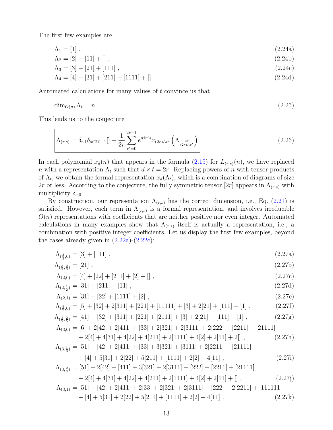The first few examples are

$$
\Lambda_1 = [1], \tag{2.24a}
$$

$$
\Lambda_2 = [2] - [11] + [] \tag{2.24b}
$$

$$
\Lambda_3 = [3] - [21] + [111], \tag{2.24c}
$$

$$
\Lambda_4 = [4] - [31] + [211] - [1111] + [] \tag{2.24d}
$$

Automated calculations for many values of t convince us that

$$
\dim_{O(n)} \Lambda_t = n \tag{2.25}
$$

This leads us to the conjecture

<span id="page-12-0"></span>
$$
\left[\Lambda_{(r,s)} = \delta_{r,1} \delta_{s \in 2\mathbb{Z}+1} [ ] + \frac{1}{2r} \sum_{r'=0}^{2r-1} e^{\pi i r' s} x_{(2r)\wedge r'} \left( \Lambda_{\frac{2r}{(2r)\wedge r'}} \right) \right]. \tag{2.26}
$$

In each polynomial  $x_d(n)$  that appears in the formula  $(2.15)$  for  $L_{(r,s)}(n)$ , we have replaced n with a representation  $\Lambda_t$  such that  $d \times t = 2r$ . Replacing powers of n with tensor products of  $\Lambda_t$ , we obtain the formal representation  $x_d(\Lambda_t)$ , which is a combination of diagrams of size 2r or less. According to the conjecture, the fully symmetric tensor [2r] appears in  $\Lambda_{(r,s)}$  with multiplicity  $\delta_{s,0}$ .

By construction, our representation  $\Lambda_{(r,s)}$  has the correct dimension, i.e., Eq. [\(2.21\)](#page-11-1) is satisfied. However, each term in  $\Lambda_{(r,s)}$  is a formal representation, and involves irreducible  $O(n)$  representations with coefficients that are neither positive nor even integer. Automated calculations in many examples show that  $\Lambda_{(r,s)}$  itself is actually a representation, i.e., a combination with positive integer coefficients. Let us display the first few examples, beyond the cases already given in  $(2.22a)-(2.22c)$  $(2.22a)-(2.22c)$  $(2.22a)-(2.22c)$ :

<span id="page-12-4"></span><span id="page-12-1"></span>
$$
\Lambda_{(\frac{3}{2},0)} = [3] + [111], \qquad (2.27a)
$$

<span id="page-12-5"></span>
$$
\Lambda_{(\frac{3}{2},\frac{2}{3})} = [21], \tag{2.27b}
$$

$$
\Lambda_{(2,0)} = [4] + [22] + [211] + [2] + [] \tag{2.27c}
$$

<span id="page-12-3"></span>
$$
\Lambda_{(2,\frac{1}{2})} = [31] + [211] + [11], \qquad (2.27d)
$$

$$
\Lambda_{(2,1)} = [31] + [22] + [1111] + [2],
$$
\n
$$
\Lambda_{(2,1)} = [51 + [32] + 2[311] + [921] + [11111] + [21 + 2[211] + [1111] + [111]) + [1111] + [1111] + [1111] + [1111] + [1111] + [1111] + [1111] + [1111] + [1111] + [1111] + [1111] + [1111] + [1111] + [1111] + [1111] + [1111] + [1111] + [1111] + [1111] + [1111] + [1111] + [1111] + [1111] + [1111] + [1111] + [1111] + [1111] + [1111] + [1111] + [1111] + [1111] + [1111] + [1111] + [1111] + [1111] + [1111] + [1111] + [1111] + [1111] + [1111] + [1111] + [1111] + [1111] + [1111] + [1111] + [1111] + [1111] + [1111] + [1111] + [1111] + [1111] + [1111] + [1111] + [1111] + [1111] + [1111] + [1111] + [1111] + [1111] + [1111] + [1111] + [1111] + [1111] + [1111] + [1111] + [1111] + [1111] + [1111] + [1111] + [1111] + [1111] + [1111] + [1111] + [1111] + [1111] + [1111] + [1111] + [1111] + [1111] + [1111] + [1111] + [1111] + [1111] + [1111] + [1111] + [1111] + [1111] + [1111] + [1111] + [1111] + [1111] + [1111] + [1111] + [1111]
$$

$$
\Lambda_{(\frac{5}{2},0)} = [5] + [32] + 2[311] + [221] + [11111] + [3] + 2[21] + [111] + [1],
$$
\n(2.27f)

$$
\Lambda_{(\frac{5}{2},\frac{2}{5})} = [41] + [32] + [311] + [221] + [2111] + [3] + 2[21] + [111] + [1], \qquad (2.27g)
$$

$$
\Lambda_{(3,0)} = [6] + 2[42] + 2[411] + [33] + 2[321] + 2[3111] + 2[222] + [2211] + [21111] \n+ 2[4] + 4[31] + 4[22] + 4[211] + 2[1111] + 4[2] + 2[11] + 2[] ,
$$
\n(2.27h)  
\n
$$
\Lambda_{(3,\frac{1}{3})} = [51] + [42] + 2[411] + [33] + 3[321] + [3111] + 2[2211] + [21111]
$$
\n(2.27h)

<span id="page-12-6"></span><span id="page-12-2"></span>
$$
{}_{1} = [31] + [42] + 2[411] + [33] + 3[321] + [3111] + 2[2211] + [21111] + [4] + [531] + 2[22] + 5[211] + [1111] + 2[2] + 4[11], \qquad (2.27i)
$$

$$
\Lambda_{(3,\frac{2}{3})} = [51] + 2[42] + [411] + 3[321] + 2[3111] + [222] + [2211] + [21111] + 2[4] + 4[31] + 4[22] + 4[211] + 2[1111] + 4[2] + 2[11] + [] ,
$$
\n(2.27j)

$$
\Lambda_{(3,1)} = [51] + [42] + 2[411] + 2[33] + 2[321] + 2[3111] + [222] + 2[2211] + [111111] + [4] + 5[31] + 2[22] + 5[211] + [1111] + 2[2] + 4[11] .
$$
\n(2.27k)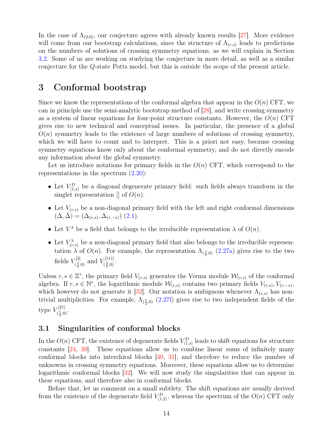<span id="page-13-2"></span>In the case of  $\Lambda_{(2,0)}$ , our conjecture agrees with already known results [\[27\]](#page-47-1). More evidence will come from our bootstrap calculations, since the structure of  $\Lambda_{(r,s)}$  leads to predictions on the numbers of solutions of crossing symmetry equations, as we will explain in Section [3.2.](#page-17-0) Some of us are working on studying the conjecture in more detail, as well as a similar conjecture for the Q-state Potts model, but this is outside the scope of the present article.

# <span id="page-13-0"></span>3 Conformal bootstrap

Since we know the representations of the conformal algebra that appear in the  $O(n)$  CFT, we can in principle use the semi-analytic bootstrap method of [\[28\]](#page-47-2), and write crossing symmetry as a system of linear equations for four-point structure constants. However, the  $O(n)$  CFT gives rise to new technical and conceptual issues. In particular, the presence of a global  $O(n)$  symmetry leads to the existence of large numbers of solutions of crossing symmetry, which we will have to count and to interpret. This is a priori not easy, because crossing symmetry equations know only about the conformal symmetry, and do not directly encode any information about the global symmetry.

Let us introduce notations for primary fields in the  $O(n)$  CFT, which correspond to the representations in the spectrum  $(2.20)$ :

- Let  $V_{(1,s)}^D$  be a diagonal degenerate primary field: such fields always transform in the singlet representation  $\parallel$  of  $O(n)$ .
- Let  $V_{(r,s)}$  be a non-diagonal primary field with the left and right conformal dimensions  $(\Delta, \bar{\Delta}) = (\Delta_{(r,s)}, \Delta_{(r,-s)})$  [\(2.1\)](#page-6-2).
- Let  $V^{\lambda}$  be a field that belongs to the irreducible representation  $\lambda$  of  $O(n)$ .
- Let  $V_{(r,s)}^{\lambda}$  be a non-diagonal primary field that also belongs to the irreducible representation  $\lambda$  of  $O(n)$ . For example, the representation  $\Lambda_{(\frac{3}{2},0)}$  [\(2.27a\)](#page-12-1) gives rise to the two fields  $V_{\ell^3}^{[3]}$  $V^{[3]}_{(\frac{3}{2},0)}$  and  $V^{[111]}_{(\frac{3}{2},0)}$  $\frac{1}{2}, 0)$ .

Unless  $r, s \in \mathbb{Z}^*$ , the primary field  $V_{(r,s)}$  generates the Verma module  $\mathcal{W}_{(r,s)}$  of the conformal algebra. If  $r, s \in \mathbb{N}^*$ , the logarithmic module  $\mathcal{W}_{(r,s)}$  contains two primary fields  $V_{(r,s)}, V_{(r,-s)}$ , which however do not generate it [\[32\]](#page-47-6). Our notation is ambiguous whenever  $\Lambda_{(r,s)}$  has nontrivial multiplicities. For example,  $\Lambda_{(\frac{5}{2},0)}$  [\(2.27f\)](#page-12-2) gives rise to two independent fields of the type  $V_{\ell^5}^{[21]}$  $\frac{5}{2},0)$ .

### <span id="page-13-1"></span>3.1 Singularities of conformal blocks

In the  $O(n)$  CFT, the existence of degenerate fields  $V_{(1,s)}^D$  leads to shift equations for structure constants [\[24,](#page-46-13) [39\]](#page-47-13). These equations allow us to combine linear sums of infinitely many conformal blocks into interchiral blocks [\[40,](#page-48-0) [31\]](#page-47-5), and therefore to reduce the number of unknowns in crossing symmetry equations. Moreover, these equations allow us to determine logarithmic conformal blocks [\[32\]](#page-47-6). We will now study the singularities that can appear in these equations, and therefore also in conformal blocks.

Before that, let us comment on a small subtlety. The shift equations are usually derived from the existence of the degenerate field  $V_{(1,2)}^D$ , whereas the spectrum of the  $O(n)$  CFT only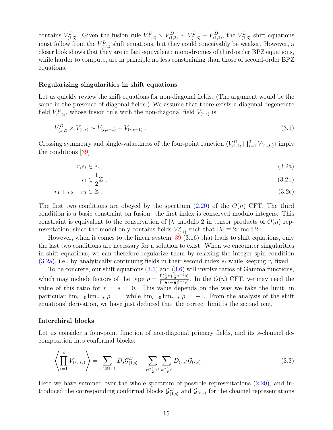<span id="page-14-3"></span>contains  $V_{(1,3)}^D$ . Given the fusion rule  $V_{(1,2)}^D \times V_{(1,2)}^D \sim V_{(1,3)}^D + V_{(1,1)}^D$ , the  $V_{(1,3)}^D$  shift equations must follow from the  $V_{(1,2)}^D$  shift equations, but they could conceivably be weaker. However, a closer look shows that they are in fact equivalent: monodromies of third-order BPZ equations, while harder to compute, are in principle no less constraining than those of second-order BPZ equations.

#### Regularizing singularities in shift equations

Let us quickly review the shift equations for non-diagonal fields. (The argument would be the same in the presence of diagonal fields.) We assume that there exists a diagonal degenerate field  $V_{(1,2)}^D$ , whose fusion rule with the non-diagonal field  $V_{(r,s)}$  is

$$
V_{(1,2)}^D \times V_{(r,s)} \sim V_{(r,s+1)} + V_{(r,s-1)} \tag{3.1}
$$

Crossing symmetry and single-valuedness of the four-point function  $\langle V_{(1,2)}^D \prod_{i=1}^3 V_{(r_i,s_i)} \rangle$  imply the conditions [\[39\]](#page-47-13)

<span id="page-14-2"></span><span id="page-14-0"></span>
$$
r_i s_i \in \mathbb{Z} \tag{3.2a}
$$

$$
r_i \in \frac{1}{2}\mathbb{Z} \;, \tag{3.2b}
$$

$$
r_1 + r_2 + r_3 \in \mathbb{Z} \ . \tag{3.2c}
$$

The first two conditions are obeyed by the spectrum  $(2.20)$  of the  $O(n)$  CFT. The third condition is a basic constraint on fusion: the first index is conserved modulo integers. This constraint is equivalent to the conservation of  $|\lambda|$  modulo 2 in tensor products of  $O(n)$  representation, since the model only contains fields  $V_{(r,s)}^{\lambda}$  such that  $|\lambda| \equiv 2r \mod 2$ .

However, when it comes to the linear system  $[39](3.16)$  $[39](3.16)$  that leads to shift equations, only the last two conditions are necessary for a solution to exist. When we encounter singularities in shift equations, we can therefore regularize them by relaxing the integer spin condition  $(3.2a)$ , i.e., by analytically continuing fields in their second index  $s_i$  while keeping  $r_i$  fixed.

To be concrete, our shift equations  $(3.5)$  and  $(3.6)$  will involve ratios of Gamma functions, which may include factors of the type  $\rho = \frac{\Gamma(\frac{1}{2}r + \frac{1}{2}\beta^{-2}s)}{\Gamma(\frac{1}{2}r + \frac{1}{2}\beta^{-2}s)}$  $\frac{\Gamma(\frac{1}{2}r+\frac{1}{2}\beta-s)}{\Gamma(\frac{1}{2}r-\frac{1}{2}\beta^{-2}s)}$ . In the  $O(n)$  CFT, we may need the value of this ratio for  $r = s = 0$ . This value depends on the way we take the limit, in particular  $\lim_{r\to 0} \lim_{s\to 0} \rho = 1$  while  $\lim_{s\to 0} \lim_{r\to 0} \rho = -1$ . From the analysis of the shift equations' derivation, we have just deduced that the correct limit is the second one.

#### Interchiral blocks

Let us consider a four-point function of non-diagonal primary fields, and its s-channel decomposition into conformal blocks:

<span id="page-14-1"></span>
$$
\left\langle \prod_{i=1}^{4} V_{(r_i, s_i)} \right\rangle = \sum_{s \in 2\mathbb{N}+1} D_s \mathcal{G}_{\langle 1, s \rangle}^D + \sum_{r \in \frac{1}{2} \mathbb{N}^*} \sum_{s \in \frac{1}{r} \mathbb{Z}} D_{(r, s)} \mathcal{G}_{(r, s)} . \tag{3.3}
$$

Here we have summed over the whole spectrum of possible representations [\(2.20\)](#page-11-0), and introduced the corresponding conformal blocks  $\mathcal{G}^D_{(1,s)}$  and  $\mathcal{G}_{(r,s)}$  for the channel representations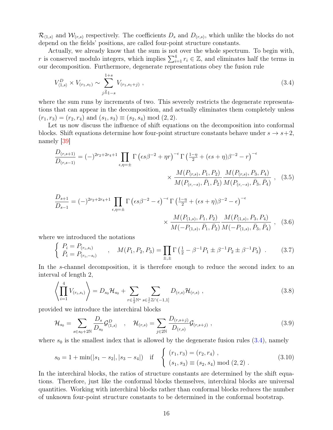<span id="page-15-4"></span> $\mathcal{R}_{(1,s)}$  and  $\mathcal{W}_{(r,s)}$  respectively. The coefficients  $D_s$  and  $D_{(r,s)}$ , which unlike the blocks do not depend on the fields' positions, are called four-point structure constants.

Actually, we already know that the sum is not over the whole spectrum. To begin with, r is conserved modulo integers, which implies  $\sum_{i=1}^{4} r_i \in \mathbb{Z}$ , and eliminates half the terms in our decomposition. Furthermore, degenerate representations obey the fusion rule

<span id="page-15-2"></span>
$$
V_{\langle 1,s \rangle}^D \times V_{(r_1,s_1)} \sim \sum_{j=1-s}^{1+s} V_{(r_1,s_1+j)} \,, \tag{3.4}
$$

where the sum runs by increments of two. This severely restricts the degenerate representations that can appear in the decomposition, and actually eliminates them completely unless  $(r_1, r_3) = (r_2, r_4)$  and  $(s_1, s_3) \equiv (s_2, s_4) \mod (2, 2)$ .

Let us now discuss the influence of shift equations on the decomposition into conformal blocks. Shift equations determine how four-point structure constants behave under  $s \to s+2$ , namely [\[39\]](#page-47-13)

$$
\frac{D_{(r,s+1)}}{D_{(r,s-1)}} = (-)^{2r_2 + 2r_4 + 1} \prod_{\epsilon,\eta=\pm} \Gamma\left(\epsilon s \beta^{-2} + \eta r\right)^{-\epsilon} \Gamma\left(\frac{1-\eta}{2} + (\epsilon s + \eta)\beta^{-2} - r\right)^{-\epsilon} \times \frac{M(P_{(r,s)}, P_1, P_2)}{M(P_{(r,-s)}, \bar{P}_1, \bar{P}_2)} \frac{M(P_{(r,s)}, P_3, P_4)}{M(P_{(r,-s)}, \bar{P}_3, \bar{P}_4)}, \quad (3.5)
$$

<span id="page-15-1"></span><span id="page-15-0"></span>
$$
\frac{D_{s+1}}{D_{s-1}} = (-)^{2r_2 + 2r_4 + 1} \prod_{\epsilon, \eta = \pm} \Gamma\left(\epsilon s \beta^{-2} - \epsilon\right)^{-\epsilon} \Gamma\left(\frac{1-\eta}{2} + (\epsilon s + \eta)\beta^{-2} - \epsilon\right)^{-\epsilon} \times \frac{M(P_{(1,s)}, P_1, P_2)}{M(-P_{(1,s)}, \bar{P}_1, \bar{P}_2)} \frac{M(P_{(1,s)}, P_3, P_4)}{M(-P_{(1,s)}, \bar{P}_3, \bar{P}_4)}, \quad (3.6)
$$

where we introduced the notations

$$
\begin{cases}\nP_i = P_{(r_i, s_i)} \\
\bar{P}_i = P_{(r_i, -s_i)}\n\end{cases},\n\quad\nM(P_1, P_2, P_3) = \prod_{\pm, \pm} \Gamma\left(\frac{1}{2} - \beta^{-1} P_1 \pm \beta^{-1} P_2 \pm \beta^{-1} P_3\right) .\n\tag{3.7}
$$

In the s-channel decomposition, it is therefore enough to reduce the second index to an interval of length 2,

<span id="page-15-3"></span>
$$
\left\langle \prod_{i=1}^{4} V_{(r_i, s_i)} \right\rangle = D_{s_0} \mathcal{H}_{s_0} + \sum_{r \in \frac{1}{2} \mathbb{N}^*} \sum_{s \in \frac{1}{r} \mathbb{Z} \cap (-1, 1]} D_{(r, s)} \mathcal{H}_{(r, s)}, \qquad (3.8)
$$

provided we introduce the interchiral blocks

$$
\mathcal{H}_{s_0} = \sum_{s \in s_0 + 2\mathbb{N}} \frac{D_s}{D_{s_0}} \mathcal{G}_{\langle 1, s \rangle}^D \quad , \quad \mathcal{H}_{(r,s)} = \sum_{j \in 2\mathbb{N}} \frac{D_{(r,s+j)}}{D_{(r,s)}} \mathcal{G}_{(r,s+j)} \quad , \tag{3.9}
$$

where  $s_0$  is the smallest index that is allowed by the degenerate fusion rules  $(3.4)$ , namely

$$
s_0 = 1 + \min(|s_1 - s_2|, |s_3 - s_4|) \quad \text{if} \quad \begin{cases} (r_1, r_3) = (r_2, r_4) , \\ (s_1, s_3) \equiv (s_2, s_4) \mod (2, 2) . \end{cases} \tag{3.10}
$$

In the interchiral blocks, the ratios of structure constants are determined by the shift equations. Therefore, just like the conformal blocks themselves, interchiral blocks are universal quantities. Working with interchiral blocks rather than conformal blocks reduces the number of unknown four-point structure constants to be determined in the conformal bootstrap.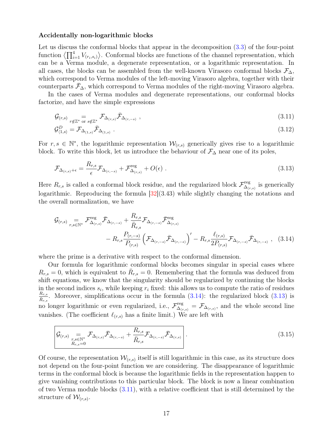#### <span id="page-16-3"></span>Accidentally non-logarithmic blocks

Let us discuss the conformal blocks that appear in the decomposition [\(3.3\)](#page-14-1) of the four-point function  $\left\langle \prod_{i=1}^4 V_{(r_i,s_i)} \right\rangle$ . Conformal blocks are functions of the channel representation, which can be a Verma module, a degenerate representation, or a logarithmic representation. In all cases, the blocks can be assembled from the well-known Virasoro conformal blocks  $\mathcal{F}_{\Delta}$ , which correspond to Verma modules of the left-moving Virasoro algebra, together with their counterparts  $\bar{\mathcal{F}}_{\Delta}$ , which correspond to Verma modules of the right-moving Virasoro algebra.

In the cases of Verma modules and degenerate representations, our conformal blocks factorize, and have the simple expressions

<span id="page-16-2"></span>
$$
\mathcal{G}_{(r,s)} = \mathcal{F}_{\Delta_{(r,s)}} \bar{\mathcal{F}}_{\Delta_{(r,-s)}},
$$
\n(3.11)

$$
\mathcal{G}^D_{\langle 1,s\rangle} = \mathcal{F}_{\Delta_{(1,s)}} \bar{\mathcal{F}}_{\Delta_{(1,s)}} \ . \tag{3.12}
$$

For  $r, s \in \mathbb{N}^*$ , the logarithmic representation  $\mathcal{W}_{(r,s)}$  generically gives rise to a logarithmic block. To write this block, let us introduce the behaviour of  $\mathcal{F}_{\Delta}$  near one of its poles,

<span id="page-16-1"></span>
$$
\mathcal{F}_{\Delta_{(r,s)}+\epsilon} = \frac{R_{r,s}}{\epsilon} \mathcal{F}_{\Delta_{(r,-s)}} + \mathcal{F}_{\Delta_{(r,s)}}^{\text{reg}} + O(\epsilon) \tag{3.13}
$$

Here  $R_{r,s}$  is called a conformal block residue, and the regularized block  $\mathcal{F}^{\text{reg}}_{\Delta_{\mathcal{C}}}$  $\mathcal{L}^{\text{reg}}_{(r,s)}$  is generically logarithmic. Reproducing the formula  $[32](3.43)$  $[32](3.43)$  while slightly changing the notations and the overall normalization, we have

<span id="page-16-0"></span>
$$
G_{(r,s)} = \mathcal{F}_{\Delta_{(r,s)}}^{\text{reg}} \bar{\mathcal{F}}_{\Delta_{(r,-s)}} + \frac{R_{r,s}}{\bar{R}_{r,s}} \mathcal{F}_{\Delta_{(r,-s)}} \bar{\mathcal{F}}_{\Delta_{(r,s)}}^{\text{reg}} - R_{r,s} \frac{P_{(r,-s)}}{P_{(r,s)}} \left( \mathcal{F}_{\Delta_{(r,-s)}} \bar{\mathcal{F}}_{\Delta_{(r,-s)}} \right)' - R_{r,s} \frac{\ell_{(r,s)}}{2 P_{(r,s)}} \mathcal{F}_{\Delta_{(r,-s)}} \bar{\mathcal{F}}_{\Delta_{(r,-s)}}, \quad (3.14)
$$

where the prime is a derivative with respect to the conformal dimension.

Our formula for logarithmic conformal blocks becomes singular in special cases where  $R_{r,s} = 0$ , which is equivalent to  $\bar{R}_{r,s} = 0$ . Remembering that the formula was deduced from shift equations, we know that the singularity should be regularized by continuing the blocks in the second indices  $s_i$ , while keeping  $r_i$  fixed: this allows us to compute the ratio of residues  $R_{r,s}$  $\frac{R_{r,s}}{\bar{R}_{r,s}}$ . Moreover, simplifications occur in the formula [\(3.14\)](#page-16-0): the regularized block [\(3.13\)](#page-16-1) is no longer logarithmic or even regularized, i.e.,  $\mathcal{F}^{\text{reg}}_{\Delta}$  $\mathcal{L}^{\text{reg}}_{\Delta(r,s)} = \mathcal{F}_{\Delta(r,s)}$ , and the whole second line vanishes. (The coefficient  $\ell_{(r,s)}$  has a finite limit.) We are left with

$$
\mathcal{G}_{(r,s)} \underset{R_{r,s}=0}{=} \mathcal{F}_{\Delta_{(r,s)}} \bar{\mathcal{F}}_{\Delta_{(r,-s)}} + \frac{R_{r,s}}{\bar{R}_{r,s}} \mathcal{F}_{\Delta_{(r,-s)}} \bar{\mathcal{F}}_{\Delta_{(r,s)}} \Bigg| \,. \tag{3.15}
$$

Of course, the representation  $W_{(r,s)}$  itself is still logarithmic in this case, as its structure does not depend on the four-point function we are considering. The disappearance of logarithmic terms in the conformal block is because the logarithmic fields in the representation happen to give vanishing contributions to this particular block. The block is now a linear combination of two Verma module blocks [\(3.11\)](#page-16-2), with a relative coefficient that is still determined by the structure of  $\mathcal{W}_{(r,s)}$ .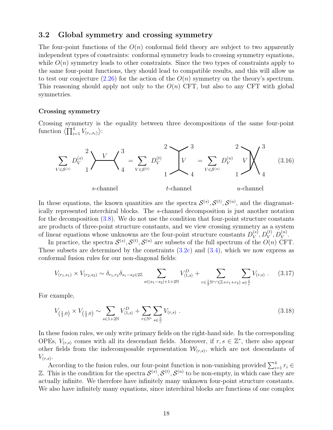#### <span id="page-17-0"></span>3.2 Global symmetry and crossing symmetry

The four-point functions of the  $O(n)$  conformal field theory are subject to two apparently independent types of constraints: conformal symmetry leads to crossing symmetry equations, while  $O(n)$  symmetry leads to other constraints. Since the two types of constraints apply to the same four-point functions, they should lead to compatible results, and this will allow us to test our conjecture  $(2.26)$  for the action of the  $O(n)$  symmetry on the theory's spectrum. This reasoning should apply not only to the  $O(n)$  CFT, but also to any CFT with global symmetries.

#### Crossing symmetry

Crossing symmetry is the equality between three decompositions of the same four-point function  $\langle \prod_{i=1}^4 V_{(r_i,s_i)} \rangle$ :

<span id="page-17-1"></span>

In these equations, the known quantities are the spectra  $\mathcal{S}^{(s)}, \mathcal{S}^{(t)}, \mathcal{S}^{(u)}$ , and the diagramatically represented interchiral blocks. The s-channel decomposition is just another notation for the decomposition  $(3.8)$ . We do not use the condition that four-point structure constants are products of three-point structure constants, and we view crossing symmetry as a system of linear equations whose unknowns are the four-point structure constants  $D_V^{(s)}$  $\stackrel{(s)}{V},D_V^{(t)},D_V^{(u)}.$ 

In practice, the spectra  $\mathcal{S}^{(s)}, \mathcal{S}^{(t)}, \mathcal{S}^{(u)}$  are subsets of the full spectrum of the  $O(n)$  CFT. These subsets are determined by the constraints  $(3.2c)$  and  $(3.4)$ , which we now express as conformal fusion rules for our non-diagonal fields:

<span id="page-17-2"></span>
$$
V_{(r_1,s_1)} \times V_{(r_2,s_2)} \sim \delta_{r_1,r_2} \delta_{s_1-s_2 \in 2\mathbb{Z}} \sum_{s \in |s_1-s_2|+1+2\mathbb{N}} V_{\langle 1,s \rangle}^D + \sum_{r \in \frac{1}{2}\mathbb{N}^* \cap (\mathbb{Z}+r_1+r_2)} \sum_{s \in \frac{\mathbb{Z}}{r}} V_{(r,s)} . \tag{3.17}
$$

For example,

$$
V_{(\frac{1}{2},0)} \times V_{(\frac{1}{2},0)} \sim \sum_{s \in 1+2\mathbb{N}} V_{\langle 1,s \rangle}^D + \sum_{r \in \mathbb{N}^*} \sum_{s \in \frac{\mathbb{Z}}{r}} V_{(r,s)} \ . \tag{3.18}
$$

In these fusion rules, we only write primary fields on the right-hand side. In the corresponding OPEs,  $V_{(r,s)}$  comes with all its descendant fields. Moreover, if  $r, s \in \mathbb{Z}^*$ , there also appear other fields from the indecomposable representation  $\mathcal{W}_{(r,s)}$ , which are not descendants of  $V_{(r,s)}$ .

According to the fusion rules, our four-point function is non-vanishing provided  $\sum_{i=1}^{4} r_i \in$ Z. This is the condition for the spectra  $S^{(s)}, S^{(t)}, S^{(u)}$  to be non-empty, in which case they are actually infinite. We therefore have infinitely many unknown four-point structure constants. We also have infinitely many equations, since interchiral blocks are functions of one complex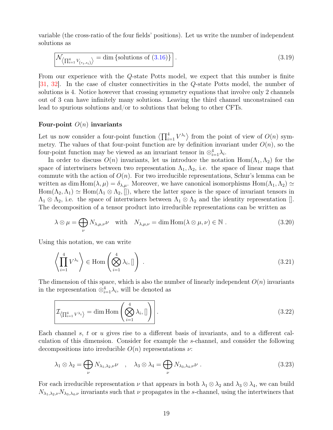<span id="page-18-0"></span>variable (the cross-ratio of the four fields' positions). Let us write the number of independent solutions as

$$
\mathcal{N}_{\left\langle \prod_{i=1}^{4} V_{\left(r_i, s_i\right)} \right\rangle} = \dim \left\{ \text{solutions of } (3.16) \right\} \right]. \tag{3.19}
$$

From our experience with the Q-state Potts model, we expect that this number is finite [\[31,](#page-47-5) [32\]](#page-47-6). In the case of cluster connectivities in the Q-state Potts model, the number of solutions is 4. Notice however that crossing symmetry equations that involve only 2 channels out of 3 can have infinitely many solutions. Leaving the third channel unconstrained can lead to spurious solutions and/or to solutions that belong to other CFTs.

#### Four-point  $O(n)$  invariants

Let us now consider a four-point function  $\langle \prod_{i=1}^4 V^{\lambda_i} \rangle$  from the point of view of  $O(n)$  symmetry. The values of that four-point function are by definition invariant under  $O(n)$ , so the four-point function may be viewed as an invariant tensor in  $\otimes_{i=1}^4 \lambda_i$ .

In order to discuss  $O(n)$  invariants, let us introduce the notation  $Hom(\Lambda_1,\Lambda_2)$  for the space of intertwiners between two representation  $\Lambda_1, \Lambda_2$ , i.e. the space of linear maps that commute with the action of  $O(n)$ . For two irreducible representations, Schur's lemma can be written as dim Hom $(\lambda, \mu) = \delta_{\lambda,\mu}$ . Moreover, we have canonical isomorphisms Hom $(\Lambda_1, \Lambda_2) \simeq$  $Hom(\Lambda_2, \Lambda_1) \simeq Hom(\Lambda_1 \otimes \Lambda_2, []),$  where the latter space is the space of invariant tensors in  $\Lambda_1 \otimes \Lambda_2$ , i.e. the space of intertwiners between  $\Lambda_1 \otimes \Lambda_2$  and the identity representation []. The decomposition of a tensor product into irreducible representations can be written as

$$
\lambda \otimes \mu = \bigoplus_{\nu} N_{\lambda,\mu,\nu} \nu \quad \text{with} \quad N_{\lambda,\mu,\nu} = \dim \text{Hom}(\lambda \otimes \mu, \nu) \in \mathbb{N} \ . \tag{3.20}
$$

Using this notation, we can write

$$
\left\langle \prod_{i=1}^{4} V^{\lambda_i} \right\rangle \in \text{Hom}\left(\bigotimes_{i=1}^{4} \lambda_i, []\right) \tag{3.21}
$$

The dimension of this space, which is also the number of linearly independent  $O(n)$  invariants in the representation  $\otimes_{i=1}^4 \lambda_i$ , will be denoted as

$$
\mathcal{I}_{\left\langle \prod_{i=1}^{4} V^{\lambda_{i}} \right\rangle} = \dim \operatorname{Hom} \left( \bigotimes_{i=1}^{4} \lambda_{i}, [] \right).
$$
\n(3.22)

Each channel s, t or u gives rise to a different basis of invariants, and to a different calculation of this dimension. Consider for example the s-channel, and consider the following decompositions into irreducible  $O(n)$  representations  $\nu$ :

$$
\lambda_1 \otimes \lambda_2 = \bigoplus_{\nu} N_{\lambda_1, \lambda_2, \nu} \nu \quad , \quad \lambda_3 \otimes \lambda_4 = \bigoplus_{\nu} N_{\lambda_3, \lambda_4, \nu} \nu \; . \tag{3.23}
$$

For each irreducible representation  $\nu$  that appears in both  $\lambda_1 \otimes \lambda_2$  and  $\lambda_3 \otimes \lambda_4$ , we can build  $N_{\lambda_1,\lambda_2,\nu}N_{\lambda_3,\lambda_4,\nu}$  invariants such that  $\nu$  propagates in the s-channel, using the intertwiners that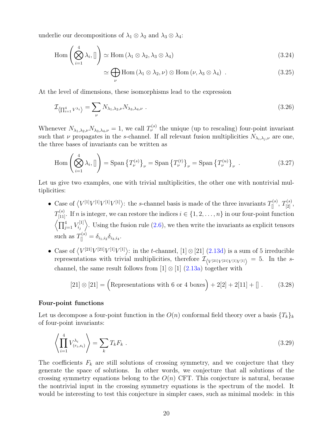underlie our decompositions of  $\lambda_1 \otimes \lambda_2$  and  $\lambda_3 \otimes \lambda_4$ :

$$
\operatorname{Hom}\left(\bigotimes_{i=1}^{4} \lambda_{i}, []\right) \simeq \operatorname{Hom}\left(\lambda_{1} \otimes \lambda_{2}, \lambda_{3} \otimes \lambda_{4}\right) \tag{3.24}
$$

$$
\simeq \bigoplus_{\nu} \text{Hom} \left( \lambda_1 \otimes \lambda_2, \nu \right) \otimes \text{Hom} \left( \nu, \lambda_3 \otimes \lambda_4 \right) . \tag{3.25}
$$

At the level of dimensions, these isomorphisms lead to the expression

$$
\mathcal{I}_{\left\langle \prod_{i=1}^{4} V^{\lambda_i} \right\rangle} = \sum_{\nu} N_{\lambda_1, \lambda_2, \nu} N_{\lambda_3, \lambda_4, \nu} \tag{3.26}
$$

Whenever  $N_{\lambda_1,\lambda_2,\nu}N_{\lambda_3,\lambda_4,\nu}=1$ , we call  $T_{\nu}^{(s)}$  the unique (up to rescaling) four-point invariant such that  $\nu$  propagates in the s-channel. If all relevant fusion multiplicities  $N_{\lambda_i,\lambda_j,\nu}$  are one, the three bases of invariants can be written as

$$
\operatorname{Hom}\left(\bigotimes_{i=1}^{4} \lambda_{i}, []\right) = \operatorname{Span}\left\{T_{\nu}^{(s)}\right\}_{\nu} = \operatorname{Span}\left\{T_{\nu}^{(t)}\right\}_{\nu} = \operatorname{Span}\left\{T_{\nu}^{(u)}\right\}_{\nu}.
$$
\n(3.27)

Let us give two examples, one with trivial multiplicities, the other one with nontrivial multiplicities:

- Case of  $\langle V^{[1]}V^{[1]}V^{[1]}V^{[1]}\rangle$ : the s-channel basis is made of the three invariants  $T^{(s)}_{[]}, T^{(s)}_{[2]},$  $T_{[11]}^{(s)}$ . If n is integer, we can restore the indices  $i \in \{1, 2, \ldots, n\}$  in our four-point function  $\sqrt{\prod_{j=1}^4 V_{i_j}^{[1]}}$  $\langle E_{i,j}^{[1]} \rangle$ . Using the fusion rule [\(2.6\)](#page-8-1), we then write the invariants as explicit tensors such as  $T_{\|}^{(s)} = \delta_{i_1, i_2} \delta_{i_3, i_4}$ .
- Case of  $\langle V^{[21]}V^{[21]}V^{[1]}V^{[1]}\rangle$ : in the t-channel,  $[1] \otimes [21]$   $(2.13d)$  is a sum of 5 irreducible representations with trivial multiplicities, therefore  $\mathcal{I}_{\langle V^{[21]}V^{[21]}V^{[1]}V^{[1]}\rangle} = 5$ . In the schannel, the same result follows from  $[1] \otimes [1]$  [\(2.13a\)](#page-9-2) together with

<span id="page-19-0"></span>
$$
[21] \otimes [21] = \left(\text{Representations with 6 or 4 boxes}\right) + 2[2] + 2[11] + []\,. \tag{3.28}
$$

#### Four-point functions

Let us decompose a four-point function in the  $O(n)$  conformal field theory over a basis  $\{T_k\}_k$ of four-point invariants:

$$
\left\langle \prod_{i=1}^{4} V_{(r_i, s_i)}^{\lambda_i} \right\rangle = \sum_k T_k F_k . \tag{3.29}
$$

The coefficients  $F_k$  are still solutions of crossing symmetry, and we conjecture that they generate the space of solutions. In other words, we conjecture that all solutions of the crossing symmetry equations belong to the  $O(n)$  CFT. This conjecture is natural, because the nontrivial input in the crossing symmetry equations is the spectrum of the model. It would be interesting to test this conjecture in simpler cases, such as minimal models: in this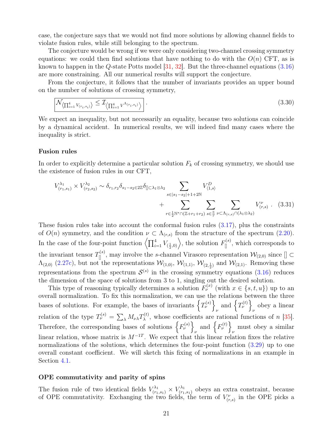<span id="page-20-1"></span>case, the conjecture says that we would not find more solutions by allowing channel fields to violate fusion rules, while still belonging to the spectrum.

The conjecture would be wrong if we were only considering two-channel crossing symmetry equations: we could then find solutions that have nothing to do with the  $O(n)$  CFT, as is known to happen in the Q-state Potts model [\[31,](#page-47-5) [32\]](#page-47-6). But the three-channel equations [\(3.16\)](#page-17-1) are more constraining. All our numerical results will support the conjecture.

From the conjecture, it follows that the number of invariants provides an upper bound on the number of solutions of crossing symmetry,

<span id="page-20-0"></span>
$$
\mathcal{N}_{\left\langle \prod_{i=1}^{4} V_{(r_i, s_i)} \right\rangle} \leq \mathcal{I}_{\left\langle \prod_{i=1}^{4} V^{\Lambda_{(r_i, s_i)}} \right\rangle} \tag{3.30}
$$

We expect an inequality, but not necessarily an equality, because two solutions can coincide by a dynamical accident. In numerical results, we will indeed find many cases where the inequality is strict.

#### Fusion rules

In order to explicitly determine a particular solution  $F_k$  of crossing symmetry, we should use the existence of fusion rules in our CFT,

$$
V_{(r_1,s_1)}^{\lambda_1} \times V_{(r_2,s_2)}^{\lambda_2} \sim \delta_{r_1,r_2} \delta_{s_1-s_2 \in 2\mathbb{Z}} \delta_{[] \subset \lambda_1 \otimes \lambda_2} \sum_{s \in |s_1-s_2|+1+2\mathbb{N}} V_{\langle 1,s \rangle}^D + \sum_{r \in \frac{1}{2} \mathbb{N}^* \cap (\mathbb{Z}+r_1+r_2)} \sum_{s \in \frac{\mathbb{Z}}{r}} \sum_{\nu \subset \Lambda_{(r,s)} \cap (\lambda_1 \otimes \lambda_2)} V_{(r,s)}^{\nu}. \tag{3.31}
$$

These fusion rules take into account the conformal fusion rules [\(3.17\)](#page-17-2), plus the constraints of  $O(n)$  symmetry, and the condition  $\nu \subset \Lambda_{(r,s)}$  from the structure of the spectrum [\(2.20\)](#page-11-0). In the case of the four-point function  $\left\langle \prod_{i=1}^4 V_{(\frac{1}{2},0)} \right\rangle$ , the solution  $F_{[]}^{(s)}$ , which corresponds to the invariant tensor  $T_{\parallel}^{(s)}$ , may involve the s-channel Virasoro representation  $\mathcal{W}_{(2,0)}$  since  $[] \subset$  $\Lambda_{(2,0)}$  [\(2.27c\)](#page-12-3), but not the representations  $\mathcal{W}_{(1,0)}$ ,  $\mathcal{W}_{(1,1)}$ ,  $\mathcal{W}_{(2,\frac{1}{2})}$  and  $\mathcal{W}_{(2,1)}$ . Removing these representations from the spectrum  $\mathcal{S}^{(s)}$  in the crossing symmetry equations [\(3.16\)](#page-17-1) reduces the dimension of the space of solutions from 3 to 1, singling out the desired solution.

This type of reasoning typically determines a solution  $F_{\nu}^{(x)}$  (with  $x \in \{s, t, u\}$ ) up to an overall normalization. To fix this normalization, we can use the relations between the three bases of solutions. For example, the bases of invariants  $\left\{T_{\nu}^{(s)}\right\}$  and  $\left\{T_{\nu}^{(t)}\right\}$  obey a linear ν ν relation of the type  $T_{\nu}^{(s)} = \sum_{\lambda} M_{\nu\lambda} T_{\lambda}^{(t)}$  $\lambda^{(t)}$ , whose coefficients are rational functions of n [\[35\]](#page-47-9). Therefore, the corresponding bases of solutions  $\{F_{\nu}^{(s)}\}$  $_{\nu}$  and  $\left\{ F_{\nu}^{(t)}\right\}$ must obey a similar linear relation, whose matrix is  $M^{-1T}$ . We expect that this linear relation fixes the relative normalizations of the solutions, which determines the four-point function [\(3.29\)](#page-19-0) up to one overall constant coefficient. We will sketch this fixing of normalizations in an example in Section [4.1.](#page-27-0)

#### OPE commutativity and parity of spins

The fusion rule of two identical fields  $V_{(r_1,s_1)}^{\lambda_1} \times V_{(r_1)}^{\lambda_1}$  $\binom{r\lambda_1}{(r_1,s_1)}$  obeys an extra constraint, because of OPE commutativity. Exchanging the two fields, the term of  $V_{(r,s)}^{\nu}$  in the OPE picks a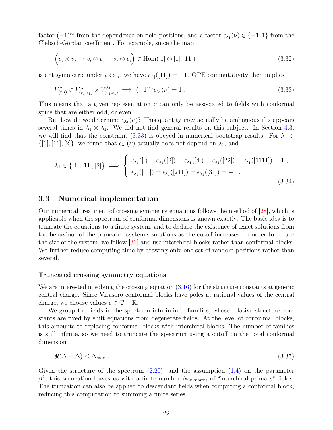<span id="page-21-2"></span>factor  $(-1)^{rs}$  from the dependence on field positions, and a factor  $\epsilon_{\lambda_1}(\nu) \in \{-1,1\}$  from the Clebsch-Gordan coefficient. For example, since the map

$$
\left(v_i \otimes v_j \mapsto v_i \otimes v_j - v_j \otimes v_i\right) \in \text{Hom}([1] \otimes [1], [11])
$$
\n(3.32)

is antisymmetric under  $i \leftrightarrow j$ , we have  $\epsilon_{11}([11]) = -1$ . OPE commutativity then implies

<span id="page-21-1"></span>
$$
V_{(r,s)}^{\nu} \in V_{(r_1,s_1)}^{\lambda_1} \times V_{(r_1,s_1)}^{\lambda_1} \implies (-1)^{rs} \epsilon_{\lambda_1}(\nu) = 1.
$$
\n(3.33)

This means that a given representation  $\nu$  can only be associated to fields with conformal spins that are either odd, or even.

But how do we determine  $\epsilon_{\lambda_1}(\nu)$ ? This quantity may actually be ambiguous if  $\nu$  appears several times in  $\lambda_1 \otimes \lambda_1$ . We did not find general results on this subject. In Section [4.3,](#page-34-0) we will find that the constraint [\(3.33\)](#page-21-1) is obeyed in numerical bootstrap results. For  $\lambda_1 \in$  $\{[1], [11], [2]\}$ , we found that  $\epsilon_{\lambda_1}(\nu)$  actually does not depend on  $\lambda_1$ , and

$$
\lambda_1 \in \{ [1], [11], [2] \} \implies \begin{cases} \epsilon_{\lambda_1}([]) = \epsilon_{\lambda_1}([2]) = \epsilon_{\lambda_1}([4]) = \epsilon_{\lambda_1}([22]) = \epsilon_{\lambda_1}([1111]) = 1, \\ \epsilon_{\lambda_1}([11]) = \epsilon_{\lambda_1}([211]) = \epsilon_{\lambda_1}([31]) = -1. \end{cases}
$$
\n(3.34)

#### <span id="page-21-0"></span>3.3 Numerical implementation

Our numerical treatment of crossing symmetry equations follows the method of [\[28\]](#page-47-2), which is applicable when the spectrum of conformal dimensions is known exactly. The basic idea is to truncate the equations to a finite system, and to deduce the existence of exact solutions from the behaviour of the truncated system's solutions as the cutoff increases. In order to reduce the size of the system, we follow  $|31|$  and use interchiral blocks rather than conformal blocks. We further reduce computing time by drawing only one set of random positions rather than several.

#### Truncated crossing symmetry equations

We are interested in solving the crossing equation [\(3.16\)](#page-17-1) for the structure constants at generic central charge. Since Virasoro conformal blocks have poles at rational values of the central charge, we choose values  $c \in \mathbb{C} - \mathbb{R}$ .

We group the fields in the spectrum into infinite families, whose relative structure constants are fixed by shift equations from degenerate fields. At the level of conformal blocks, this amounts to replacing conformal blocks with interchiral blocks. The number of families is still infinite, so we need to truncate the spectrum using a cutoff on the total conformal dimension

$$
\Re(\Delta + \bar{\Delta}) \le \Delta_{\text{max}} \tag{3.35}
$$

Given the structure of the spectrum  $(2.20)$ , and the assumption  $(1.4)$  on the parameter  $\beta^2$ , this truncation leaves us with a finite number  $N_{\text{unknowns}}$  of "interchiral primary" fields. The truncation can also be applied to descendant fields when computing a conformal block, reducing this computation to summing a finite series.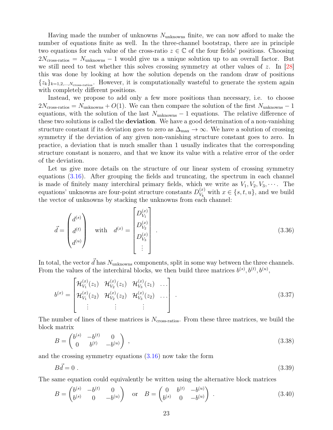<span id="page-22-1"></span>Having made the number of unknowns  $N_{\text{unknowns}}$  finite, we can now afford to make the number of equations finite as well. In the three-channel bootstrap, there are in principle two equations for each value of the cross-ratio  $z \in \mathbb{C}$  of the four fields' positions. Choosing  $2N_{\rm cross-ratios} = N_{\rm unknowns} - 1$  would give us a unique solution up to an overall factor. But we still need to test whether this solves crossing symmetry at other values of z. In  $|28|$ this was done by looking at how the solution depends on the random draw of positions  $\{z_k\}_{k=1,2,\dots,N_{\text{cross-ratios}}}$ . However, it is computationally wasteful to generate the system again with completely different positions.

Instead, we propose to add only a few more positions than necessary, i.e. to choose  $2N_{\rm cross\text{-}ratios} = N_{\rm unknowns} + O(1)$ . We can then compare the solution of the first  $N_{\rm unknowns} - 1$ equations, with the solution of the last  $N_{\text{unknowns}} - 1$  equations. The relative difference of these two solutions is called the **deviation**. We have a good determination of a non-vanishing structure constant if its deviation goes to zero as  $\Delta_{\text{max}} \to \infty$ . We have a solution of crossing symmetry if the deviation of any given non-vanishing structure constant goes to zero. In practice, a deviation that is much smaller than 1 usually indicates that the corresponding structure constant is nonzero, and that we know its value with a relative error of the order of the deviation.

Let us give more details on the structure of our linear system of crossing symmetry equations [\(3.16\)](#page-17-1). After grouping the fields and truncating, the spectrum in each channel is made of finitely many interchiral primary fields, which we write as  $V_1, V_2, V_3, \cdots$ . The equations' unknowns are four-point structure constants  $D_{V_L}^{(x)}$  $V_k^{(x)}$  with  $x \in \{s, t, u\}$ , and we build the vector of unknowns by stacking the unknowns from each channel:

$$
\vec{d} = \begin{pmatrix} d^{(s)} \\ d^{(t)} \\ d^{(u)} \end{pmatrix} \quad \text{with} \quad d^{(x)} = \begin{bmatrix} D_{V_1}^{(x)} \\ D_{V_2}^{(x)} \\ D_{V_3}^{(x)} \\ \vdots \end{bmatrix} . \tag{3.36}
$$

In total, the vector  $\vec{d}$  has  $N_{\text{unknowns}}$  components, split in some way between the three channels. From the values of the interchiral blocks, we then build three matrices  $b^{(s)}, b^{(t)}, b^{(u)},$ 

$$
b^{(x)} = \begin{bmatrix} \mathcal{H}_{V_1}^{(x)}(z_1) & \mathcal{H}_{V_2}^{(x)}(z_1) & \mathcal{H}_{V_3}^{(x)}(z_1) & \dots \\ \mathcal{H}_{V_1}^{(x)}(z_2) & \mathcal{H}_{V_2}^{(x)}(z_2) & \mathcal{H}_{V_3}^{(x)}(z_2) & \dots \\ \vdots & \vdots & \vdots & \ddots \end{bmatrix} \tag{3.37}
$$

The number of lines of these matrices is  $N_{\rm cross\text{-}ratios}$ . From these three matrices, we build the block matrix

<span id="page-22-0"></span>
$$
B = \begin{pmatrix} b^{(s)} & -b^{(t)} & 0 \\ 0 & b^{(t)} & -b^{(u)} \end{pmatrix} , \qquad (3.38)
$$

and the crossing symmetry equations [\(3.16\)](#page-17-1) now take the form

$$
B\vec{d} = 0 \tag{3.39}
$$

The same equation could equivalently be written using the alternative block matrices

$$
B = \begin{pmatrix} b^{(s)} & -b^{(t)} & 0 \\ b^{(s)} & 0 & -b^{(u)} \end{pmatrix} \quad \text{or} \quad B = \begin{pmatrix} 0 & b^{(t)} & -b^{(u)} \\ b^{(s)} & 0 & -b^{(u)} \end{pmatrix} . \tag{3.40}
$$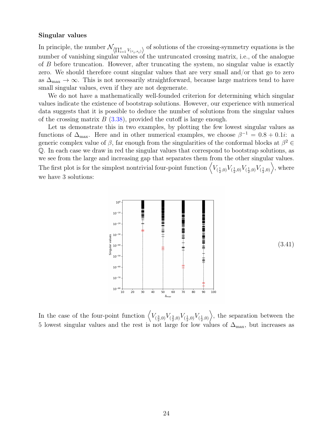#### Singular values

In principle, the number  $\mathcal{N}_{\langle \prod_{i=1}^4 V_{(r_i, s_i)} \rangle}$  of solutions of the crossing-symmetry equations is the number of vanishing singular values of the untruncated crossing matrix, i.e., of the analogue of B before truncation. However, after truncating the system, no singular value is exactly zero. We should therefore count singular values that are very small and/or that go to zero as  $\Delta_{\text{max}} \to \infty$ . This is not necessarily straightforward, because large matrices tend to have small singular values, even if they are not degenerate.

We do not have a mathematically well-founded criterion for determining which singular values indicate the existence of bootstrap solutions. However, our experience with numerical data suggests that it is possible to deduce the number of solutions from the singular values of the crossing matrix  $B(3.38)$  $B(3.38)$ , provided the cutoff is large enough.

Let us demonstrate this in two examples, by plotting the few lowest singular values as functions of  $\Delta_{\text{max}}$ . Here and in other numerical examples, we choose  $\beta^{-1} = 0.8 + 0.1i$ : a generic complex value of  $\beta$ , far enough from the singularities of the conformal blocks at  $\beta^2 \in$ Q. In each case we draw in red the singular values that correspond to bootstrap solutions, as we see from the large and increasing gap that separates them from the other singular values. The first plot is for the simplest nontrivial four-point function  $\left\langle V_{(\frac{1}{2},0)}V_{(\frac{1}{2},0)}V_{(\frac{1}{2},0)}V_{(\frac{1}{2},0)}\right\rangle$ , where we have 3 solutions:

<span id="page-23-0"></span>

In the case of the four-point function  $\left\langle V_{(\frac{3}{2},0)}V_{(\frac{3}{2},0)}V_{(\frac{1}{2},0)}V_{(\frac{1}{2},0)}\right\rangle$ , the separation between the 5 lowest singular values and the rest is not large for low values of  $\Delta_{\text{max}}$ , but increases as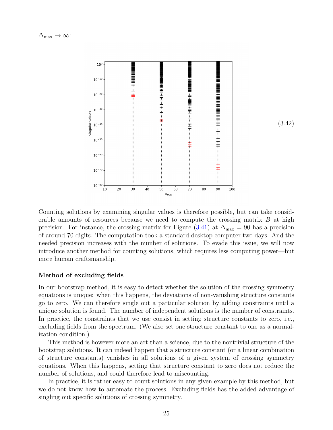

(3.42)

Counting solutions by examining singular values is therefore possible, but can take considerable amounts of resources because we need to compute the crossing matrix  $B$  at high precision. For instance, the crossing matrix for Figure [\(3.41\)](#page-23-0) at  $\Delta_{\text{max}} = 90$  has a precision of around 70 digits. The computation took a standard desktop computer two days. And the needed precision increases with the number of solutions. To evade this issue, we will now introduce another method for counting solutions, which requires less computing power—but more human craftsmanship.

#### Method of excluding fields

In our bootstrap method, it is easy to detect whether the solution of the crossing symmetry equations is unique: when this happens, the deviations of non-vanishing structure constants go to zero. We can therefore single out a particular solution by adding constraints until a unique solution is found. The number of independent solutions is the number of constraints. In practice, the constraints that we use consist in setting structure constants to zero, i.e., excluding fields from the spectrum. (We also set one structure constant to one as a normalization condition.)

This method is however more an art than a science, due to the nontrivial structure of the bootstrap solutions. It can indeed happen that a structure constant (or a linear combination of structure constants) vanishes in all solutions of a given system of crossing symmetry equations. When this happens, setting that structure constant to zero does not reduce the number of solutions, and could therefore lead to miscounting.

In practice, it is rather easy to count solutions in any given example by this method, but we do not know how to automate the process. Excluding fields has the added advantage of singling out specific solutions of crossing symmetry.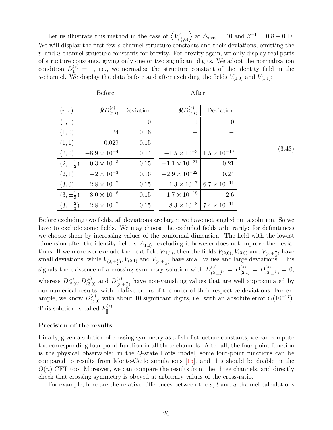<span id="page-25-0"></span>Let us illustrate this method in the case of  $\langle V_d^4 \rangle$  $\langle \frac{1}{2},0\rangle$  at  $\Delta_{\text{max}} = 40$  and  $\beta^{-1} = 0.8 + 0.1i$ . We will display the first few s-channel structure constants and their deviations, omitting the  $t$ - and  $u$ -channel structure constants for brevity. For brevity again, we only display real parts of structure constants, giving only one or two significant digits. We adopt the normalization condition  $D_1^{(s)} = 1$ , i.e., we normalize the structure constant of the identity field in the s-channel. We display the data before and after excluding the fields  $V_{(1,0)}$  and  $V_{(1,1)}$ :

Before After

| (r,s)                  | $\Re D_{(r,s)}^{(s)}$ | Deviation      | $\Re D^{(s)}_{(r,s)}$  | Deviation                                  |
|------------------------|-----------------------|----------------|------------------------|--------------------------------------------|
| $\langle 1, 1 \rangle$ | 1                     | $\overline{0}$ | $\mathbf{1}$           | $\theta$                                   |
| (1,0)                  | 1.24                  | 0.16           |                        |                                            |
| (1, 1)                 | $-0.029$              | 0.15           |                        |                                            |
| (2,0)                  | $-8.9 \times 10^{-4}$ | 0.14           | $-1.5 \times 10^{-3}$  | $1.5 \times 10^{-19}$                      |
| $(2,\pm \frac{1}{2})$  | $0.3 \times 10^{-3}$  | 0.15           | $-1.1 \times 10^{-21}$ | 0.21                                       |
| (2,1)                  | $-2 \times 10^{-3}$   | 0.16           | $-2.9 \times 10^{-22}$ | 0.24                                       |
| (3,0)                  | $2.8 \times 10^{-7}$  | 0.15           |                        | $1.3 \times 10^{-7}$ 6.7 $\times 10^{-11}$ |
| $(3,\pm \frac{1}{3})$  | $-8.0 \times 10^{-8}$ | 0.15           | $-1.7 \times 10^{-18}$ | 2.6                                        |
| $(3,\pm \frac{2}{3})$  | $2.8 \times 10^{-7}$  | 0.15           |                        | $8.3 \times 10^{-8}$ 7.4 $\times 10^{-11}$ |

Before excluding two fields, all deviations are large: we have not singled out a solution. So we have to exclude some fields. We may choose the excluded fields arbitrarily: for definiteness we choose them by increasing values of the conformal dimension. The field with the lowest dimension after the identity field is  $V_{(1,0)}$ : excluding it however does not improve the deviations. If we moreover exclude the next field  $V_{(1,1)}$ , then the fields  $V_{(2,0)}$ ,  $V_{(3,0)}$  and  $V_{(3,\pm \frac{2}{3})}$  have small deviations, while  $V_{(2,\pm \frac{1}{2})}$ ,  $V_{(2,1)}$  and  $V_{(3,\pm \frac{1}{3})}$  have small values and large deviations. This signals the existence of a crossing symmetry solution with  $D_{(2)}^{(s)}$  $\frac{1}{(2, \pm \frac{1}{2})}$  =  $D_{(2,1)}^{(s)}$  =  $D_{(3,1)}^{(s)}$  $\frac{(s)}{(3,\pm \frac{1}{3})} = 0,$ whereas  $D_{(2,0)}^{(s)}$ ,  $D_{(3,0)}^{(s)}$  and  $D_{(3,0)}^{(s)}$  $\frac{(s)}{(3,\pm\frac{2}{3})}$  have non-vanishing values that are well approximated by our numerical results, with relative errors of the order of their respective deviations. For example, we know  $D_{(3,0)}^{(s)}$  with about 10 significant digits, i.e. with an absolute error  $O(10^{-17})$ . This solution is called  $F_{\parallel}^{(s)}$ .

#### Precision of the results

Finally, given a solution of crossing symmetry as a list of structure constants, we can compute the corresponding four-point function in all three channels. After all, the four-point function is the physical observable: in the Q-state Potts model, some four-point functions can be compared to results from Monte-Carlo simulations [\[15\]](#page-46-4), and this should be doable in the  $O(n)$  CFT too. Moreover, we can compare the results from the three channels, and directly check that crossing symmetry is obeyed at arbitrary values of the cross-ratio.

For example, here are the relative differences between the  $s, t$  and  $u$ -channel calculations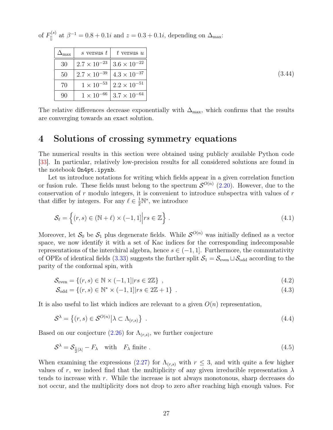<span id="page-26-1"></span>of  $F_{\parallel}^{(s)}$  at  $\beta^{-1} = 0.8 + 0.1i$  and  $z = 0.3 + 0.1i$ , depending on  $\Delta_{\text{max}}$ :

| max | s versus t            | t versus $u$          |
|-----|-----------------------|-----------------------|
| 30  | $2.7 \times 10^{-23}$ | $3.6 \times 10^{-22}$ |
| 50  | $2.7 \times 10^{-39}$ | $4.3 \times 10^{-37}$ |
| 70  | $1 \times 10^{-53}$   | $2.2 \times 10^{-51}$ |
| 90  | $1 \times 10^{-66}$   | $3.7 \times 10^{-64}$ |

(3.44)

The relative differences decrease exponentially with  $\Delta_{\text{max}}$ , which confirms that the results are converging towards an exact solution.

# <span id="page-26-0"></span>4 Solutions of crossing symmetry equations

The numerical results in this section were obtained using publicly available Python code [\[33\]](#page-47-7). In particular, relatively low-precision results for all considered solutions are found in the notebook On4pt.ipynb.

Let us introduce notations for writing which fields appear in a given correlation function or fusion rule. These fields must belong to the spectrum  $\mathcal{S}^{O(n)}$  [\(2.20\)](#page-11-0). However, due to the conservation of  $r$  modulo integers, it is convenient to introduce subspectra with values of  $r$ that differ by integers. For any  $\ell \in \frac{1}{2}N^*$ , we introduce

$$
\mathcal{S}_{\ell} = \left\{ (r, s) \in (\mathbb{N} + \ell) \times (-1, 1] \middle| rs \in \mathbb{Z} \right\}.
$$
\n(4.1)

Moreover, let  $S_0$  be  $S_1$  plus degenerate fields. While  $S^{O(n)}$  was initially defined as a vector space, we now identify it with a set of Kac indices for the corresponding indecomposable representations of the interchiral algebra, hence  $s \in (-1, 1]$ . Furthermore, the commutativity of OPEs of identical fields [\(3.33\)](#page-21-1) suggests the further split  $S_1 = S_{\text{even}} \sqcup S_{\text{odd}}$  according to the parity of the conformal spin, with

$$
\mathcal{S}_{\text{even}} = \{(r, s) \in \mathbb{N} \times (-1, 1] | rs \in 2\mathbb{Z}\},\tag{4.2}
$$

$$
S_{odd} = \{(r, s) \in \mathbb{N}^* \times (-1, 1] | rs \in 2\mathbb{Z} + 1\} .
$$
\n(4.3)

It is also useful to list which indices are relevant to a given  $O(n)$  representation,

$$
S^{\lambda} = \left\{ (r, s) \in S^{O(n)} \middle| \lambda \subset \Lambda_{(r, s)} \right\} \tag{4.4}
$$

Based on our conjecture  $(2.26)$  for  $\Lambda_{(r,s)}$ , we further conjecture

$$
S^{\lambda} = S_{\frac{1}{2}|\lambda|} - F_{\lambda} \quad \text{with} \quad F_{\lambda} \text{ finite }.
$$
 (4.5)

When examining the expressions [\(2.27\)](#page-12-4) for  $\Lambda_{(r,s)}$  with  $r \leq 3$ , and with quite a few higher values of r, we indeed find that the multiplicity of any given irreducible representation  $\lambda$ tends to increase with r. While the increase is not always monotonous, sharp decreases do not occur, and the multiplicity does not drop to zero after reaching high enough values. For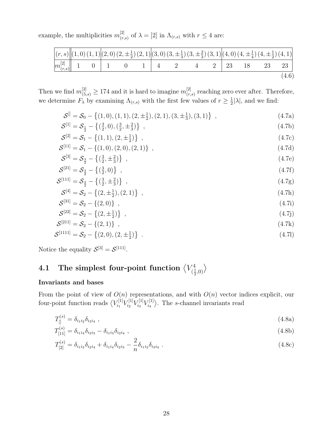example, the multiplicities  $m_{\tau}^{[2]}$  $\binom{[2]}{(r,s)}$  of  $\lambda = [2]$  in  $\Lambda_{(r,s)}$  with  $r \leq 4$  are:

|  |  |  | $\left  (r,s) \right  (1,0) (1,1) (2,0) (2, \pm \frac{1}{2}) (2,1) (3,0) (3, \pm \frac{1}{3}) (3, \pm \frac{2}{3}) (3,1) (4,0) (4, \pm \frac{1}{4}) (4, \pm \frac{1}{2}) (4,1)$ |  |  |       |
|--|--|--|---------------------------------------------------------------------------------------------------------------------------------------------------------------------------------|--|--|-------|
|  |  |  | $\boxed{m_{(r,s)}^{[2]}$ 1 0 1 0 1 4 2 4 2 23 18 23 23                                                                                                                          |  |  |       |
|  |  |  |                                                                                                                                                                                 |  |  | (4.6) |

Then we find  $m_{(5,s)}^{[2]} \geq 174$  and it is hard to imagine  $m_{(r,s)}^{[2]}$  $\binom{[2]}{(r,s)}$  reaching zero ever after. Therefore, we determine  $F_{\lambda}$  by examining  $\Lambda_{(r,s)}$  with the first few values of  $r \geq \frac{1}{2}$  $\frac{1}{2}|\lambda|$ , and we find:

<span id="page-27-5"></span><span id="page-27-2"></span><span id="page-27-1"></span>
$$
\mathcal{S}^{\parallel} = \mathcal{S}_0 - \left\{ (1,0), (1,1), (2, \pm \frac{1}{2}), (2,1), (3, \pm \frac{1}{3}), (3,1) \right\} ,\tag{4.7a}
$$

$$
S^{[1]} = S_{\frac{1}{2}} - \left\{ \left(\frac{3}{2}, 0\right), \left(\frac{3}{2}, \pm \frac{2}{3}\right) \right\} \tag{4.7b}
$$

$$
S^{[2]} = S_1 - \{(1,1), (2, \pm \frac{1}{2})\}, \qquad (4.7c)
$$

$$
S^{[11]} = S_1 - \{(1,0), (2,0), (2,1)\}, \qquad (4.7d)
$$

$$
S^{[3]} = S_{\frac{3}{2}} - \left\{ \left( \frac{3}{2}, \pm \frac{2}{3} \right) \right\} \tag{4.7e}
$$

$$
S^{[21]} = S_{\frac{3}{2}} - \{(\frac{3}{2}, 0)\},\tag{4.7f}
$$

$$
S^{[111]} = S_{\frac{3}{2}} - \left\{ \left( \frac{3}{2}, \pm \frac{2}{3} \right) \right\} \tag{4.7g}
$$

$$
S^{[4]} = S_2 - \{(2, \pm \frac{1}{2}), (2, 1)\}, \qquad (4.7h)
$$

<span id="page-27-6"></span><span id="page-27-4"></span><span id="page-27-3"></span>
$$
S^{[31]} = S_2 - \{(2,0)\} \t{,} \t(4.7i)
$$

$$
S^{[22]} = S_2 - \{(2, \pm \frac{1}{2})\}, \qquad (4.7)
$$

$$
S^{[211]} = S_2 - \{(2,1)\}, \qquad (4.7k)
$$

$$
S^{[1111]} = S_2 - \{(2,0), (2, \pm \frac{1}{2})\} \tag{4.71}
$$

Notice the equality  $S^{[3]} = S^{[111]}$ .

#### <span id="page-27-0"></span>4.1 The simplest four-point function  $\langle V_{\mu}^4$  $\binom{4}{(\frac{1}{2},0)}$

#### Invariants and bases

From the point of view of  $O(n)$  representations, and with  $O(n)$  vector indices explicit, our four-point function reads  $\langle V_{i_1}^{[1]}$  $\tilde{v}^{[1]}_{i_1} V^{[1]}_{i_2}$  $\begin{array}{c} V^{[1]}_{i_2} V^{[1]}_{i_3} \end{array}$  $\frac{V^{[1]}_i}{V^{[1]}_{i_4}}$  $\langle \xi_i^{[1]} \rangle$ . The s-channel invariants read

$$
T_{[]}^{(s)} = \delta_{i_1 i_2} \delta_{i_3 i_4} \tag{4.8a}
$$

$$
T_{[11]}^{(s)} = \delta_{i_1 i_4} \delta_{i_2 i_3} - \delta_{i_1 i_3} \delta_{i_2 i_4} \tag{4.8b}
$$

$$
T_{[2]}^{(s)} = \delta_{i_1 i_3} \delta_{i_2 i_4} + \delta_{i_1 i_4} \delta_{i_2 i_3} - \frac{2}{n} \delta_{i_1 i_2} \delta_{i_3 i_4} . \tag{4.8c}
$$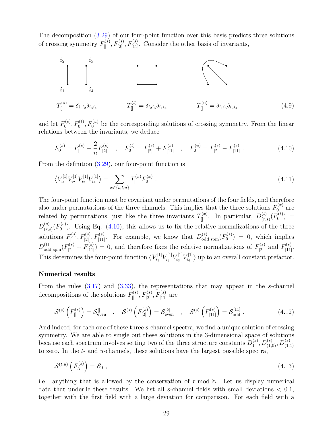The decomposition [\(3.29\)](#page-19-0) of our four-point function over this basis predicts three solutions of crossing symmetry  $F_{[1]}^{(s)}, F_{[2]}^{(s)}, F_{[11]}^{(s)}$ . Consider the other basis of invariants,



and let  $F_0^{(s)}$  $F_0^{(s)}$ ,  $F_0^{(t)}$ ,  $F_0^{(u)}$  be the corresponding solutions of crossing symmetry. From the linear relations between the invariants, we deduce

<span id="page-28-1"></span><span id="page-28-0"></span>
$$
F_0^{(s)} = F_{[]}^{(s)} - \frac{2}{n} F_{[2]}^{(s)} \quad , \quad F_0^{(t)} = F_{[2]}^{(s)} + F_{[11]}^{(s)} \quad , \quad F_0^{(u)} = F_{[2]}^{(s)} - F_{[11]}^{(s)} \; . \tag{4.10}
$$

From the definition [\(3.29\)](#page-19-0), our four-point function is

$$
\left\langle V_{i_1}^{[1]} V_{i_2}^{[1]} V_{i_3}^{[1]} V_{i_4}^{[1]} \right\rangle = \sum_{x \in \{s, t, u\}} T_{[]}^{(x)} F_0^{(x)} . \tag{4.11}
$$

The four-point function must be covariant under permutations of the four fields, and therefore also under permutations of the three channels. This implies that the three solutions  $F_0^{(x)}$  $\int_{0}^{\tau(x)}$  are related by permutations, just like the three invariants  $T_{\parallel}^{(x)}$ . In particular,  $D_{(r,x)}^{(t)}$  $\binom{(t)}{(r,s)}$   $\binom{F^{(t)}_{0}}{F^{(t)}_{0}}$  $\binom{1}{0} =$  $D^{(s)}_{(r)}$  $\binom{(s)}{(r,s)}$   $\binom{F^{(s)}_{0}}{F^{(s)}_{0}}$  $\mathcal{O}_0^{(8)}$ . Using Eq. [\(4.10\)](#page-28-0), this allows us to fix the relative normalizations of the three solutions  $F_{\parallel}^{(s)}, F_{[2]}^{(s)}, F_{[11]}^{(s)}$ . For example, we know that  $D_{odd\;spin}^{(s)}(F_0^{(s)})$  $\binom{N(S)}{0}$  = 0, which implies  $D_{\text{odd spin}}^{(t)}(F_{[2]}^{(s)}+F_{[11]}^{(s)})=0$ , and therefore fixes the relative normalizations of  $F_{[2]}^{(s)}$  and  $F_{[11]}^{(s)}$ . This determines the four-point function  $\langle V_{i_1}^{[1]} \rangle$  $\frac{V^{[1]}_i}{V^{[1]}_{i_2}}$  $\frac{V^{[1]}_i}{V^{[1]}_{i_3}}$  $\frac{V^{[1]}_i}{V^{[1]}_{i_4}}$  $\langle u_1^{[1]} \rangle$  up to an overall constant prefactor.

#### Numerical results

From the rules  $(3.17)$  and  $(3.33)$ , the representations that may appear in the s-channel decompositions of the solutions  $F_{\parallel}^{(s)}$ ,  $F_{[2]}^{(s)}$ ,  $F_{[11]}^{(s)}$  are

$$
\mathcal{S}^{(s)}\left(F_{[]}^{(s)}\right) = \mathcal{S}_{\text{even}}^{[]} \quad , \quad \mathcal{S}^{(s)}\left(F_{[2]}^{(s)}\right) = \mathcal{S}_{\text{even}}^{[2]} \quad , \quad \mathcal{S}^{(s)}\left(F_{[11]}^{(s)}\right) = \mathcal{S}_{\text{odd}}^{[11]} \quad . \tag{4.12}
$$

And indeed, for each one of these three s-channel spectra, we find a unique solution of crossing symmetry. We are able to single out these solutions in the 3-dimensional space of solutions because each spectrum involves setting two of the three structure constants  $D_1^{(s)}$  $\big( \begin{smallmatrix} (s) \ 1 \end{smallmatrix} , D_{(1,0)}^{(s)} , D_{(1,1)}^{(s)}$ to zero. In the  $t$ - and  $u$ -channels, these solutions have the largest possible spectra,

$$
\mathcal{S}^{(t,u)}\left(F_{\lambda}^{(s)}\right) = \mathcal{S}_0\,\,,\tag{4.13}
$$

i.e. anything that is allowed by the conservation of  $r \mod \mathbb{Z}$ . Let us display numerical data that underlie these results. We list all s-channel fields with small deviations  $< 0.1$ , together with the first field with a large deviation for comparison. For each field with a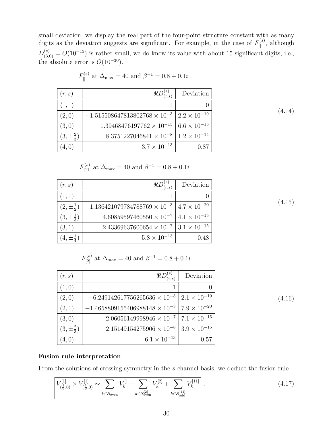small deviation, we display the real part of the four-point structure constant with as many digits as the deviation suggests are significant. For example, in the case of  $F_{\parallel}^{(s)}$ , although  $D_{(3,0)}^{(s)} = O(10^{-15})$  is rather small, we do know its value with about 15 significant digits, i.e., the absolute error is  $O(10^{-30})$ .

| $(r, s)$               | $\Re D_{(r,s)}^{(s)}$                    | Deviation               |
|------------------------|------------------------------------------|-------------------------|
| $\langle 1, 1 \rangle$ | 1                                        | 0                       |
| $(2, 0)$               | -1.515508647813802768 × 10 <sup>-3</sup> | 2.2 × 10 <sup>-19</sup> |
| $(3, 0)$               | 1.39468476197762 × 10 <sup>-15</sup>     | 6.6 × 10 <sup>-15</sup> |
| $(3, \pm \frac{2}{3})$ | 8.3751227046841 × 10 <sup>-8</sup>       | 1.2 × 10 <sup>-14</sup> |
| $(4, 0)$               | 3.7 × 10 <sup>-13</sup>                  | 0.87                    |

$$
F_{\parallel}^{(s)}
$$
 at  $\Delta_{\text{max}} = 40$  and  $\beta^{-1} = 0.8 + 0.1i$ 

$$
F_{[11]}^{(s)}
$$
 at  $\Delta_{\text{max}} = 40$  and  $\beta^{-1} = 0.8 + 0.1i$ 

| (r,s)                 | $\Re D^{(s)}$<br>(r.s)                                         | Deviation |
|-----------------------|----------------------------------------------------------------|-----------|
| (1,1)                 |                                                                |           |
| $(2,\pm \frac{1}{2})$ | $-1.136421079784788769 \times 10^{-3}$   $4.7 \times 10^{-20}$ |           |
| $(3,\pm \frac{1}{3})$ | $4.60859597460550 \times 10^{-7}$   $4.1 \times 10^{-15}$      |           |
| (3,1)                 | $2.43369637600654 \times 10^{-7}$   $3.1 \times 10^{-15}$      |           |
| $(4,\pm \frac{1}{4})$ | $5.8 \times 10^{-13}$                                          | 0.48      |

$$
F_{[2]}^{(s)}
$$
 at  $\Delta_{\text{max}} = 40$  and  $\beta^{-1} = 0.8 + 0.1i$ 

| (r,s)                 | r.s                                                                    | Deviation |
|-----------------------|------------------------------------------------------------------------|-----------|
| (1,0)                 |                                                                        |           |
| (2,0)                 | $-6.249142617756265636 \times 10^{-3}$   $2.1 \times 10^{-19}$         |           |
| (2,1)                 | $-1.4658809155406988148 \times 10^{-3}$ 7.9 $\times$ 10 <sup>-20</sup> |           |
| (3,0)                 | $2.06056149998946 \times 10^{-7}$ 7.1 $\times$ 10 <sup>-15</sup>       |           |
| $(3,\pm \frac{2}{3})$ | $2.15149154275906 \times 10^{-8}$ 3.9 $\times 10^{-15}$                |           |
| (4,0)                 | $6.1 \times 10^{-13}$                                                  | 0.57      |

<span id="page-29-1"></span>(4.16)

<span id="page-29-0"></span>(4.14)

#### Fusion rule interpretation

From the solutions of crossing symmetry in the s-channel basis, we deduce the fusion rule

$$
\left[ V_{(\frac{1}{2},0)}^{[1]} \times V_{(\frac{1}{2},0)}^{[1]} \sim \sum_{k \in \mathcal{S}_{\text{even}}^{[1]}} V_k^{[1]} + \sum_{k \in \mathcal{S}_{\text{even}}^{[2]}} V_k^{[2]} + \sum_{k \in \mathcal{S}_{\text{odd}}^{[11]}} V_k^{[11]} \right].
$$
\n(4.17)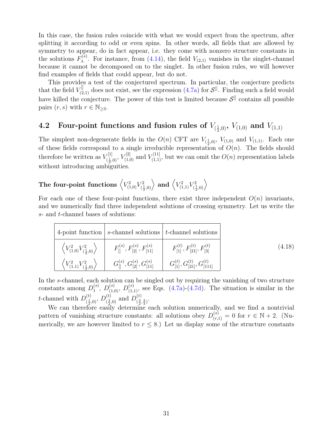In this case, the fusion rules coincide with what we would expect from the spectrum, after splitting it according to odd or even spins. In other words, all fields that are allowed by symmetry to appear, do in fact appear, i.e. they come with nonzero structure constants in the solutions  $F_{\lambda}^{(s)}$ <sup>(8)</sup>. For instance, from [\(4.14\)](#page-29-0), the field  $V_{(2,1)}$  vanishes in the singlet-channel because it cannot be decomposed on to the singlet. In other fusion rules, we will however find examples of fields that could appear, but do not.

This provides a test of the conjectured spectrum. In particular, the conjecture predicts that the field  $V_{(2,1)}^{\parallel}$  does not exist, see the expression [\(4.7a\)](#page-27-1) for  $S^{\parallel}$ . Finding such a field would have killed the conjecture. The power of this test is limited because  $\mathcal{S}^{\parallel}$  contains all possible pairs  $(r, s)$  with  $r \in \mathbb{N}_{\geq 3}$ .

# <span id="page-30-0"></span> $\textbf{4.2} \quad \textbf{Four-point functions and fusion rules of} \ V_{(\frac{1}{2}, 0)}, \ V_{(1, 0)} \ \textbf{and} \ V_{(1, 1)}$

The simplest non-degenerate fields in the  $O(n)$  CFT are  $V_{(\frac{1}{2},0)}, V_{(1,0)}$  and  $V_{(1,1)}$ . Each one of these fields correspond to a single irreducible representation of  $O(n)$ . The fields should therefore be written as  $V_{\ell_1}^{[1]}$  $V^{[1]}_{(\frac{1}{2},0)}, V^{[2]}_{(1,0)}$  and  $V^{[11]}_{(1,1)}$ , but we can omit the  $O(n)$  representation labels without introducing ambiguities.

#### The four-point functions  $\left\langle V_{(1,0)}^2 V_{(\frac{1}{2})}^2 \right\rangle$  $\left\langle V_{(1,1)}^2 V_{(\frac{1}{2},0)}^2 \right\rangle$  and  $\left\langle V_{(1,1)}^2 V_{(\frac{1}{2})}^2 \right\rangle$  $\left\langle \frac{1}{2},0\right\rangle$

For each one of these four-point functions, there exist three independent  $O(n)$  invariants, and we numerically find three independent solutions of crossing symmetry. Let us write the s- and t-channel bases of solutions:

| 4-point function $ s$ -channel solutions $ t$ -channel solutions                                                                                                                               |        |
|------------------------------------------------------------------------------------------------------------------------------------------------------------------------------------------------|--------|
| $\left\langle V_{(1,0)}^2 V_{(\frac{1}{2},0)}^2 \right\rangle \quad \left  \quad F_{[]}^{(s)}, F_{[2]}^{(s)}, F_{[11]}^{(s)} \quad \right  \quad F_{[1]}^{(t)}, F_{[21]}^{(t)}, F_{[3]}^{(t)}$ | (4.18) |
|                                                                                                                                                                                                |        |

In the s-channel, each solution can be singled out by requiring the vanishing of two structure constants among  $D_1^{(s)}$  $1^{(s)}$ ,  $D_{(1,0)}^{(s)}$ ,  $D_{(1,1)}^{(s)}$ , see Eqs. [\(4.7a\)](#page-27-1)-[\(4.7d\)](#page-27-2). The situation is similar in the t-channel with  $D_{\ell_1}^{(t)}$  $\binom{(t)}{\frac{1}{2},0},\,D\binom{(t)}{\frac{3}{2}}$  $\binom{(t)}{\frac{3}{2},0}$  and  $D_{(\frac{3}{2})}^{(t)}$  $\left(\frac{3}{2},\frac{2}{3}\right)$ .

We can therefore easily determine each solution numerically, and we find a nontrivial pattern of vanishing structure constants: all solutions obey  $D_{(r,1)}^{(s)} = 0$  for  $r \in \mathbb{N} + 2$ . (Numerically, we are however limited to  $r \leq 8$ .) Let us display some of the structure constants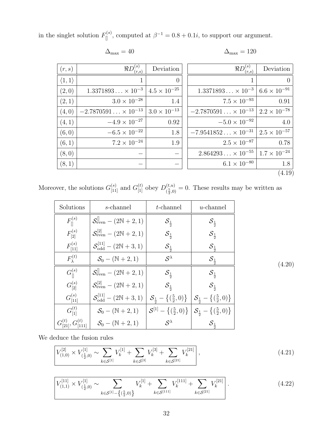in the singlet solution  $F_{\parallel}^{(s)}$ , computed at  $\beta^{-1} = 0.8 + 0.1i$ , to support our argument.

$$
\Delta_{\max} = 40
$$

<span id="page-31-0"></span> $\Delta_{\text{max}} = 120$ 

| (r, s)                 | $\Re D_{(r,s)}^{(s)}$        | Deviation             | $\Re D^{(s)}_{(r,s)}$                                | Deviation             |
|------------------------|------------------------------|-----------------------|------------------------------------------------------|-----------------------|
| $\langle 1, 1 \rangle$ |                              | $\overline{0}$        |                                                      | $\overline{0}$        |
| (2,0)                  | $1.3371893 \times 10^{-3}$   | $4.5 \times 10^{-25}$ | $1.3371893 \times 10^{-3}$                           | $6.6 \times 10^{-91}$ |
| (2,1)                  | $3.0 \times 10^{-28}$        | 1.4                   | $7.5 \times 10^{-93}$                                | 0.91                  |
| (4,0)                  | $-2.7870591 \times 10^{-13}$ | $3.0 \times 10^{-13}$ | $-2.7870591 \times 10^{-13}$   $2.2 \times 10^{-78}$ |                       |
| (4,1)                  | $-4.9 \times 10^{-27}$       | 0.92                  | $-5.0 \times 10^{-92}$                               | 4.0                   |
| (6, 0)                 | $-6.5 \times 10^{-22}$       | 1.8                   | $-7.9541852 \times 10^{-31}$   $2.5 \times 10^{-57}$ |                       |
| (6, 1)                 | $7.2 \times 10^{-24}$        | 1.9                   | $2.5 \times 10^{-87}$                                | 0.78                  |
| (8,0)                  |                              |                       | $2.864293 \times 10^{-55}$   $1.7 \times 10^{-24}$   |                       |
| (8,1)                  |                              |                       | $6.1 \times 10^{-80}$                                | 1.8                   |
|                        |                              |                       |                                                      | (4.19)                |

Moreover, the solutions  $G_{[11]}^{(s)}$  and  $G_{[1]}^{(t)}$  obey  $D_{(\frac{5}{6},0)}^{(t,u)}$  $\binom{(t,u)}{\frac{5}{2},0} = 0$ . These results may be written as

| Solutions                         | s-channel                                                                                                                                                            | $t$ -channel                | $u$ -channel                |        |
|-----------------------------------|----------------------------------------------------------------------------------------------------------------------------------------------------------------------|-----------------------------|-----------------------------|--------|
| $F_{\parallel}^{(s)}$             | $S_{\text{even}}^{\text{  }} - (2N + 2, 1)$                                                                                                                          | $\mathcal{S}_{\frac{1}{2}}$ | ${\cal S}_\frac{1}{2}$      |        |
| $F_{[2]}^{(s)}$                   | $S_{\text{even}}^{[2]} - (2N + 2, 1)$                                                                                                                                | $\mathcal{S}_{\frac{1}{2}}$ | $\mathcal{S}_{\frac{1}{2}}$ |        |
| $F_{[11]}^{(s)}$                  | $S_{\text{odd}}^{[11]} - (2N+3,1)$                                                                                                                                   | $\mathcal{S}_{\frac{1}{2}}$ | $\mathcal{S}_{\frac{1}{2}}$ |        |
| $F_{\lambda}^{(t)}$               | $S_0 - (N + 2, 1)$                                                                                                                                                   | $S^{\lambda}$               | $\mathcal{S}_{\frac{1}{2}}$ | (4.20) |
| $G_{\mathbb{I}}^{(s)}$            | $S_{\text{even}}^{\text{  }} - (2N + 2, 1)$                                                                                                                          | $\mathcal{S}_{\frac{1}{2}}$ | $\mathcal{S}_{\frac{1}{2}}$ |        |
| $G_{[2]}^{(s)}$                   | $S_{\text{even}}^{[2]} - (2N + 2, 1)$                                                                                                                                | $S_{\frac{1}{2}}$           | $\mathcal{S}_{\frac{1}{2}}$ |        |
| $G_{[11]}^{(s)}$                  | $\mathcal{S}_{\text{odd}}^{[11]} - (2\mathbb{N} + 3, 1) \mid \mathcal{S}_{\frac{1}{2}} - \{(\frac{5}{2}, 0)\} \mid \mathcal{S}_{\frac{1}{2}} - \{(\frac{5}{2}, 0)\}$ |                             |                             |        |
| $G_{[1]}^{(t)}$                   | $S_0 - (\mathbb{N} + 2, 1)$ $S^{[1]} - \{(\frac{5}{2}, 0)\}$ $S_{\frac{1}{2}} - \{(\frac{5}{2}, 0)\}$                                                                |                             |                             |        |
| $G_{[21]}^{(t)}, G_{[111]}^{(t)}$ | $S_0 - (N + 2, 1)$                                                                                                                                                   | $S^{\lambda}$               | $\mathcal{S}_{\frac{1}{2}}$ |        |

We deduce the fusion rules

<span id="page-31-1"></span>
$$
\left[ V_{(1,0)}^{[2]} \times V_{(\frac{1}{2},0)}^{[1]} \sim \sum_{k \in \mathcal{S}^{[1]}} V_k^{[1]} + \sum_{k \in \mathcal{S}^{[3]}} V_k^{[3]} + \sum_{k \in \mathcal{S}^{[21]}} V_k^{[21]} \right],
$$
\n(4.21)

<span id="page-31-2"></span>
$$
\left| V_{(1,1)}^{[11]} \times V_{(\frac{1}{2},0)}^{[1]} \sim \sum_{k \in \mathcal{S}^{[1]} - \{(\frac{5}{2},0)\}} V_k^{[1]} + \sum_{k \in \mathcal{S}^{[111]}} V_k^{[111]} + \sum_{k \in \mathcal{S}^{[21]}} V_k^{[21]} \right|.
$$
 (4.22)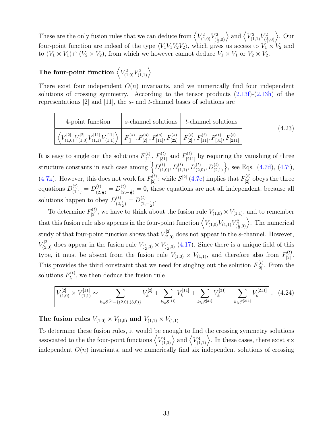These are the only fusion rules that we can deduce from  $\left\langle V_{(1,0)}^2 V_{(1)}^2 \right\rangle$  $\left\langle V_{(1,1)}^2 V_{(\frac{1}{2},0)}^2 \right\rangle$  and  $\left\langle V_{(1,1)}^2 V_{(\frac{1}{2})}^2 \right\rangle$  $\binom{2}{(\frac{1}{2},0)}$ . Our four-point function are indeed of the type  $\langle V_1 V_1 V_2 V_2 \rangle$ , which gives us access to  $V_1 \times V_2$  and to  $(V_1 \times V_1) \cap (V_2 \times V_2)$ , from which we however cannot deduce  $V_1 \times V_1$  or  $V_2 \times V_2$ .

# The four-point function  $\left\langle V_{(1,0)}^2 V_{(1,1)}^2 \right\rangle$

There exist four independent  $O(n)$  invariants, and we numerically find four independent solutions of crossing symmetry. According to the tensor products  $(2.13f)-(2.13h)$  $(2.13f)-(2.13h)$  $(2.13f)-(2.13h)$  of the representations  $[2]$  and  $[11]$ , the s- and t-channel bases of solutions are

<span id="page-32-0"></span>

| 4-point function                                                                                                                                                                                                                               | $\vert$ s-channel solutions $\vert$ t-channel solutions | (4.23) |
|------------------------------------------------------------------------------------------------------------------------------------------------------------------------------------------------------------------------------------------------|---------------------------------------------------------|--------|
| $\left\langle V_{(1,0)}^{[2]} V_{(1,0)}^{[2]} V_{(1,1)}^{[11]} V_{(1,1)}^{[11]} \right\rangle \bigg  F_{[]}^{(s)}, F_{[2]}^{(s)}, F_{[11]}^{(s)}, F_{[22]}^{(s)} \bigg  F_{[2]}^{(t)}, F_{[11]}^{(t)}, F_{[31]}^{(t)}, F_{[211]}^{(t)} \bigg $ |                                                         |        |

It is easy to single out the solutions  $F_{[11]}^{(t)}$ ,  $F_{[31]}^{(t)}$  and  $F_{[211]}^{(t)}$  by requiring the vanishing of three structure constants in each case among  $\left\{D_{(1,0)}^{(t)}, D_{(1,1)}^{(t)}, D_{(2,0)}^{(t)}, D_{(2,1)}^{(t)}\right\}$ , see Eqs. [\(4.7d\)](#page-27-2), [\(4.7i\)](#page-27-3), [\(4.7k\)](#page-27-4). However, this does not work for  $F_{[2]}^{(t)}$ : while  $S^{[2]}$  [\(4.7c\)](#page-27-5) implies that  $F_{[2]}^{(t)}$  obeys the three equations  $D_{(1,1)}^{(t)} = D_{(2)}^{(t)}$  $\binom{(t)}{(2, \frac{1}{2})} = D^{(t)}_{(2)}$ 2<sup>'</sup>  $(2, -2)$  $\binom{1}{2,-\frac{1}{2}}$  = 0, these equations are not all independent, because all solutions happen to obey  $D^{(t)}_{\alpha}$  $\binom{(t)}{(2, \frac{1}{2})} = D_{(2)}^{(t)}$  $\frac{(t)}{(2,-\frac{1}{2})}$ .

To determine  $F_{[2]}^{(t)}$ , we have to think about the fusion rule  $V_{(1,0)} \times V_{(1,1)}$ , and to remember that this fusion rule also appears in the four-point function  $\left\langle V_{(1,0)} V_{(1,1)} V_{(1)}^2 \right\rangle$  $\binom{r_2}{\frac{1}{2},0}$ . The numerical study of that four-point function shows that  $V_{(2,0)}^{[2]}$  does not appear in the s-channel. However,  $V_{(2,0)}^{[2]}$  does appear in the fusion rule  $V_{(\frac{1}{2},0)} \times V_{(\frac{1}{2},0)}$  [\(4.17\)](#page-29-1). Since there is a unique field of this type, it must be absent from the fusion rule  $V_{(1,0)} \times V_{(1,1)}$ , and therefore also from  $F_{[2]}^{(t)}$ . This provides the third constraint that we need for singling out the solution  $F_{[2]}^{(t)}$ . From the solutions  $F_{\lambda}^{(t)}$  $\lambda^{(t)}$ , we then deduce the fusion rule

<span id="page-32-1"></span>
$$
\left| V_{(1,0)}^{[2]} \times V_{(1,1)}^{[11]} \sim \sum_{k \in \mathcal{S}^{[2]} - \{(2,0),(3,0)\}} V_k^{[2]} + \sum_{k \in \mathcal{S}^{[11]}} V_k^{[11]} + \sum_{k \in \mathcal{S}^{[31]}} V_k^{[31]} + \sum_{k \in \mathcal{S}^{[211]}} V_k^{[211]} \right|.
$$
 (4.24)

The fusion rules  $V_{(1,0)} \times V_{(1,0)}$  and  $V_{(1,1)} \times V_{(1,1)}$ 

To determine these fusion rules, it would be enough to find the crossing symmetry solutions associated to the the four-point functions  $\langle V_{(1,0)}^4 \rangle$  and  $\langle V_{(1,1)}^4 \rangle$ . In these cases, there exist six independent  $O(n)$  invariants, and we numerically find six independent solutions of crossing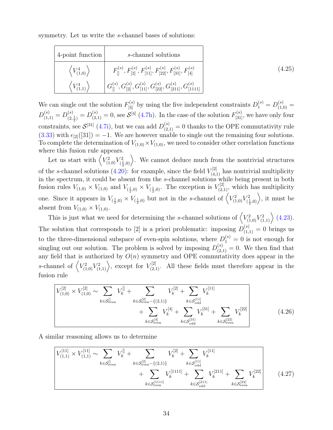symmetry. Let us write the s-channel bases of solutions:

| 4-point function                           | s-channel solutions                                                                                                 |        |
|--------------------------------------------|---------------------------------------------------------------------------------------------------------------------|--------|
| $\left\langle V_{(1,0)}^{4} \right\rangle$ | $F_{[]}^{(s)}, F_{[2]}^{(s)}, F_{[11]}^{(s)}, F_{[22]}^{(s)}, F_{[31]}^{(s)}, F_{[4]}^{(s)}$                        | (4.25) |
| $V_{(1,1)}^4$                              | $\left  \ G_{[]}^{(s)}, G_{[2]}^{(s)}, G_{[11]}^{(s)}, G_{[22]}^{(s)}, G_{[211]}^{(s)}, G_{[1111]}^{(s)} \ \right $ |        |

We can single out the solution  $F_{[4]}^{(s)}$  by using the five independent constraints  $D_1^{(s)} = D_{(1,0)}^{(s)} =$  $D_{(1,1)}^{(s)} = D_{(2)}^{(s)}$  $S^{(s)}_{(2,\frac{1}{2})} = D^{(s)}_{(2,1)} = 0$ , see  $S^{[4]}$  [\(4.7h\)](#page-27-6). In the case of the solution  $F^{(s)}_{[31]}$ , we have only four constraints, see  $\mathcal{S}^{[31]}$  [\(4.7i\)](#page-27-3), but we can add  $D_{(2,1)}^{(s)} = 0$  thanks to the OPE commutativity rule [\(3.33\)](#page-21-1) with  $\epsilon_{22}([31]) = -1$ . We are however unable to single out the remaining four solutions. To complete the determination of  $V_{(1,0)} \times V_{(1,0)}$ , we need to consider other correlation functions where this fusion rule appears.

Let us start with  $\left\langle V_{(1,0)}^2 V_{(\frac{1}{2})}^2 \right\rangle$  $\langle \frac{1}{2},0\rangle$ . We cannot deduce much from the nontrivial structures of the s-channel solutions [\(4.20\)](#page-31-0): for example, since the field  $V_{(4,1)}^{[2]}$  has nontrivial multiplicity in the spectrum, it could be absent from the s-channel solutions while being present in both fusion rules  $V_{(1,0)} \times V_{(1,0)}$  and  $V_{(\frac{1}{2},0)} \times V_{(\frac{1}{2},0)}$ . The exception is  $V_{(2,1)}^{[2]}$ , which has multiplicity one. Since it appears in  $V_{(\frac{1}{2},0)} \times V_{(\frac{1}{2},0)}$  but not in the s-channel of  $\left\langle V_{(1,0)}^2 V_{(\frac{1}{2},0)}^2 \right\rangle$  $\binom{r_2}{(\frac{1}{2},0)}$ , it must be absent from  $V_{(1,0)} \times V_{(1,0)}$ .

This is just what we need for determining the s-channel solutions of  $\left\langle V_{(1,0)}^2 V_{(1,1)}^2 \right\rangle$  [\(4.23\)](#page-32-0). The solution that corresponds to [2] is a priori problematic: imposing  $D_{(1,1)}^{(s)} = 0$  brings us to the three-dimensional subspace of even-spin solutions, where  $D_1^{(s)} = 0$  is not enough for singling out our solution. The problem is solved by imposing  $D_{(2,1)}^{(s)} = 0$ . We then find that any field that is authorized by  $O(n)$  symmetry and OPE commutativity does appear in the s-channel of  $\langle V_{(1,0)}^2 V_{(1,1)}^2 \rangle$ , except for  $V_{(2,1)}^{[2]}$ . All these fields must therefore appear in the fusion rule

<span id="page-33-0"></span>
$$
\left| V_{(1,0)}^{[2]} \times V_{(1,0)}^{[2]} \right| \leftarrow \sum_{k \in \mathcal{S}_{\text{even}}^{[1]} \left\{ V_k^{[2]} + \sum_{k \in \mathcal{S}_{\text{even}}^{[2]} - \{(2,1)\} } V_k^{[2]} + \sum_{k \in \mathcal{S}_{\text{odd}}^{[1]} \left\{ V_k^{[2]} + \sum_{k \in \mathcal{S}_{\text{odd}}^{[3]} \left\{ V_k^{[3]} + \sum_{k \in \mathcal{S}_{\text{even}}^{[2]} \left\{ V_k^{[2]} + \sum_{k \in \mathcal{S}_{\text{even}}^{[2]} \left\{ V_k^{[2]} + \sum_{k \in \mathcal{S}_{\text{even}}^{[2]} \left\{ V_k^{[2]} + \sum_{k \in \mathcal{S}_{\text{even}}^{[2]} \left\{ V_k^{[2]} + \sum_{k \in \mathcal{S}_{\text{even}}^{[2]} \left\{ V_k^{[3]} + \sum_{k \in \mathcal{S}_{\text{even}}^{[2]} \left\{ V_k^{[3]} + \sum_{k \in \mathcal{S}_{\text{even}}^{[2]} \left\{ V_k^{[3]} + \sum_{k \in \mathcal{S}_{\text{even}}^{[2]} \left\{ V_k^{[3]} + \sum_{k \in \mathcal{S}_{\text{even}}^{[3]} \left\{ V_k^{[3]} + \sum_{k \in \mathcal{S}_{\text{even}}^{[3]} \left\{ V_k^{[3]} + \sum_{k \in \mathcal{S}_{\text{even}}^{[3]} \left\{ V_k^{[3]} + \sum_{k \in \mathcal{S}_{\text{even}}^{[3]} \left\{ V_k^{[3]} + \sum_{k \in \mathcal{S}_{\text{even}}^{[3]} \left\{ V_k^{[3]} + \sum_{k \in \mathcal{S}_{\text{even}}^{[3]} \left\{ V_k^{[3]} + \sum_{k \in \mathcal{S}_{\text{even}}^{[3]} \left\{ V_k^{[3]} + \sum_{k \in \mathcal{S}_{\text{even}}^{[3]} \left\{ V_k^{[3]} + \sum_{k \in \mathcal{S}_{\text{even}}^{[3]} \left\{ V_k^{[3]} + \sum_{k \in \mathcal{S}_{\text{even}}^{[3]} \left\{ V_k^{[3]} + \sum_{k \in \mathcal{S}_{\text{even}}^{
$$

A similar reasoning allows us to determine

<span id="page-33-1"></span>
$$
\frac{V_{(1,1)}^{[11]} \times V_{(1,1)}^{[11]} \sim \sum_{k \in \mathcal{S}_{even}^{[1]}} V_k^{[1]} + \sum_{k \in \mathcal{S}_{even}^{[2]}} V_k^{[2]} + \sum_{k \in \mathcal{S}_{odd}^{[11]}} V_k^{[11]} + \sum_{k \in \mathcal{S}_{odd}^{[11]}} V_k^{[211]} + \sum_{k \in \mathcal{S}_{odd}^{[21]}} V_k^{[211]} + \sum_{k \in \mathcal{S}_{even}^{[22]}} V_k^{[22]} \qquad (4.27)
$$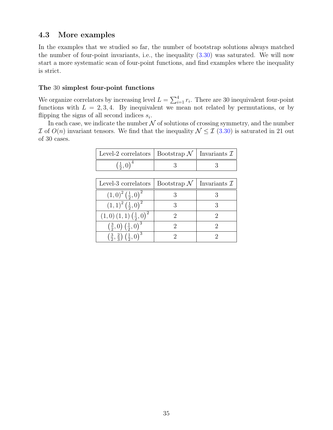### <span id="page-34-0"></span>4.3 More examples

In the examples that we studied so far, the number of bootstrap solutions always matched the number of four-point invariants, i.e., the inequality [\(3.30\)](#page-20-0) was saturated. We will now start a more systematic scan of four-point functions, and find examples where the inequality is strict.

#### The 30 simplest four-point functions

We organize correlators by increasing level  $L = \sum_{i=1}^{4} r_i$ . There are 30 inequivalent four-point functions with  $L = 2, 3, 4$ . By inequivalent we mean not related by permutations, or by flipping the signs of all second indices  $s_i$ .

In each case, we indicate the number  $N$  of solutions of crossing symmetry, and the number I of  $O(n)$  invariant tensors. We find that the inequality  $\mathcal{N} \leq \mathcal{I}$  [\(3.30\)](#page-20-0) is saturated in 21 out of 30 cases.

| Level-2 correlators                                                   | Bootstrap $\mathcal N$ | Invariants T            |
|-----------------------------------------------------------------------|------------------------|-------------------------|
| $(\frac{1}{2},0)^4$                                                   | 3                      | 3                       |
|                                                                       |                        |                         |
| Level-3 correlators                                                   | Bootstrap $\mathcal N$ | Invariants $\mathcal I$ |
| $(1,0)^2(\frac{1}{2},0)^2$                                            | 3                      | 3                       |
| $(1,1)^2(\frac{1}{2},0)^2$                                            | 3                      | 3                       |
| $(1,0)$ $(1,1)$ $(\frac{1}{2},0)^2$                                   | 2                      | 2                       |
| $\left(\frac{3}{2},0\right)$ $\left(\frac{1}{2},0\right)^3$           | 2                      | 2                       |
| $\left(\frac{3}{2},\frac{2}{3}\right)$ $\left(\frac{1}{2},0\right)^3$ | 2                      | ')                      |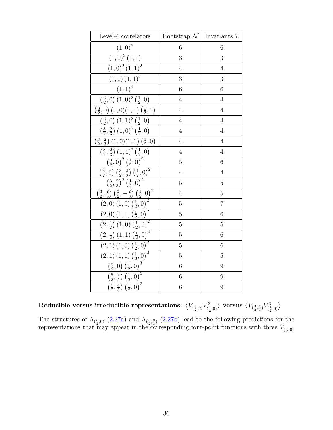| Level-4 correlators                                                                                     | Bootstrap $\mathcal{N}$   Invariants $\mathcal{I}$ |                  |
|---------------------------------------------------------------------------------------------------------|----------------------------------------------------|------------------|
| $\left( 1,0\right) ^{4}$                                                                                | 6                                                  | 6                |
| $\overline{(1,0)}^3$ $(1,1)$                                                                            | 3                                                  | 3                |
| $(1,0)^{2}(1,1)^{2}$                                                                                    | $\overline{4}$                                     | $\overline{4}$   |
| $(1,0)$ $(1,1)^3$                                                                                       | 3                                                  | 3                |
| $(1,1)^4$                                                                                               | $\overline{6}$                                     | 6                |
| $\left(\frac{3}{2},0\right) (1,0)^2 \left(\frac{1}{2},0\right)$                                         | $\overline{4}$                                     | $\overline{4}$   |
| $\left(\frac{3}{2},0\right)$ $(1,0)(1,1)\left(\frac{1}{2},0\right)$                                     | $\overline{4}$                                     | $\overline{4}$   |
| $\left(\frac{3}{2},0\right)(1,1)^2\left(\frac{1}{2},0\right)$                                           | $\overline{4}$                                     | $\overline{4}$   |
| $\left(\frac{3}{2},\frac{2}{3}\right)(1,0)^2\left(\frac{1}{2},0\right)$                                 | $\overline{4}$                                     | $\overline{4}$   |
| $\left(\frac{3}{2},\frac{2}{3}\right)(1,0)(1,1)\left(\frac{1}{2},0\right)$                              | $\overline{4}$                                     | $\overline{4}$   |
| $\left(\frac{3}{2},\frac{2}{3}\right)(1,1)^2\left(\frac{1}{2},0\right)$                                 | $\overline{4}$                                     | $\overline{4}$   |
| $\left(\frac{3}{2},0\right)^2\left(\frac{1}{2},0\right)^2$                                              | $\overline{5}$                                     | $\overline{6}$   |
| $\left(\frac{3}{2},0\right)\left(\frac{3}{2},\frac{2}{3}\right)\left(\frac{1}{2},0\right)^2$            | $\overline{4}$                                     | $\overline{4}$   |
| $\left(\frac{3}{2},\frac{2}{3}\right)^2\overline{\left(\frac{1}{2},0\right)^2}$                         | $\overline{5}$                                     | $\overline{5}$   |
| $\left(\frac{3}{2},\frac{2}{3}\right)\left(\frac{3}{2},-\frac{2}{3}\right)\left(\frac{1}{2},0\right)^2$ | $\overline{4}$                                     | $\overline{5}$   |
| $\left(2,0\right)\left(1,0\right)\left(\frac{1}{2},0\right)^2$                                          | $\overline{5}$                                     | $\overline{7}$   |
| $(2,0)$ $(1,1)$ $(\frac{1}{2},0)^2$                                                                     | $\overline{5}$                                     | $\overline{6}$   |
| $\left(2,\frac{1}{2}\right)\left(1,0\right)\overline{\left(\frac{1}{2},0\right)^2}$                     | $\overline{5}$                                     | $\overline{5}$   |
| $\left(2,\frac{1}{2}\right)\left(1,1\right)\left(\frac{1}{2},0\right)^2$                                | $\overline{5}$                                     | 6                |
| $\overline{(2,1)\left(1,0\right)\overline{\left(\frac{1}{2},0\right)^2}}$                               | $\overline{5}$                                     | $\boldsymbol{6}$ |
| $(2,1)(1,1)(\frac{1}{2},0)^2$                                                                           | 5                                                  | 5                |
| $\left(\frac{5}{2},0\right)\left(\frac{1}{2},0\right)^3$                                                | $\boldsymbol{6}$                                   | 9                |
| $\left(\frac{5}{2},\frac{2}{5}\right)\overline{\left(\frac{1}{2},0\right)^3}$                           | $\boldsymbol{6}$                                   | 9                |
| $\overline{\left(\frac{5}{2},\frac{4}{5}\right)\left(\frac{1}{2},0\right)^3}$                           | $\boldsymbol{6}$                                   | 9                |

 ${\rm Reducible}$  versus irreducible representations:  $\sqrt[V_{(\frac{3}{2},0)}V_{(\frac{1}{2})}^3]$  $\langle V_{(\frac{3}{2},0)}\rangle$  versus  $\big\langle V_{(\frac{3}{2},\frac{2}{3})}V_{(\frac{1}{2})}^3\big\rangle$  $\binom{3}{\frac{1}{2},0}$ 

The structures of  $\Lambda_{(\frac{3}{2},0)}$  [\(2.27a\)](#page-12-1) and  $\Lambda_{(\frac{3}{2},\frac{2}{3})}$  [\(2.27b\)](#page-12-5) lead to the following predictions for the representations that may appear in the corresponding four-point functions with three  $V_{(\frac{1}{2},0)}$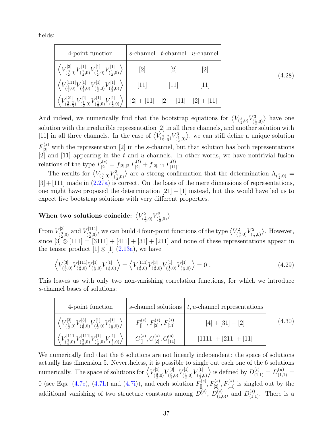fields:

| 4-point function                                                                                                                            |                                                                           | s-channel $t$ -channel $u$ -channel |                   |
|---------------------------------------------------------------------------------------------------------------------------------------------|---------------------------------------------------------------------------|-------------------------------------|-------------------|
| $\left\langle V^{[3]}_{(\frac{3}{2},0)}V^{[1]}_{(\frac{1}{2},0)}V^{[1]}_{(\frac{1}{2},0)}V^{[1]}_{(\frac{1}{2},0)} \right\rangle$           | 2                                                                         | 2                                   | 2                 |
| $\left\langle V^{[111]}_{(\frac{3}{2},0)}V^{[1]}_{(\frac{1}{2},0)}V^{[1]}_{(\frac{1}{2},0)}V^{[1]}_{(\frac{1}{2},0)} \right\rangle$         | $\left[11\right]$                                                         | $\left[11\right]$                   | $\left[11\right]$ |
| $\left\langle V_{(\frac{3}{2},\frac{2}{3})}^{[21]}V_{(\frac{1}{2},0)}^{[1]}V_{(\frac{1}{2},0)}^{[1]}V_{(\frac{1}{2},0)}^{[1]}\right\rangle$ | $\left[2\right] + \left[11\right] \quad \left[2\right] + \left[11\right]$ |                                     | $[2] + [11]$      |

(4.28)

And indeed, we numerically find that the bootstrap equations for  $\langle V_{(\frac{3}{2},0)} V_{(\frac{3}{2})}^3$  $\binom{3}{(\frac{1}{2},0)}$  have one solution with the irreducible representation [2] in all three channels, and another solution with [11] in all three channels. In the case of  $\left\langle V_{(\frac{3}{2},\frac{2}{3})}V_{(\frac{3}{2})}^3\right\rangle$  $\langle \frac{1}{2},0\rangle$ , we can still define a unique solution  $F_{[2]}^{(s)}$  with the representation [2] in the s-channel, but that solution has both representations [2] and [11] appearing in the t and u channels. In other words, we have nontrivial fusion relations of the type  $F_{[2]}^{(s)} = f_{[2],[2]}F_{[2]}^{(t)} + f_{[2],[11]}F_{[11]}^{(t)}$ .

The results for  $\left\langle V_{(\frac{3}{2},0)} V_{(\frac{1}{2})}^3 \right\rangle$  $\langle \frac{1}{2},0\rangle$  are a strong confirmation that the determination  $\Lambda_{(\frac{3}{2},0)} =$  $[3] + [111]$  made in  $(2.27a)$  is correct. On the basis of the mere dimensions of representations, one might have proposed the determination  $[21] + [1]$  instead, but this would have led us to expect five bootstrap solutions with very different properties.

When two solutions coincide:  $\langle V_{\alpha}^2 \rangle$  $V^2_{(\frac{3}{2},0)}V^2_{(\frac{1}{2})}$  $\binom{2}{\frac{1}{2},0}$ 

From  $V_{\ell^3}^{[3]}$  $V^{[3]}_{(\frac{3}{2},0)}$  and  $V^{[111]}_{(\frac{3}{2},0)}$  $V^{[111]}_{(\frac{3}{2},0)},$  we can build 4 four-point functions of the type  $\left\langle V_{(\frac{3}{2},0)}^2 \right\rangle$  $V^2_{(\frac{3}{2},0)}V^2_{(\frac{1}{2})}$  $\langle \frac{1}{2}, 0 \rangle$ . However, since  $[3] \otimes [111] = [3111] + [411] + [31] + [211]$  and none of these representations appear in the tensor product  $[1] \otimes [1]$  [\(2.13a\)](#page-9-2), we have

$$
\left\langle V_{(\frac{3}{2},0)}^{[3]} V_{(\frac{3}{2},0)}^{[111]} V_{(\frac{1}{2},0)}^{[1]} V_{(\frac{1}{2},0)}^{[1]} \right\rangle = \left\langle V_{(\frac{3}{2},0)}^{[111]} V_{(\frac{3}{2},0)}^{[3]} V_{(\frac{1}{2},0)}^{[1]} V_{(\frac{1}{2},0)}^{[1]} \right\rangle = 0 \tag{4.29}
$$

This leaves us with only two non-vanishing correlation functions, for which we introduce s-channel bases of solutions:

<span id="page-36-0"></span>

| 4-point function                                                                                                                                           |                                                                                       | s-channel solutions $\mid t, u$ -channel representations |        |
|------------------------------------------------------------------------------------------------------------------------------------------------------------|---------------------------------------------------------------------------------------|----------------------------------------------------------|--------|
| $\left  \; \left\langle V^{[3]}_{(\frac{3}{2},0)} V^{[3]}_{(\frac{3}{2},0)} V^{[1]}_{(\frac{1}{2},0)} V^{[1]}_{(\frac{1}{2},0)} \right\rangle \; \right $  | $F_{[]}^{(s)}, F_{[2]}^{(s)}, F_{[11]}^{(s)}$                                         | $[4] + [31] + [2]$                                       | (4.30) |
| $\left\langle V^{[111]}_{(\frac{3}{2},0)} V^{[111]}_{(\frac{3}{2},0)} V^{[1]}_{(\frac{1}{2},0)} V^{[1]}_{(\frac{1}{2},0)} \right\rangle \, \Big  \, \Big $ | $G_{\parallel}^{(s)}, G_{\parallel 2\parallel}^{(s)}, G_{\parallel 1\parallel}^{(s)}$ | $[1111] + [211] + [11]$                                  |        |

We numerically find that the 6 solutions are not linearly independent: the space of solutions actually has dimension 5. Nevertheless, it is possible to single out each one of the 6 solutions numerically. The space of solutions for  $\langle V_{\ell 3}^{[3]} \rangle$  $V^{[3]}_{(\frac{3}{2},0)}V^{[3]}_{(\frac{3}{2},0)}$  $V^{[3]}_{(\frac{3}{2},0)}V^{[1]}_{(\frac{1}{2},0)}$  $V^{[1]}_{(\frac{1}{2},0)}V^{[1]}_{(\frac{1}{2},0)}$  $\langle L_{\left(\frac{1}{2},0\right)}^{[1]}\rangle$  is defined by  $D_{(1,1)}^{(t)} = D_{(1,1)}^{(u)} =$ 0 (see Eqs. [\(4.7c\)](#page-27-5), [\(4.7h\)](#page-27-6) and [\(4.7i\)](#page-27-3)), and each solution  $F_{\parallel}^{(s)}$ ,  $F_{[2]}^{(s)}$ ,  $F_{[11]}^{(s)}$  is singled out by the additional vanishing of two structure constants among  $D_1^{(s)}$  $1^{(s)}$ ,  $D_{(1,0)}^{(s)}$ , and  $D_{(1,1)}^{(s)}$ . There is a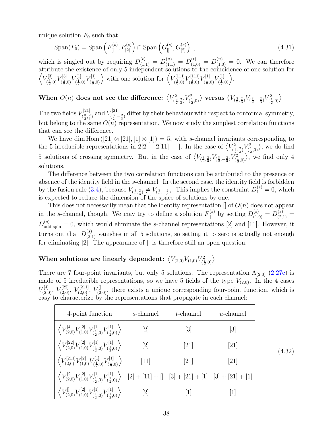unique solution  $F_0$  such that

$$
Span(F_0) = Span\left(F_{[]}^{(s)}, F_{[2]}^{(s)}\right) \cap Span\left(G_{[]}^{(s)}, G_{[2]}^{(s)}\right) ,\qquad (4.31)
$$

which is singled out by requiring  $D_{(1,1)}^{(t)} = D_{(1,1)}^{(u)} = D_{(1,0)}^{(t)} = D_{(1,0)}^{(u)} = 0$ . We can therefore attribute the existence of only 5 independent solutions to the coincidence of one solution for  $\langle V^{[3]}_{\ell^3}$  $V^{[3]}_{(\frac{3}{2},0)}V^{[3]}_{(\frac{3}{2},0)}$  $V^{[3]}_{(\frac{3}{2},0)}V^{[1]}_{(\frac{1}{2},0)}$  $V^{[1]}_{(\frac{1}{2},0)}V^{[1]}_{(\frac{1}{2},0)}$  $\langle V^{[1]}_{(\frac{1}{2},0)} \rangle$  with one solution for  $\langle V^{[111]}_{(\frac{3}{2},0)} \rangle$  $V^{[111]}_{(\frac{3}{2},0)}V^{[111]}_{(\frac{3}{2},0)}$  $V^{[111]}_{(\frac{3}{2},0)}V^{[1]}_{(\frac{1}{2},0)}$  $V^{[1]}_{(\frac{1}{2},0)}V^{[1]}_{(\frac{1}{2},0)}$  $\begin{pmatrix} 1 \\ \frac{1}{2}, 0 \end{pmatrix}.$ 

#### When  $O(n)$  does not see the difference:  $\langle V^2_i \rangle$  $\binom{2}{\frac{3}{2},\frac{2}{3}}V_{(\frac{1}{2})}^2$  $\langle V_{(\frac{3}{2},\frac{2}{3})}V_{(\frac{3}{2},\frac{2}{3})}V_{(\frac{3}{2},-\frac{2}{3})}V_{(\frac{1}{2})}^2\rangle$  $\left\langle\frac{1}{2},0\right\rangle$

The two fields  $V_{\ell^3}^{[21]}$  $V^{[21]}_{(\frac{3}{2},\frac{2}{3})}$  and  $V^{[21]}_{(\frac{3}{2},-1)}$  $\frac{\sum_{i=1}^{n} a_i}{\sum_{i=1}^{n} a_i}$  differ by their behaviour with respect to conformal symmetry, but belong to the same  $O(n)$  representation. We now study the simplest correlation functions that can see the difference.

We have dim Hom  $([21] \otimes [21], [1] \otimes [1]) = 5$ , with s-channel invariants corresponding to the 5 irreducible representations in  $2[2] + 2[11] + []$ . In the case of  $\langle V_{\epsilon}^2 \rangle$  $\binom{2}{\frac{3}{2},\frac{2}{3}}V_{(\frac{1}{2})}^2$  $\langle \frac{1}{2},0\rangle$ , we do find 5 solutions of crossing symmetry. But in the case of  $\left\langle V_{(\frac{3}{2},\frac{2}{3})}V_{(\frac{3}{2},-\frac{2}{3})}V_{(\frac{1}{2},\frac{2}{3})}\right\rangle$  $\binom{r_2}{(\frac{1}{2},0)}$ , we find only 4 solutions.

The difference between the two correlation functions can be attributed to the presence or absence of the identity field in the s-channel. In the second case, the identity field is forbidden by the fusion rule [\(3.4\)](#page-15-2), because  $V_{(\frac{3}{2},\frac{2}{3})}\neq V_{(\frac{3}{2},-\frac{2}{3})}$ . This implies the constraint  $D_1^{(s)}=0$ , which is expected to reduce the dimension of the space of solutions by one.

This does not necessarily mean that the identity representation  $\parallel$  of  $O(n)$  does not appear in the s-channel, though. We may try to define a solution  $F_{\parallel}^{(s)}$  by setting  $D_{(1,0)}^{(s)} = D_{(2,1)}^{(s)} =$  $D_{\text{odd spin}}^{(s)} = 0$ , which would eliminate the s-channel representations [2] and [11]. However, it turns out that  $D_{(2,1)}^{(s)}$  vanishes in all 5 solutions, so setting it to zero is actually not enough for eliminating [2]. The appearance of [] is therefore still an open question.

#### When solutions are linearly dependent:  $\langle V_{(2,0)} V_{(1,0)} V_{(1)}^2 \rangle$  $\binom{2}{\frac{1}{2},0}$

There are 7 four-point invariants, but only 5 solutions. The representation  $\Lambda_{(2,0)}$  [\(2.27c\)](#page-12-3) is made of 5 irreducible representations, so we have 5 fields of the type  $V_{(2,0)}$ . In the 4 cases  $V_{(2,0)}^{[4]}$ ,  $V_{(2,0)}^{[22]}$ ,  $V_{(2,0)}^{[211]}$ ,  $V_{(2,0)}^{[]}$ , there exists a unique corresponding four-point function, which is easy to characterize by the representations that propagate in each channel:

| 4-point function                                                                                                                                                                                 | s-channel                    | t-channel          | $u$ -channel                 |        |
|--------------------------------------------------------------------------------------------------------------------------------------------------------------------------------------------------|------------------------------|--------------------|------------------------------|--------|
| $\left\langle V^{[4]}_{(2,0)} V^{[2]}_{(1,0)} V^{[1]}_{(\frac{1}{2},0)} V^{[1]}_{(\frac{1}{2},0)} \right\rangle$                                                                                 | $\left\lceil 2 \right\rceil$ | [3]                | $\left\lceil 3 \right\rceil$ |        |
| $\left\langle V_{(2,0)}^{[22]} V_{(1,0)}^{[2]} V_{(\frac{1}{2},0)}^{[1]} V_{(\frac{1}{2},0)}^{[1]} \right\rangle$                                                                                | $\left[2\right]$             | [21]               | $\left[ 21\right]$           | (4.32) |
| $\left\langle V_{(2,0)}^{[211]}V_{(1,0)}^{[2]}V_{(\frac{1}{2},0)}^{[1]}V_{(\frac{1}{2},0)}^{[1]}\right\rangle$                                                                                   | $\left[11\right]$            | $\left[ 21\right]$ | $\left\lceil 21\right\rceil$ |        |
| $\left\langle V_{(2,0)}^{[2]} V_{(1,0)}^{[2]} V_{(\frac{1}{5},0)}^{[1]} V_{(\frac{1}{5},0)}^{[1]} \right\rangle \, \Big  \, [2] + [11] + [] \  \  \, [3] + [21] + [1] \  \  \, [3] + [21] + [1]$ |                              |                    |                              |        |
| $\left\langle V_{(2,0)}^{\llbracket} V_{(1,0)}^{[2]} V_{(\frac{1}{2},0)}^{[1]} V_{(\frac{1}{2},0)}^{[1]} \right\rangle$                                                                          | 2                            |                    |                              |        |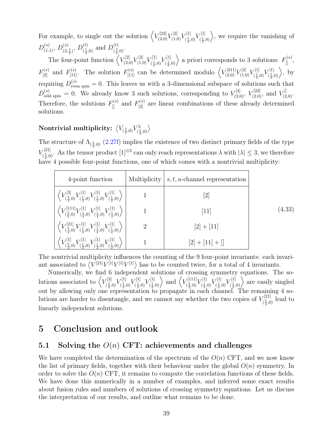For example, to single out the solution  $\left\langle V_{(2,0)}^{[2]} V_{(1,0)}^{[2]} V_{(\frac{1}{2},0)}^{[1]} \right\rangle$  $V^{[1]}_{(\frac{1}{2},0)}V^{[1]}_{(\frac{1}{2},0)}$  $\langle \frac{1}{2},0\rangle$ , we require the vanishing of  $D_{(1,1)}^{(s)}$ ,  $D_{(2)}^{(s)}$  $\binom{s}{(2,\frac{1}{2})}, D^{(t)}_{(\frac{1}{2})}$  $\binom{(t)}{\left(\frac{1}{2},0\right)}$  and  $D_{\left(\frac{3}{2}\right)}^{(t)}$  $\frac{1}{2}$ ( $\frac{3}{2}$ ,0).

The four-point function  $\left\langle V^{[2]}_{(2,0)} V^{[2]}_{(1,0)} V^{[1]}_{(\frac{1}{2},0)} \right\rangle$  $V^{[1]}_{(\frac{1}{2},0)}V^{[1]}_{(\frac{1}{2},0)}$  $F_{(\frac{1}{2},0)}^{[1]}$  a priori corresponds to 3 solutions:  $F_{[\]}^{(s)}$ ,  $F_{[2]}^{(s)}$  and  $F_{[11]}^{(s)}$ . The solution  $F_{[11]}^{(s)}$  can be determined modulo  $\left\langle V_{(2,0)}^{[211]}V_{(1,0)}^{[2]}V_{(\frac{1}{5},\frac{1}{5})}^{[120]}V_{(\frac{1}{5},\frac{1}{5})}^{[220]}V_{(\frac{1}{5},\frac{1}{5})}^{[230]}V_{(\frac{1}{5},\frac{1}{5})}^{[230]}V_{(\frac{1}{5},\frac{1}{5})}^{[$  $V^{[1]}_{(\frac{1}{2},0)}V^{[1]}_{(\frac{1}{2},0)}$  $\langle \frac{1}{2}, 0 \rangle$ , by requiring  $D_{\text{even spin}}^{(s)} = 0$ . This leaves us with a 3-dimensional subspace of solutions such that  $D_{\text{odd spin}}^{(s)} = 0$ . We already know 3 such solutions, corresponding to  $V_{(2,0)}^{[4]}$ ,  $V_{(2,0)}^{[22]}$ , and  $V_{(2,0)}^{[]}$ . Therefore, the solutions  $F_{\parallel}^{(s)}$  and  $F_{\parallel 2\parallel}^{(s)}$  are linear combinations of these already determined solutions.

#### Nontrivial multiplicity:  $\big\langle V_{(\frac{5}{2},0)} V_{(\frac{1}{2})}^3 \big\rangle$  $\binom{3}{\frac{1}{2},0}$

The structure of  $\Lambda_{(\frac{5}{2},0)}$  [\(2.27f\)](#page-12-2) implies the existence of two distinct primary fields of the type  $V_{\ell^5}^{[21]}$  $\mathcal{L}^{[21]}_{(\frac{5}{2},0)}$ . As the tensor product  $[1]^{\otimes 3}$  can only reach representations  $\lambda$  with  $|\lambda| \leq 3$ , we therefore have 4 possible four-point functions, one of which comes with a nontrivial multiplicity:

| 4-point function                                                                                                                                           | Multiplicity   | $s, t, u$ -channel representation |        |
|------------------------------------------------------------------------------------------------------------------------------------------------------------|----------------|-----------------------------------|--------|
| $\left\langle V^{[3]}_{(\frac{5}{2},0)}V^{[1]}_{(\frac{1}{2},0)}V^{[1]}_{(\frac{1}{2},0)}V^{[1]}_{(\frac{1}{2},0)} \right\rangle$                          |                | [2]                               |        |
| $\left  \left\langle V^{[111]}_{(\frac{5}{2},0)} V^{[1]}_{(\frac{1}{2},0)} V^{[1]}_{(\frac{1}{2},0)} V^{[1]}_{(\frac{1}{2},0)} \right\rangle \right $      |                | $\vert 11 \vert$                  | (4.33) |
| $\left  \; \left\langle V^{[21]}_{(\frac{5}{2},0)} V^{[1]}_{(\frac{1}{2},0)} V^{[1]}_{(\frac{1}{2},0)} V^{[1]}_{(\frac{1}{2},0)} \right\rangle \; \right $ | $\overline{2}$ | $[2] + [11]$                      |        |
| $\left  \left\langle V^{[1]}_{(\frac{5}{2},0)} V^{[1]}_{(\frac{1}{2},0)} V^{[1]}_{(\frac{1}{2},0)} V^{[1]}_{(\frac{1}{2},0)} \right\rangle \right $        |                | $[2]+[11]+[$                      |        |

The nontrivial multiplicity influences the counting of the 9 four-point invariants: each invariant associated to  $\langle V^{[21]}V^{[1]}V^{[1]}V^{[1]}\rangle$  has to be counted twice, for a total of 4 invariants.

Numerically, we find 6 independent solutions of crossing symmetry equations. The solutions associated to  $\langle V_{\ell^5}^{[3]} \rangle$  $V^{[3]}_{(\frac{5}{2},0)}V^{[1]}_{(\frac{1}{2},0)}$  $V^{[1]}_{(\frac{1}{2},0)}V^{[1]}_{(\frac{1}{2},0)}$  $V^{[1]}_{(\frac{1}{2},0)}V^{[1]}_{(\frac{1}{2},0)}$  $\langle V^{[11]}_{(\frac{1}{2},0)} \rangle$  and  $\langle V^{[111]}_{(\frac{5}{2},0)} \rangle$  $V^{[111]}_{(\frac{5}{2},0)}V^{[1]}_{(\frac{1}{2},0)}$  $V^{[1]}_{(\frac{1}{2},0)}V^{[1]}_{(\frac{1}{2},0)}$  $V^{[1]}_{(\frac{1}{2},0)}V^{[1]}_{(\frac{1}{2},0)}$  $\binom{[1]}{\left(\frac{1}{2},0\right)}$  are easily singled out by allowing only one representation to propagate in each channel. The remaining 4 solutions are harder to disentangle, and we cannot say whether the two copies of  $V_{\ell^5}^{[21]}$  $\frac{z^{[21]}}{(\frac{5}{2},0)}$  lead to linearly independent solutions.

# <span id="page-38-0"></span>5 Conclusion and outlook

## <span id="page-38-1"></span>5.1 Solving the  $O(n)$  CFT: achievements and challenges

We have completed the determination of the spectrum of the  $O(n)$  CFT, and we now know the list of primary fields, together with their behaviour under the global  $O(n)$  symmetry. In order to solve the  $O(n)$  CFT, it remains to compute the correlation functions of these fields. We have done this numerically in a number of examples, and inferred some exact results about fusion rules and numbers of solutions of crossing symmetry equations. Let us discuss the interpretation of our results, and outline what remains to be done.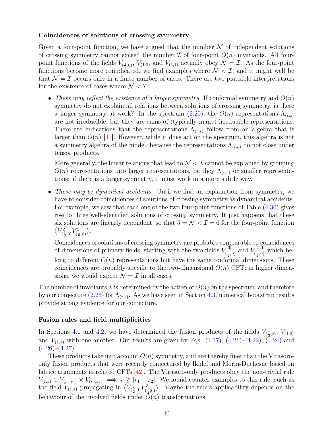#### <span id="page-39-0"></span>Coincidences of solutions of crossing symmetry

Given a four-point function, we have argued that the number  $\mathcal N$  of independent solutions of crossing symmetry cannot exceed the number  $\mathcal I$  of four-point  $O(n)$  invariants. All fourpoint functions of the fields  $V_{(\frac{1}{2},0)}, V_{(1,0)}$  and  $V_{(1,1)}$  actually obey  $\mathcal{N} = \mathcal{I}$ . As the four-point functions become more complicated, we find examples where  $\mathcal{N} < \mathcal{I}$ , and it might well be that  $\mathcal{N} = \mathcal{I}$  occurs only in a finite number of cases. There are two plausible interpretations for the existence of cases where  $\mathcal{N} < \mathcal{I}$ :

• These may reflect the existence of a larger symmetry. If conformal symmetry and  $O(n)$ symmetry do not explain all relations between solutions of crossing symmetry, is there a larger symmetry at work? In the spectrum [\(2.20\)](#page-11-0), the  $O(n)$  representations  $\Lambda_{(r,s)}$ are not irreducible, but they are sums of (typically many) irreducible representations. There are indications that the representations  $\Lambda_{(r,s)}$  follow from an algebra that is larger than  $O(n)$  [\[41\]](#page-48-1). However, while it does act on the spectrum, this algebra is not a symmetry algebra of the model, because the representations  $\Lambda_{(r,s)}$  do not close under tensor products.

More generally, the linear relations that lead to  $\mathcal{N} < \mathcal{I}$  cannot be explained by grouping  $O(n)$  representations into larger representations, be they  $\Lambda_{(r,s)}$  or smaller representations: if there is a larger symmetry, it must work in a more subtle way.

• These may be dynamical accidents. Until we find an explanation from symmetry, we have to consider coincidences of solutions of crossing symmetry as dynamical accidents. For example, we saw that each one of the two four-point functions of Table [\(4.30\)](#page-36-0) gives rise to three well-identified solutions of crossing symmetry. It just happens that these six solutions are linearly dependent, so that  $5 = \mathcal{N} < \mathcal{I} = 6$  for the four-point function  $\langle V_{\ell}^2$  $\binom{2}{\frac{3}{2},0}V^2_{(\frac{1}{2})}$  $\binom{2}{\frac{1}{2},0}$ .

Coincidences of solutions of crossing symmetry are probably comparable to coincidences of dimensions of primary fields, starting with the two fields  $V_{\ell 3}^{[3]}$  $V^{[3]}_{(\frac{3}{2},0)}$  and  $V^{[111]}_{(\frac{3}{2},0)}$  $\frac{1}{2}$  ( $\frac{3}{2}$ ,0) which belong to different  $O(n)$  representations but have the same conformal dimensions. These coincidences are probably specific to the two-dimensional  $O(n)$  CFT: in higher dimensions, we would expect  $\mathcal{N} = \mathcal{I}$  in all cases.

The number of invariants  $\mathcal I$  is determined by the action of  $O(n)$  on the spectrum, and therefore by our conjecture [\(2.26\)](#page-12-0) for  $\Lambda_{(r,s)}$ . As we have seen in Section [4.3,](#page-34-0) numerical bootstrap results provide strong evidence for our conjecture.

#### Fusion rules and field multiplicities

In Sections [4.1](#page-27-0) and [4.2,](#page-30-0) we have determined the fusion products of the fields  $V_{(\frac{1}{2},0)}, V_{(1,0)}$ and  $V_{(1,1)}$  with one another. Our results are given by Eqs. [\(4.17\)](#page-29-1), [\(4.21\)](#page-31-1)–[\(4.22\)](#page-31-2), [\(4.24\)](#page-32-1) and  $(4.26)$ – $(4.27)$ .

These products take into account  $O(n)$  symmetry, and are thereby finer than the Virasoroonly fusion products that were recently conjectured by Ikhlef and Morin-Duchesne based on lattice arguments in related CFTs [\[42\]](#page-48-2). The Virasoro-only products obey the non-trivial rule  $V_{(r,s)} \in V_{(r_1,s_1)} \times V_{(r_2,s_2)} \implies r \geq |r_1 - r_2|$ . We found counter-examples to this rule, such as the field  $V_{(1,1)}$  propagating in  $\left\langle V_{(\frac{5}{2},0)} V_{(\frac{1}{2})}^3 \right\rangle$  $\langle \frac{1}{2},0\rangle$ . Maybe the rule's applicability depends on the behaviour of the involved fields under  $O(n)$  transformations.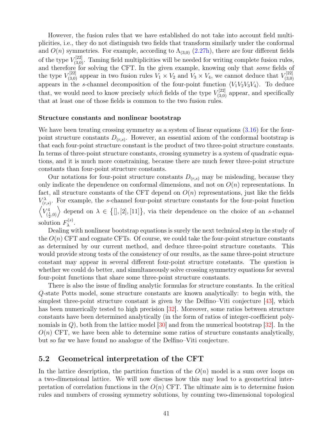<span id="page-40-1"></span>However, the fusion rules that we have established do not take into account field multiplicities, i.e., they do not distinguish two fields that transform similarly under the conformal and  $O(n)$  symmetries. For example, according to  $\Lambda_{(3,0)}$  [\(2.27h\)](#page-12-6), there are four different fields of the type  $V_{(3,0)}^{[22]}$ . Taming field multiplicities will be needed for writing complete fusion rules, and therefore for solving the CFT. In the given example, knowing only that *some* fields of the type  $V_{(3,0)}^{[22]}$  appear in two fusion rules  $V_1 \times V_2$  and  $V_3 \times V_4$ , we cannot deduce that  $V_{(3,0)}^{[22]}$ (3,0) appears in the s-channel decomposition of the four-point function  $\langle V_1 V_2 V_3 V_4 \rangle$ . To deduce that, we would need to know precisely *which* fields of the type  $V_{(3,0)}^{[22]}$  appear, and specifically that at least one of those fields is common to the two fusion rules.

#### Structure constants and nonlinear bootstrap

We have been treating crossing symmetry as a system of linear equations  $(3.16)$  for the fourpoint structure constants  $D_{(r,s)}$ . However, an essential axiom of the conformal bootstrap is that each four-point structure constant is the product of two three-point structure constants. In terms of three-point structure constants, crossing symmetry is a system of quadratic equations, and it is much more constraining, because there are much fewer three-point structure constants than four-point structure constants.

Our notations for four-point structure constants  $D_{(r,s)}$  may be misleading, because they only indicate the dependence on conformal dimensions, and not on  $O(n)$  representations. In fact, all structure constants of the CFT depend on  $O(n)$  representations, just like the fields  $V_{(r,s)}^{\lambda}$ . For example, the s-channel four-point structure constants for the four-point function  $\sqrt{V_{c}^4}$  $\langle \frac{1}{2},0\rangle$  depend on  $\lambda \in \{[],[2],[11]\},\$  via their dependence on the choice of an s-channel solution  $F_{\lambda}^{(s)}$  $\lambda^{(S)}$ .

Dealing with nonlinear bootstrap equations is surely the next technical step in the study of the  $O(n)$  CFT and cognate CFTs. Of course, we could take the four-point structure constants as determined by our current method, and deduce three-point structure constants. This would provide strong tests of the consistency of our results, as the same three-point structure constant may appear in several different four-point structure constants. The question is whether we could do better, and simultaneously solve crossing symmetry equations for several four-point functions that share some three-point structure constants.

There is also the issue of finding analytic formulas for structure constants. In the critical Q-state Potts model, some structure constants are known analytically: to begin with, the simplest three-point structure constant is given by the Delfino–Viti conjecture [\[43\]](#page-48-3), which has been numerically tested to high precision [\[32\]](#page-47-6). Moreover, some ratios between structure constants have been determined analytically (in the form of ratios of integer-coefficient polynomials in  $Q$ ), both from the lattice model  $|30|$  and from the numerical bootstrap  $|32|$ . In the  $O(n)$  CFT, we have been able to determine some ratios of structure constants analytically, but so far we have found no analogue of the Delfino–Viti conjecture.

### <span id="page-40-0"></span>5.2 Geometrical interpretation of the CFT

In the lattice description, the partition function of the  $O(n)$  model is a sum over loops on a two-dimensional lattice. We will now discuss how this may lead to a geometrical interpretation of correlation functions in the  $O(n)$  CFT. The ultimate aim is to determine fusion rules and numbers of crossing symmetry solutions, by counting two-dimensional topological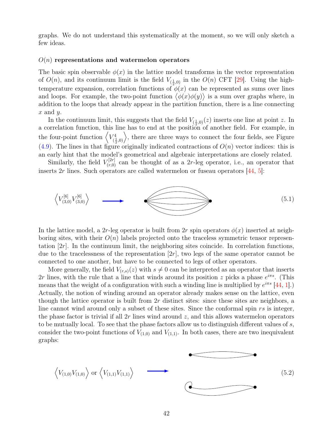<span id="page-41-0"></span>graphs. We do not understand this systematically at the moment, so we will only sketch a few ideas.

#### $O(n)$  representations and watermelon operators

The basic spin observable  $\phi(x)$  in the lattice model transforms in the vector representation of  $O(n)$ , and its continuum limit is the field  $V_{(\frac{1}{2},0)}$  in the  $O(n)$  CFT [\[29\]](#page-47-3). Using the hightemperature expansion, correlation functions of  $\phi(x)$  can be represented as sums over lines and loops. For example, the two-point function  $\langle \phi(x)\phi(y)\rangle$  is a sum over graphs where, in addition to the loops that already appear in the partition function, there is a line connecting  $x$  and  $y$ .

In the continuum limit, this suggests that the field  $V_{(\frac{1}{2},0)}(z)$  inserts one line at point z. In a correlation function, this line has to end at the position of another field. For example, in the four-point function  $\langle V_{\mu}^4$  $\langle \frac{1}{2},0\rangle$ , there are three ways to connect the four fields, see Figure  $(4.9)$ . The lines in that figure originally indicated contractions of  $O(n)$  vector indices: this is an early hint that the model's geometrical and algebraic interpretations are closely related.

Similarly, the field  $V_{(r,0)}^{[2r]}$  can be thought of as a 2r-leg operator, i.e., an operator that inserts  $2r$  lines. Such operators are called watermelon or fuseau operators  $[44, 5]$  $[44, 5]$  $[44, 5]$ :



In the lattice model, a 2r-leg operator is built from 2r spin operators  $\phi(x)$  inserted at neighboring sites, with their  $O(n)$  labels projected onto the traceless symmetric tensor representation  $[2r]$ . In the continuum limit, the neighboring sites coincide. In correlation functions, due to the tracelessness of the representation  $[2r]$ , two legs of the same operator cannot be connected to one another, but have to be connected to legs of other operators.

More generally, the field  $V_{(r,s)}(z)$  with  $s \neq 0$  can be interpreted as an operator that inserts 2r lines, with the rule that a line that winds around its position z picks a phase  $e^{i\pi s}$ . (This means that the weight of a configuration with such a winding line is multiplied by  $e^{i\pi s}$  [\[44,](#page-48-4) [1\]](#page-45-0).) Actually, the notion of winding around an operator already makes sense on the lattice, even though the lattice operator is built from  $2r$  distinct sites: since these sites are neighbors, a line cannot wind around only a subset of these sites. Since the conformal spin rs is integer, the phase factor is trivial if all  $2r$  lines wind around z, and this allows watermelon operators to be mutually local. To see that the phase factors allow us to distinguish different values of s, consider the two-point functions of  $V_{(1,0)}$  and  $V_{(1,1)}$ . In both cases, there are two inequivalent graphs:

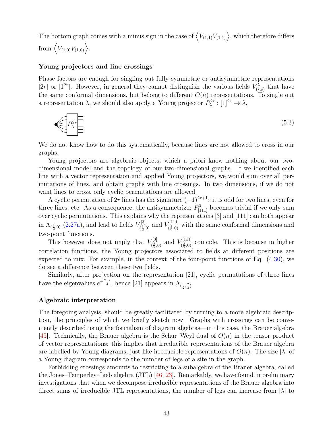<span id="page-42-0"></span>The bottom graph comes with a minus sign in the case of  $\langle V_{(1,1)}V_{(1,1)}\rangle$ , which therefore differs from  $\langle V_{(1,0)} V_{(1,0)} \rangle$ .

#### Young projectors and line crossings

Phase factors are enough for singling out fully symmetric or antisymmetric representations [2r] or [1<sup>2r</sup>]. However, in general they cannot distinguish the various fields  $V_{(r,s)}^{\lambda}$  that have the same conformal dimensions, but belong to different  $O(n)$  representations. To single out a representation  $\lambda$ , we should also apply a Young projector  $P_{\lambda}^{2r} : [1]^{2r} \to \lambda$ ,

$$
\underbrace{\left\langle P_{\lambda}^{2r} \right\rangle}_{\Xi} \tag{5.3}
$$

We do not know how to do this systematically, because lines are not allowed to cross in our graphs.

Young projectors are algebraic objects, which a priori know nothing about our twodimensional model and the topology of our two-dimensional graphs. If we identified each line with a vector representation and applied Young projectors, we would sum over all permutations of lines, and obtain graphs with line crossings. In two dimensions, if we do not want lines to cross, only cyclic permutations are allowed.

A cyclic permutation of 2r lines has the signature  $(-1)^{2r+1}$ : it is odd for two lines, even for three lines, etc. As a consequence, the antisymmetrizer  $P_{[111]}^3$  becomes trivial if we only sum over cyclic permutations. This explains why the representations [3] and [111] can both appear in  $\Lambda_{(\frac{3}{2},0)}$  [\(2.27a\)](#page-12-1), and lead to fields  $V_{(\frac{3}{2}, \frac{3}{2})}$  $V^{[3]}_{(\frac{3}{2},0)}$  and  $V^{[111]}_{(\frac{3}{2},0)}$  $\chi^{[111]}_{\left(\frac{3}{2},0\right)}$  with the same conformal dimensions and two-point functions.

This however does not imply that  $V_{\ell}^{[3]}$  $V^{[3]}_{(\frac{3}{2},0)}$  and  $V^{[111]}_{(\frac{3}{2},0)}$  $\binom{[111]}{2,0}$  coincide. This is because in higher correlation functions, the Young projectors associated to fields at different positions are expected to mix. For example, in the context of the four-point functions of Eq. [\(4.30\)](#page-36-0), we do see a difference between these two fields.

Similarly, after projection on the representation [21], cyclic permutations of three lines have the eigenvalues  $e^{\pm \frac{2\pi i}{3}}$ , hence [21] appears in  $\Lambda_{(\frac{3}{2},\frac{2}{3})}$ .

#### Algebraic interpretation

The foregoing analysis, should be greatly facilitated by turning to a more algebraic description, the principles of which we briefly sketch now. Graphs with crossings can be conveniently described using the formalism of diagram algebras—in this case, the Brauer algebra [\[45\]](#page-48-5). Technically, the Brauer algebra is the Schur–Weyl dual of  $O(n)$  in the tensor product of vector representations: this implies that irreducible representations of the Brauer algebra are labelled by Young diagrams, just like irreducible representations of  $O(n)$ . The size  $|\lambda|$  of a Young diagram corresponds to the number of legs of a site in the graph.

Forbidding crossings amounts to restricting to a subalgebra of the Brauer algebra, called the Jones–Temperley–Lieb algebra (JTL) [\[46,](#page-48-6) [23\]](#page-46-12). Remarkably, we have found in preliminary investigations that when we decompose irreducible representations of the Brauer algebra into direct sums of irreducible JTL representations, the number of legs can increase from  $|\lambda|$  to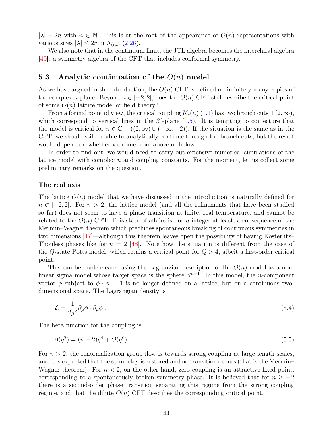<span id="page-43-3"></span> $|\lambda| + 2n$  with  $n \in \mathbb{N}$ . This is at the root of the appearance of  $O(n)$  representations with various sizes  $|\lambda| \leq 2r$  in  $\Lambda_{(r,s)}$  [\(2.26\)](#page-12-0).

We also note that in the continuum limit, the JTL algebra becomes the interchiral algebra [\[40\]](#page-48-0): a symmetry algebra of the CFT that includes conformal symmetry.

## <span id="page-43-0"></span>5.3 Analytic continuation of the  $O(n)$  model

As we have argued in the introduction, the  $O(n)$  CFT is defined on infinitely many copies of the complex n-plane. Beyond  $n \in [-2, 2]$ , does the  $O(n)$  CFT still describe the critical point of some  $O(n)$  lattice model or field theory?

From a formal point of view, the critical coupling  $K_c(n)$  [\(1.1\)](#page-2-0) has two branch cuts  $\pm (2,\infty)$ , which correspond to vertical lines in the  $\beta^2$ -plane [\(1.5\)](#page-4-0). It is tempting to conjecture that the model is critical for  $n \in \mathbb{C}$  –  $((2,\infty) \cup (-\infty,-2))$ . If the situation is the same as in the CFT, we should still be able to analytically continue through the branch cuts, but the result would depend on whether we come from above or below.

In order to find out, we would need to carry out extensive numerical simulations of the lattice model with complex  $n$  and coupling constants. For the moment, let us collect some preliminary remarks on the question.

#### The real axis

The lattice  $O(n)$  model that we have discussed in the introduction is naturally defined for  $n \in \{-2, 2\}$ . For  $n > 2$ , the lattice model (and all the refinements that have been studied so far) does not seem to have a phase transition at finite, real temperature, and cannot be related to the  $O(n)$  CFT. This state of affairs is, for n integer at least, a consequence of the Mermin–Wagner theorem which precludes spontaneous breaking of continuous symmetries in two dimensions [\[47\]](#page-48-7)—although this theorem leaves open the possibility of having Kosterlitz– Thouless phases like for  $n = 2$  [\[48\]](#page-48-8). Note how the situation is different from the case of the Q-state Potts model, which retains a critical point for  $Q > 4$ , albeit a first-order critical point.

This can be made clearer using the Lagrangian description of the  $O(n)$  model as a nonlinear sigma model whose target space is the sphere  $S^{n-1}$ . In this model, the *n*-component vector  $\phi$  subject to  $\phi \cdot \phi = 1$  is no longer defined on a lattice, but on a continuous twodimensional space. The Lagrangian density is

<span id="page-43-2"></span>
$$
\mathcal{L} = \frac{1}{2g^2} \partial_\mu \phi \cdot \partial_\mu \phi \ . \tag{5.4}
$$

The beta function for the coupling is

<span id="page-43-1"></span>
$$
\beta(g^2) = (n-2)g^4 + O(g^6) \tag{5.5}
$$

For  $n > 2$ , the renormalization group flow is towards strong coupling at large length scales, and it is expected that the symmetry is restored and no transition occurs (that is the Mermin– Wagner theorem). For  $n < 2$ , on the other hand, zero coupling is an attractive fixed point, corresponding to a spontaneously broken symmetry phase. It is believed that for  $n \geq -2$ there is a second-order phase transition separating this regime from the strong coupling regime, and that the dilute  $O(n)$  CFT describes the corresponding critical point.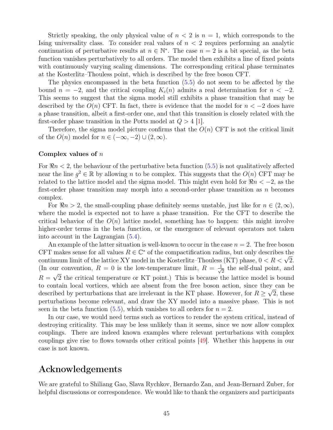<span id="page-44-0"></span>Strictly speaking, the only physical value of  $n < 2$  is  $n = 1$ , which corresponds to the Ising universality class. To consider real values of  $n < 2$  requires performing an analytic continuation of perturbative results at  $n \in \mathbb{N}^*$ . The case  $n = 2$  is a bit special, as the beta function vanishes perturbatively to all orders. The model then exhibits a line of fixed points with continuously varying scaling dimensions. The corresponding critical phase terminates at the Kosterlitz–Thouless point, which is described by the free boson CFT.

The physics encompassed in the beta function [\(5.5\)](#page-43-1) do not seem to be affected by the bound  $n = -2$ , and the critical coupling  $K_c(n)$  admits a real determination for  $n < -2$ . This seems to suggest that the sigma model still exhibits a phase transition that may be described by the  $O(n)$  CFT. In fact, there is evidence that the model for  $n < -2$  does have a phase transition, albeit a first-order one, and that this transition is closely related with the first-order phase transition in the Potts model at  $Q > 4$  |1.

Therefore, the sigma model picture confirms that the  $O(n)$  CFT is not the critical limit of the  $O(n)$  model for  $n \in (-\infty, -2) \cup (2, \infty)$ .

#### Complex values of n

For  $\Re n < 2$ , the behaviour of the perturbative beta function [\(5.5\)](#page-43-1) is not qualitatively affected near the line  $g^2 \in \mathbb{R}$  by allowing n to be complex. This suggests that the  $O(n)$  CFT may be related to the lattice model and the sigma model. This might even hold for  $\Re n < -2$ , as the first-order phase transition may morph into a second-order phase transition as  $n$  becomes complex.

For  $\Re n > 2$ , the small-coupling phase definitely seems unstable, just like for  $n \in (2,\infty)$ , where the model is expected not to have a phase transition. For the CFT to describe the critical behavior of the  $O(n)$  lattice model, something has to happen: this might involve higher-order terms in the beta function, or the emergence of relevant operators not taken into account in the Lagrangian [\(5.4\)](#page-43-2).

An example of the latter situation is well-known to occur in the case  $n = 2$ . The free boson CFT makes sense for all values  $R \in \mathbb{C}^*$  of the compactification radius, but only describes the CF I makes sense for all values  $R \in \mathbb{C}^+$  of the compactification radius, but only describes the continuum limit of the lattice XY model in the Kosterlitz–Thouless (KT) phase,  $0 < R < \sqrt{2}$ . (In our convention,  $R = 0$  is the low-temperature limit,  $R = \frac{1}{\sqrt{2}}$ ur convention,  $R = 0$  is the low-temperature limit,  $R = \frac{1}{\sqrt{2}}$  the self-dual point, and  $R = \sqrt{2}$  the critical temperature or KT point.) This is because the lattice model is bound to contain local vortices, which are absent from the free boson action, since they can be described by perturbations that are irrelevant in the KT phase. However, for  $R \geq \sqrt{2}$ , these perturbations become relevant, and draw the XY model into a massive phase. This is not seen in the beta function [\(5.5\)](#page-43-1), which vanishes to all orders for  $n = 2$ .

In our case, we would need terms such as vortices to render the system critical, instead of destroying criticality. This may be less unlikely than it seems, since we now allow complex couplings. There are indeed known examples where relevant perturbations with complex couplings give rise to flows towards other critical points [\[49\]](#page-48-9). Whether this happens in our case is not known.

# Acknowledgements

We are grateful to Shiliang Gao, Slava Rychkov, Bernardo Zan, and Jean-Bernard Zuber, for helpful discussions or correspondence. We would like to thank the organizers and participants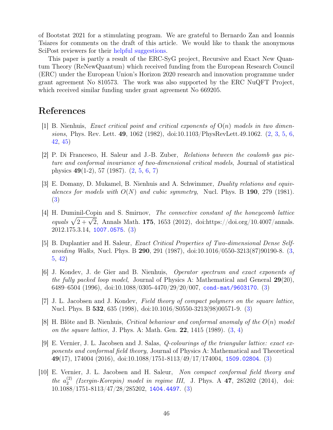of Bootstat 2021 for a stimulating program. We are grateful to Bernardo Zan and Ioannis Tsiares for comments on the draft of this article. We would like to thank the anonymous SciPost reviewers for their [helpful suggestions.](https://scipost.org/submission/2111.01106v2/)

This paper is partly a result of the ERC-SyG project, Recursive and Exact New Quantum Theory (ReNewQuantum) which received funding from the European Research Council (ERC) under the European Union's Horizon 2020 research and innovation programme under grant agreement No 810573. The work was also supported by the ERC NuQFT Project, which received similar funding under grant agreement No 669205.

# References

- <span id="page-45-0"></span>[1] B. Nienhuis, *Exact critical point and critical exponents of*  $O(n)$  models in two dimensions, Phys. Rev. Lett. 49, 1062 (1982), doi:10.1103/PhysRevLett.49.1062. [\(2,](#page-1-1) [3,](#page-2-1) [5,](#page-4-1) [6,](#page-5-1) [42,](#page-41-0) [45\)](#page-44-0)
- <span id="page-45-1"></span>[2] P. Di Francesco, H. Saleur and J.-B. Zuber, Relations between the coulomb gas picture and conformal invariance of two-dimensional critical models, Journal of statistical physics 49(1-2), 57 (1987). [\(2,](#page-1-1) [5,](#page-4-1) [6,](#page-5-1) [7\)](#page-6-3)
- <span id="page-45-2"></span>[3] E. Domany, D. Mukamel, B. Nienhuis and A. Schwimmer, Duality relations and equivalences for models with  $O(N)$  and cubic symmetry, Nucl. Phys. B 190, 279 (1981). [\(3\)](#page-2-1)
- <span id="page-45-3"></span>[4] H. Duminil-Copin and S. Smirnov, The connective constant of the honeycomb lattice equals  $\sqrt{2 + \sqrt{2}}$ , Annals Math. 175, 1653 (2012), doi:https://doi.org/10.4007/annals. 2012.175.3.14, <1007.0575>. [\(3\)](#page-2-1)
- <span id="page-45-4"></span>[5] B. Duplantier and H. Saleur, Exact Critical Properties of Two-dimensional Dense Selfavoiding Walks, Nucl. Phys. B 290, 291 (1987), doi:10.1016/0550-3213(87)90190-8. [\(3,](#page-2-1) [5,](#page-4-1) [42\)](#page-41-0)
- <span id="page-45-5"></span>[6] J. Kondev, J. de Gier and B. Nienhuis, Operator spectrum and exact exponents of the fully packed loop model, Journal of Physics A: Mathematical and General  $29(20)$ , 6489–6504 (1996), doi:10.1088/0305-4470/29/20/007, <cond-mat/9603170>. [\(3\)](#page-2-1)
- <span id="page-45-6"></span>[7] J. L. Jacobsen and J. Kondev, Field theory of compact polymers on the square lattice, Nucl. Phys. B 532, 635 (1998), doi:10.1016/S0550-3213(98)00571-9. [\(3\)](#page-2-1)
- <span id="page-45-7"></span>[8] H. Blöte and B. Nienhuis, Critical behaviour and conformal anomaly of the  $O(n)$  model on the square lattice, J. Phys. A: Math. Gen. 22, 1415 (1989). [\(3,](#page-2-1) [4\)](#page-3-1)
- <span id="page-45-8"></span>[9] E. Vernier, J. L. Jacobsen and J. Salas, Q-colourings of the triangular lattice: exact exponents and conformal field theory, Journal of Physics A: Mathematical and Theoretical 49(17), 174004 (2016), doi:10.1088/1751-8113/49/17/174004, <1509.02804>. [\(3\)](#page-2-1)
- <span id="page-45-9"></span>[10] E. Vernier, J. L. Jacobsen and H. Saleur, Non compact conformal field theory and the  $a_2^{(2)}$  $\binom{2}{2}$  (Izergin-Korepin) model in regime III, J. Phys. A 47, 285202 (2014), doi: 10.1088/1751-8113/47/28/285202, <1404.4497>. [\(3\)](#page-2-1)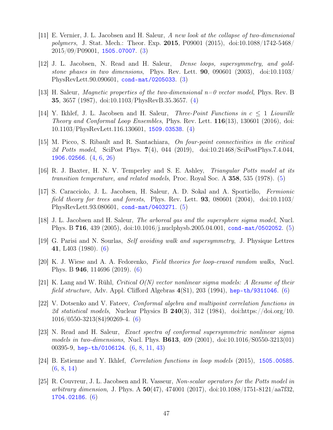- <span id="page-46-0"></span>[11] E. Vernier, J. L. Jacobsen and H. Saleur, A new look at the collapse of two-dimensional polymers, J. Stat. Mech.: Theor. Exp. 2015, P09001 (2015), doi:10.1088/1742-5468/ 2015/09/P09001, <1505.07007>. [\(3\)](#page-2-1)
- <span id="page-46-1"></span>[12] J. L. Jacobsen, N. Read and H. Saleur, Dense loops, supersymmetry, and goldstone phases in two dimensions, Phys. Rev. Lett.  $90, 090601$  (2003), doi:10.1103/ PhysRevLett.90.090601, <cond-mat/0205033>. [\(3\)](#page-2-1)
- <span id="page-46-2"></span>[13] H. Saleur, Magnetic properties of the two-dimensional n=0 vector model, Phys. Rev. B 35, 3657 (1987), doi:10.1103/PhysRevB.35.3657. [\(4\)](#page-3-1)
- <span id="page-46-3"></span>[14] Y. Ikhlef, J. L. Jacobsen and H. Saleur, *Three-Point Functions in*  $c \leq 1$  *Liouville* Theory and Conformal Loop Ensembles, Phys. Rev. Lett. 116(13), 130601 (2016), doi: 10.1103/PhysRevLett.116.130601, <1509.03538>. [\(4\)](#page-3-1)
- <span id="page-46-4"></span>[15] M. Picco, S. Ribault and R. Santachiara, On four-point connectivities in the critical 2d Potts model, SciPost Phys. 7(4), 044 (2019), doi:10.21468/SciPostPhys.7.4.044, <1906.02566>. [\(4,](#page-3-1) [6,](#page-5-1) [26\)](#page-25-0)
- <span id="page-46-5"></span>[16] R. J. Baxter, H. N. V. Temperley and S. E. Ashley, Triangular Potts model at its transition temperature, and related models, Proc. Royal Soc. A 358, 535 (1978). [\(5\)](#page-4-1)
- <span id="page-46-6"></span>[17] S. Caracciolo, J. L. Jacobsen, H. Saleur, A. D. Sokal and A. Sportiello, Fermionic field theory for trees and forests, Phys. Rev. Lett. **93**, 080601 (2004), doi:10.1103/ PhysRevLett.93.080601, <cond-mat/0403271>. [\(5\)](#page-4-1)
- <span id="page-46-7"></span>[18] J. L. Jacobsen and H. Saleur, The arboreal gas and the supersphere sigma model, Nucl. Phys. B 716, 439 (2005), doi:10.1016/j.nuclphysb.2005.04.001, <cond-mat/0502052>. [\(5\)](#page-4-1)
- <span id="page-46-8"></span>[19] G. Parisi and N. Sourlas, Self avoiding walk and supersymmetry, J. Physique Lettres 41, L403 (1980). [\(6\)](#page-5-1)
- <span id="page-46-9"></span>[20] K. J. Wiese and A. A. Fedorenko, Field theories for loop-erased random walks, Nucl. Phys. B 946, 114696 (2019). [\(6\)](#page-5-1)
- <span id="page-46-10"></span>[21] K. Lang and W. Rühl, Critical O(N) vector nonlinear sigma models: A Resume of their field structure, Adv. Appl. Clifford Algebras  $4(S1)$ , 203 (1994), <hep-th/9311046>. [\(6\)](#page-5-1)
- <span id="page-46-11"></span>[22] V. Dotsenko and V. Fateev, Conformal algebra and multipoint correlation functions in 2d statistical models, Nuclear Physics B  $240(3)$ , 312 (1984), doi:https://doi.org/10. 1016/0550-3213(84)90269-4. [\(6\)](#page-5-1)
- <span id="page-46-12"></span>[23] N. Read and H. Saleur, Exact spectra of conformal supersymmetric nonlinear sigma models in two-dimensions, Nucl. Phys. B613, 409 (2001), doi:10.1016/S0550-3213(01) 00395-9, <hep-th/0106124>. [\(6,](#page-5-1) [8,](#page-7-0) [11,](#page-10-4) [43\)](#page-42-0)
- <span id="page-46-13"></span>[24] B. Estienne and Y. Ikhlef, Correlation functions in loop models (2015), <1505.00585>. [\(6,](#page-5-1) [8,](#page-7-0) [14\)](#page-13-2)
- <span id="page-46-14"></span>[25] R. Couvreur, J. L. Jacobsen and R. Vasseur, Non-scalar operators for the Potts model in arbitrary dimension, J. Phys. A  $50(47)$ ,  $474001$  (2017), doi:10.1088/1751-8121/aa7f32, <1704.02186>. [\(6\)](#page-5-1)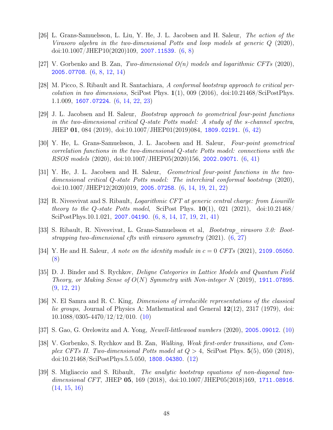- <span id="page-47-0"></span>[26] L. Grans-Samuelsson, L. Liu, Y. He, J. L. Jacobsen and H. Saleur, The action of the Virasoro algebra in the two-dimensional Potts and loop models at generic Q (2020), doi:10.1007/JHEP10(2020)109, <2007.11539>. [\(6,](#page-5-1) [8\)](#page-7-0)
- <span id="page-47-1"></span>[27] V. Gorbenko and B. Zan, Two-dimensional  $O(n)$  models and logarithmic CFTs (2020), <2005.07708>. [\(6,](#page-5-1) [8,](#page-7-0) [12,](#page-11-4) [14\)](#page-13-2)
- <span id="page-47-2"></span>[28] M. Picco, S. Ribault and R. Santachiara, A conformal bootstrap approach to critical percolation in two dimensions, SciPost Phys.  $1(1)$ , 009 (2016), doi:10.21468/SciPostPhys. 1.1.009, <1607.07224>. [\(6,](#page-5-1) [14,](#page-13-2) [22,](#page-21-2) [23\)](#page-22-1)
- <span id="page-47-3"></span>[29] J. L. Jacobsen and H. Saleur, Bootstrap approach to geometrical four-point functions in the two-dimensional critical Q-state Potts model: A study of the s-channel spectra, JHEP 01, 084 (2019), doi:10.1007/JHEP01(2019)084, <1809.02191>. [\(6,](#page-5-1) [42\)](#page-41-0)
- <span id="page-47-4"></span>[30] Y. He, L. Grans-Samuelsson, J. L. Jacobsen and H. Saleur, Four-point geometrical correlation functions in the two-dimensional Q-state Potts model: connections with the RSOS models (2020), doi:10.1007/JHEP05(2020)156, <2002.09071>. [\(6,](#page-5-1) [41\)](#page-40-1)
- <span id="page-47-5"></span>[31] Y. He, J. L. Jacobsen and H. Saleur, Geometrical four-point functions in the twodimensional critical Q-state Potts model: The interchiral conformal bootstrap (2020), doi:10.1007/JHEP12(2020)019, <2005.07258>. [\(6,](#page-5-1) [14,](#page-13-2) [19,](#page-18-0) [21,](#page-20-1) [22\)](#page-21-2)
- <span id="page-47-6"></span>[32] R. Nivesvivat and S. Ribault, Logarithmic CFT at generic central charge: from Liouville theory to the Q-state Potts model, SciPost Phys.  $10(1)$ , 021 (2021), doi:10.21468/ SciPostPhys.10.1.021, <2007.04190>. [\(6,](#page-5-1) [8,](#page-7-0) [14,](#page-13-2) [17,](#page-16-3) [19,](#page-18-0) [21,](#page-20-1) [41\)](#page-40-1)
- <span id="page-47-7"></span>[33] S. Ribault, R. Nivesvivat, L. Grans-Samuelsson et al, Bootstrap\_virasoro 3.0: Bootstrapping two-dimensional cfts with virasoro symmetry (2021). [\(6,](#page-5-1) [27\)](#page-26-1)
- <span id="page-47-8"></span>[34] Y. He and H. Saleur, A note on the identity module in  $c = 0$  CFTs (2021), <2109.05050>. [\(8\)](#page-7-0)
- <span id="page-47-9"></span>[35] D. J. Binder and S. Rychkov, Deligne Categories in Lattice Models and Quantum Field Theory, or Making Sense of  $O(N)$  Symmetry with Non-integer N (2019), <1911.07895>. [\(9,](#page-8-2) [12,](#page-11-4) [21\)](#page-20-1)
- <span id="page-47-10"></span>[36] N. El Samra and R. C. King, Dimensions of irreducible representations of the classical lie groups, Journal of Physics A: Mathematical and General 12(12), 2317 (1979), doi: 10.1088/0305-4470/12/12/010. [\(10\)](#page-9-3)
- <span id="page-47-11"></span>[37] S. Gao, G. Orelowitz and A. Yong, Newell-littlewood numbers (2020), <2005.09012>. [\(10\)](#page-9-3)
- <span id="page-47-12"></span>[38] V. Gorbenko, S. Rychkov and B. Zan, Walking, Weak first-order transitions, and Complex CFTs II. Two-dimensional Potts model at  $Q > 4$ , SciPost Phys. 5(5), 050 (2018), doi:10.21468/SciPostPhys.5.5.050, <1808.04380>. [\(12\)](#page-11-4)
- <span id="page-47-13"></span>[39] S. Migliaccio and S. Ribault, The analytic bootstrap equations of non-diagonal two-dimensional CFT, JHEP 05, 169 (2018), doi:10.1007/JHEP05(2018)169, <1711.08916>. [\(14,](#page-13-2) [15,](#page-14-3) [16\)](#page-15-4)